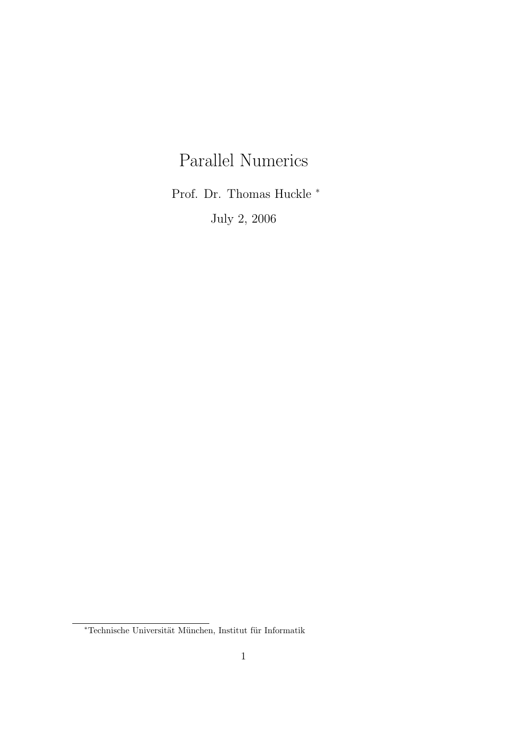# Parallel Numerics

Prof. Dr. Thomas Huckle <sup>∗</sup>

July 2, 2006

 $^\ast$ Technische Universität München, Institut für Informatik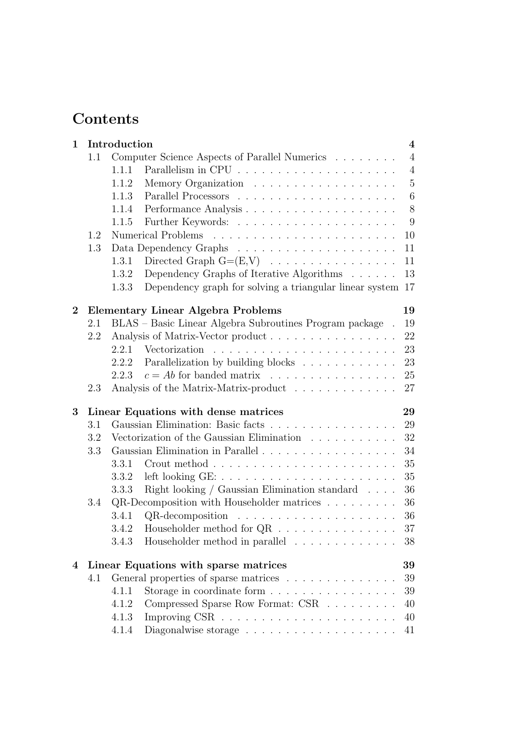# Contents

| 1        |     | Introduction<br>$\overline{\mathbf{4}}$                                          |                |  |  |  |  |  |
|----------|-----|----------------------------------------------------------------------------------|----------------|--|--|--|--|--|
|          | 1.1 | Computer Science Aspects of Parallel Numerics $\ldots \ldots \ldots$             |                |  |  |  |  |  |
|          |     | 1.1.1                                                                            | $\overline{4}$ |  |  |  |  |  |
|          |     | 1.1.2                                                                            | $\overline{5}$ |  |  |  |  |  |
|          |     | 1.1.3                                                                            | 6              |  |  |  |  |  |
|          |     | 1.1.4                                                                            | 8              |  |  |  |  |  |
|          |     | 1.1.5                                                                            | 9              |  |  |  |  |  |
|          | 1.2 |                                                                                  | 10             |  |  |  |  |  |
|          | 1.3 |                                                                                  | 11             |  |  |  |  |  |
|          |     | Directed Graph $G=(E,V) \dots \dots \dots \dots \dots \dots$<br>1.3.1            | 11             |  |  |  |  |  |
|          |     | Dependency Graphs of Iterative Algorithms<br>1.3.2                               | 13             |  |  |  |  |  |
|          |     | Dependency graph for solving a triangular linear system 17<br>1.3.3              |                |  |  |  |  |  |
| $\bf{2}$ |     | <b>Elementary Linear Algebra Problems</b>                                        | 19             |  |  |  |  |  |
|          | 2.1 | BLAS – Basic Linear Algebra Subroutines Program package.                         | 19             |  |  |  |  |  |
|          | 2.2 | Analysis of Matrix-Vector product                                                | 22             |  |  |  |  |  |
|          |     | 2.2.1                                                                            | 23             |  |  |  |  |  |
|          |     | Parallelization by building blocks<br>2.2.2                                      | 23             |  |  |  |  |  |
|          |     | $c = Ab$ for banded matrix<br>2.2.3                                              | 25             |  |  |  |  |  |
|          | 2.3 | Analysis of the Matrix-Matrix-product                                            | 27             |  |  |  |  |  |
| 3        |     | Linear Equations with dense matrices                                             | 29             |  |  |  |  |  |
|          | 3.1 | Gaussian Elimination: Basic facts                                                | 29             |  |  |  |  |  |
|          | 3.2 | Vectorization of the Gaussian Elimination $\ldots \ldots \ldots$                 | 32             |  |  |  |  |  |
|          | 3.3 |                                                                                  | 34             |  |  |  |  |  |
|          |     | 3.3.1                                                                            | 35             |  |  |  |  |  |
|          |     | 3.3.2                                                                            | 35             |  |  |  |  |  |
|          |     | Right looking / Gaussian Elimination standard $\ldots$ .<br>3.3.3                | 36             |  |  |  |  |  |
|          | 3.4 | QR-Decomposition with Householder matrices $\dots \dots$                         | 36             |  |  |  |  |  |
|          |     | 3.4.1<br>QR-decomposition                                                        | 36             |  |  |  |  |  |
|          |     | Householder method for $\mathrm{QR} \;$ .<br><br>3.4.2                           | 37             |  |  |  |  |  |
|          |     | Householder method in parallel<br>3.4.3                                          | 38             |  |  |  |  |  |
| 4        |     | Linear Equations with sparse matrices                                            | 39             |  |  |  |  |  |
|          | 4.1 | General properties of sparse matrices                                            | 39             |  |  |  |  |  |
|          |     | Storage in coordinate form $\ldots \ldots \ldots \ldots \ldots$<br>4.1.1         | 39             |  |  |  |  |  |
|          |     | Compressed Sparse Row Format: CSR<br>4.1.2                                       | 40             |  |  |  |  |  |
|          |     | 4.1.3                                                                            | 40             |  |  |  |  |  |
|          |     | Diagonalwise storage $\ldots \ldots \ldots \ldots \ldots \ldots \ldots$<br>4.1.4 | 41             |  |  |  |  |  |
|          |     |                                                                                  |                |  |  |  |  |  |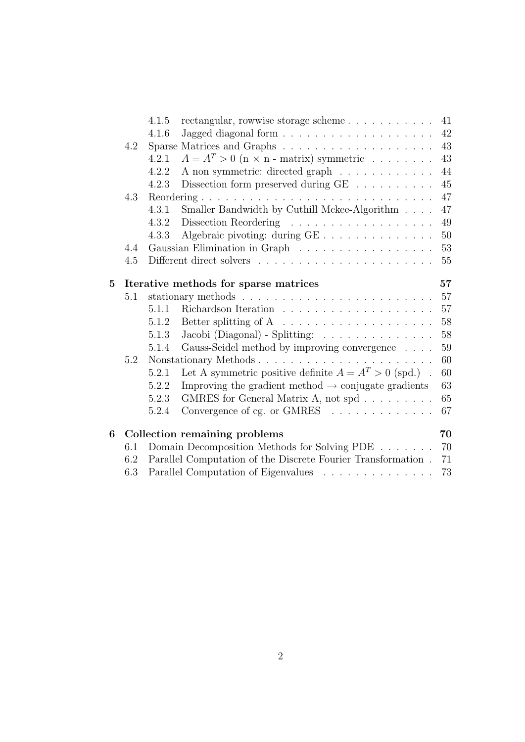|                |     | 4.1.5                                                                                                |                                                                                              | 41 |  |  |
|----------------|-----|------------------------------------------------------------------------------------------------------|----------------------------------------------------------------------------------------------|----|--|--|
|                |     | 4.1.6                                                                                                |                                                                                              | 42 |  |  |
|                | 4.2 |                                                                                                      |                                                                                              | 43 |  |  |
|                |     | 4.2.1                                                                                                | $A = A^T > 0$ (n × n - matrix) symmetric                                                     | 43 |  |  |
|                |     | 4.2.2                                                                                                | A non symmetric: directed graph                                                              | 44 |  |  |
|                |     | 4.2.3                                                                                                | Dissection form preserved during GE $\hfill\ldots\ldots\ldots\ldots\ldots$                   | 45 |  |  |
|                | 4.3 |                                                                                                      |                                                                                              | 47 |  |  |
|                |     | 4.3.1                                                                                                | Smaller Bandwidth by Cuthill Mckee-Algorithm                                                 | 47 |  |  |
|                |     | 4.3.2                                                                                                |                                                                                              | 49 |  |  |
|                |     | 4.3.3                                                                                                | Algebraic pivoting: during GE                                                                | 50 |  |  |
|                | 4.4 |                                                                                                      | Gaussian Elimination in Graph                                                                | 53 |  |  |
|                | 4.5 |                                                                                                      |                                                                                              | 55 |  |  |
| $\overline{5}$ |     |                                                                                                      | Iterative methods for sparse matrices                                                        | 57 |  |  |
|                | 5.1 |                                                                                                      |                                                                                              | 57 |  |  |
|                |     | 5.1.1                                                                                                | Richardson Iteration<br>$\hfill\ldots\ldots\ldots\ldots\ldots\ldots\ldots\ldots\ldots\ldots$ | 57 |  |  |
|                |     | 5.1.2                                                                                                | Better splitting of A $\ldots \ldots \ldots \ldots \ldots \ldots$                            | 58 |  |  |
|                |     | 5.1.3                                                                                                | Jacobi (Diagonal) - Splitting: $\ldots \ldots \ldots \ldots$                                 | 58 |  |  |
|                |     | 5.1.4                                                                                                | Gauss-Seidel method by improving convergence                                                 | 59 |  |  |
|                | 5.2 | Nonstationary Methods                                                                                |                                                                                              |    |  |  |
|                |     | 5.2.1                                                                                                | Let A symmetric positive definite $A = A^T > 0$ (spd.).                                      | 60 |  |  |
|                |     | 5.2.2                                                                                                | Improving the gradient method $\rightarrow$ conjugate gradients                              | 63 |  |  |
|                |     | 5.2.3                                                                                                | GMRES for General Matrix A, not spd                                                          | 65 |  |  |
|                |     | 5.2.4                                                                                                | Convergence of cg. or GMRES                                                                  | 67 |  |  |
| 6              |     |                                                                                                      | Collection remaining problems                                                                | 70 |  |  |
|                | 6.1 | Domain Decomposition Methods for Solving PDE                                                         |                                                                                              |    |  |  |
|                | 6.2 | Parallel Computation of the Discrete Fourier Transformation .<br>Parallel Computation of Eigenvalues |                                                                                              |    |  |  |
|                | 6.3 |                                                                                                      |                                                                                              |    |  |  |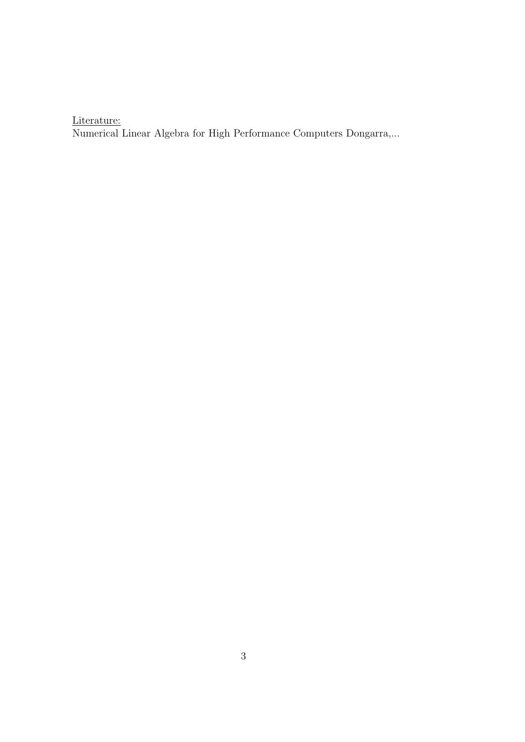Literature:

Numerical Linear Algebra for High Performance Computers Dongarra,...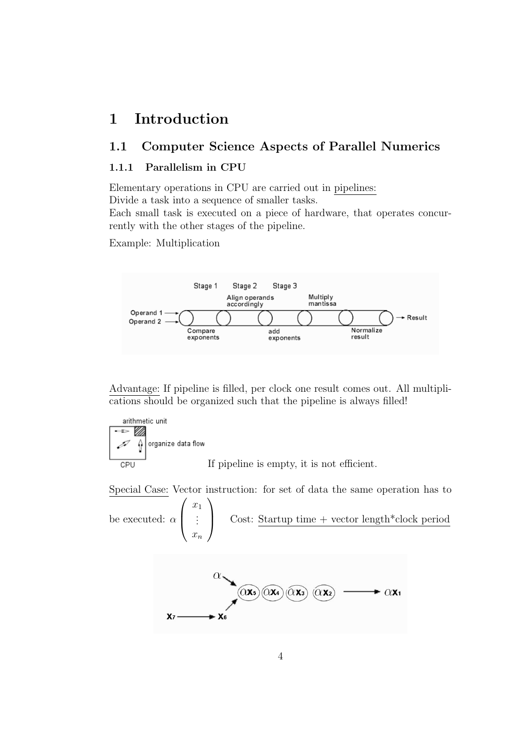## 1 Introduction

## 1.1 Computer Science Aspects of Parallel Numerics

#### 1.1.1 Parallelism in CPU

Elementary operations in CPU are carried out in pipelines:

Divide a task into a sequence of smaller tasks.

Each small task is executed on a piece of hardware, that operates concurrently with the other stages of the pipeline.

Example: Multiplication



Advantage: If pipeline is filled, per clock one result comes out. All multiplications should be organized such that the pipeline is always filled!



Special Case: Vector instruction: for set of data the same operation has to  $\int x_1$  $\setminus$ 

be executed:  $\alpha$  :  $\bar{x}_n$ Cost: Startup time + vector length\*clock period

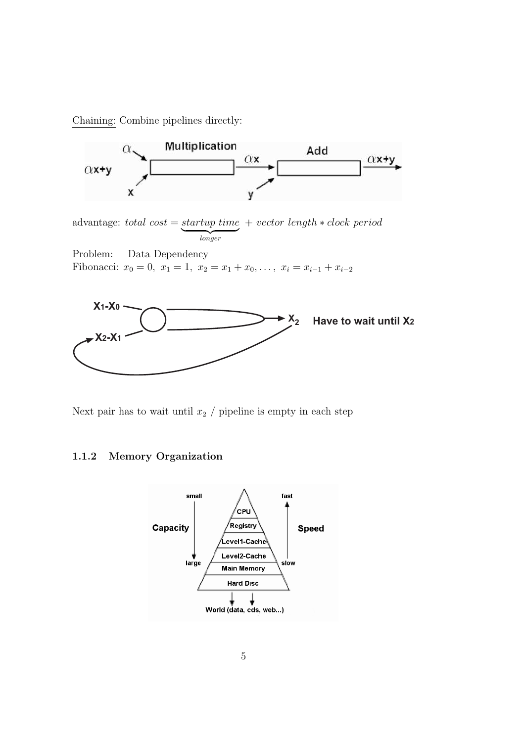Chaining: Combine pipelines directly:



advantage: total cost = startup time + vector length  $*$  clock period longer

Problem: Data Dependency Fibonacci:  $x_0 = 0$ ,  $x_1 = 1$ ,  $x_2 = x_1 + x_0$ , ...,  $x_i = x_{i-1} + x_{i-2}$ 



Next pair has to wait until  $x_2$  / pipeline is empty in each step

#### 1.1.2 Memory Organization

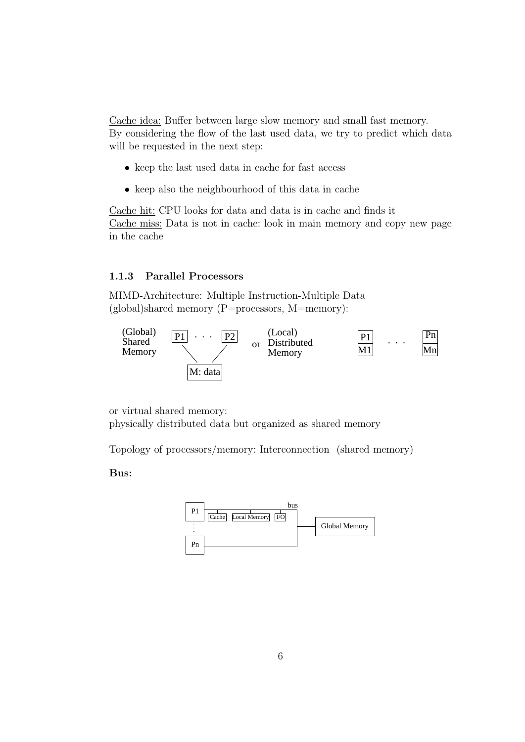Cache idea: Buffer between large slow memory and small fast memory. By considering the flow of the last used data, we try to predict which data will be requested in the next step:

- keep the last used data in cache for fast access
- keep also the neighbourhood of this data in cache

Cache hit: CPU looks for data and data is in cache and finds it Cache miss: Data is not in cache: look in main memory and copy new page in the cache

#### 1.1.3 Parallel Processors

MIMD-Architecture: Multiple Instruction-Multiple Data (global)shared memory (P=processors, M=memory):



or virtual shared memory: physically distributed data but organized as shared memory

Topology of processors/memory: Interconnection (shared memory)

#### Bus:

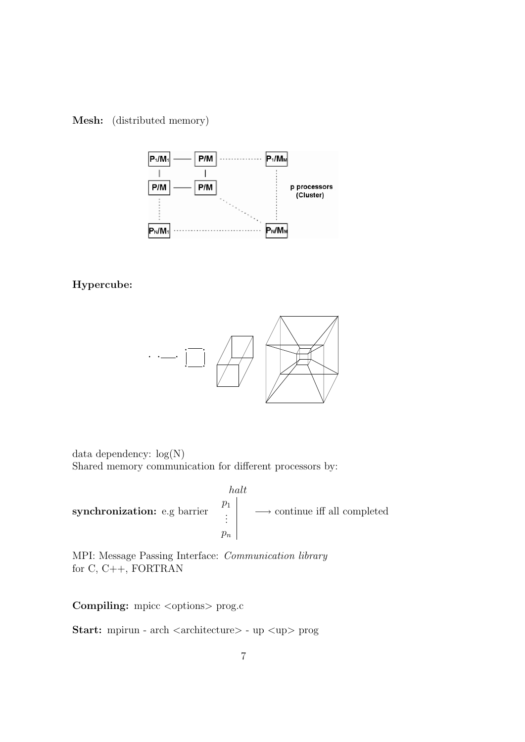

Mesh: (distributed memory)

#### Hypercube:



data dependency: log(N) Shared memory communication for different processors by:

synchronization: e.g barrier halt  $\overline{p}_1$ . . .  $p_n$ −→ continue iff all completed

MPI: Message Passing Interface: Communication library for C, C++, FORTRAN

Compiling: mpicc <options> prog.c

Start: mpirun - arch <architecture> - up <up> prog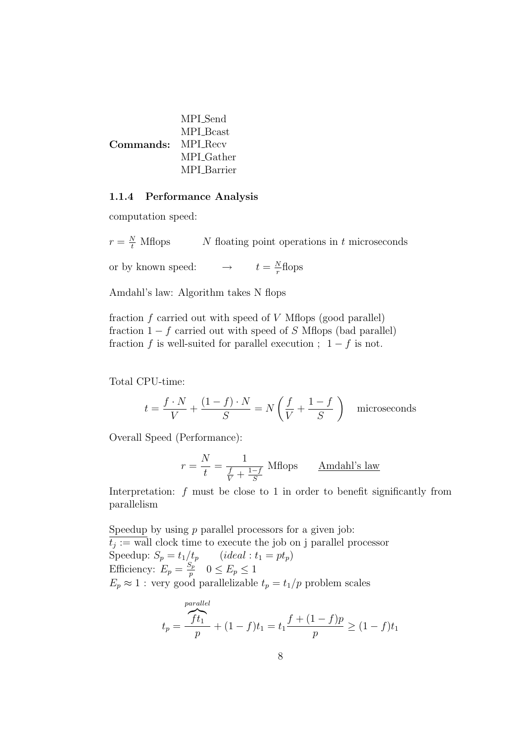|                   | MPI Send           |
|-------------------|--------------------|
|                   | MPI Beast          |
| Commands: MPLRecv |                    |
|                   | MPI Gather         |
|                   | <b>MPL</b> Barrier |

#### 1.1.4 Performance Analysis

computation speed:

 $r=\frac{N}{t}$  $N$  floating point operations in  $t$  microseconds or by known speed:  $\rightarrow$  $\Delta$  $\frac{N}{r}$ flops

Amdahl's law: Algorithm takes N flops

fraction  $f$  carried out with speed of  $V$  Mflops (good parallel) fraction  $1 - f$  carried out with speed of S Mflops (bad parallel) fraction f is well-suited for parallel execution ;  $1 - f$  is not.

Total CPU-time:

$$
t = \frac{f \cdot N}{V} + \frac{(1 - f) \cdot N}{S} = N\left(\frac{f}{V} + \frac{1 - f}{S}\right)
$$
 microseconds

Overall Speed (Performance):

$$
r = \frac{N}{t} = \frac{1}{\frac{f}{V} + \frac{1-f}{S}}
$$
Mflops Amdahl's law

Interpretation:  $f$  must be close to 1 in order to benefit significantly from parallelism

Speedup by using  $p$  parallel processors for a given job:  $t_j :=$  wall clock time to execute the job on j parallel processor Speedup:  $S_p = t_1/t_p$  (ideal :  $t_1 = pt_p$ ) Efficiency:  $E_p = \frac{S_p}{n}$  $\frac{p_p}{p}$   $0 \le E_p \le 1$  $E_p \approx 1$ : very good parallelizable  $t_p = t_1/p$  problem scales

$$
t_p = \frac{\overbrace{ft_1}^{parallel}}{p} + (1 - f)t_1 = t_1 \frac{f + (1 - f)p}{p} \ge (1 - f)t_1
$$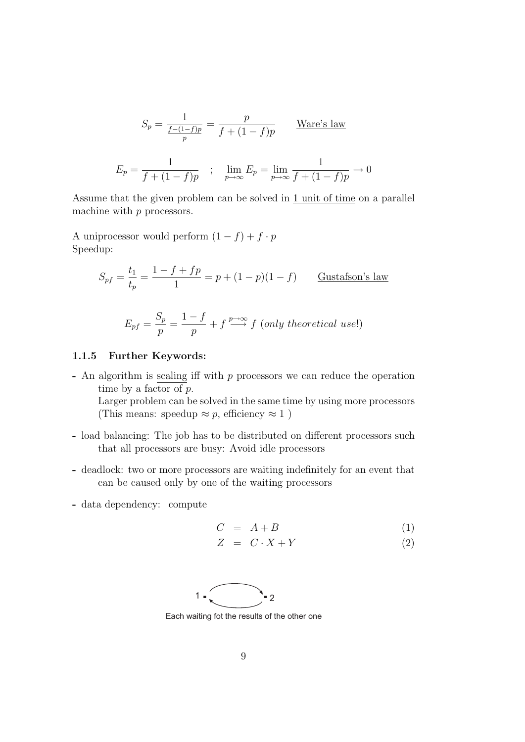$$
S_p = \frac{1}{\frac{f - (1 - f)p}{p}} = \frac{p}{f + (1 - f)p}
$$
 Ware's law  

$$
E_p = \frac{1}{f + (1 - f)p} \quad ; \quad \lim_{p \to \infty} E_p = \lim_{p \to \infty} \frac{1}{f + (1 - f)p} \to 0
$$

Assume that the given problem can be solved in 1 unit of time on a parallel machine with  $p$  processors.

A uniprocessor would perform  $(1 - f) + f \cdot p$ Speedup:

$$
S_{pf} = \frac{t_1}{t_p} = \frac{1 - f + fp}{1} = p + (1 - p)(1 - f)
$$
 Gustafson's law

$$
E_{pf} = \frac{S_p}{p} = \frac{1 - f}{p} + f \stackrel{p \to \infty}{\longrightarrow} f \text{ (only theoretical use!)}
$$

#### 1.1.5 Further Keywords:

- An algorithm is  $scaling$  iff with  $p$  processors we can reduce the operation</u> time by a factor of p.

Larger problem can be solved in the same time by using more processors (This means: speedup  $\approx p$ , efficiency  $\approx 1$ )

- load balancing: The job has to be distributed on different processors such that all processors are busy: Avoid idle processors
- deadlock: two or more processors are waiting indefinitely for an event that can be caused only by one of the waiting processors
- data dependency: compute

$$
C = A + B \tag{1}
$$

$$
Z = C \cdot X + Y \tag{2}
$$



Each waiting fot the results of the other one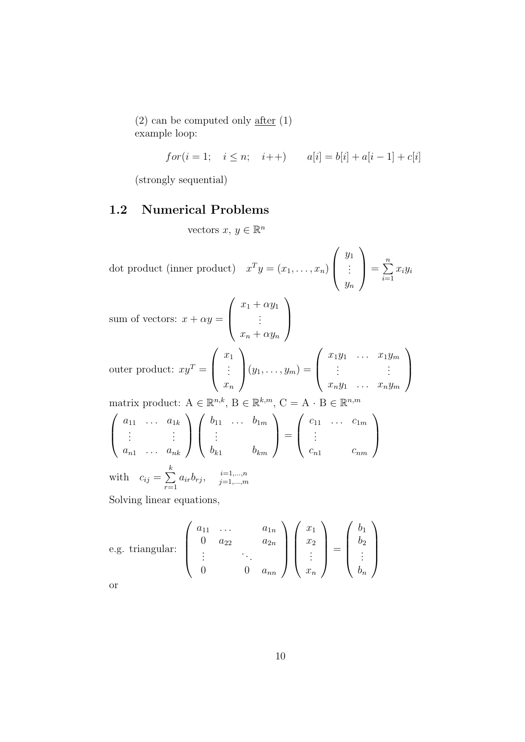(2) can be computed only after (1) example loop:

$$
for (i = 1; \quad i \le n; \quad i++) \qquad a[i] = b[i] + a[i-1] + c[i]
$$

(strongly sequential)

#### 1.2 Numerical Problems

vectors  $x, y \in \mathbb{R}^n$ 

dot product (inner product)  $x^T y = (x_1, \ldots, x_n)$  $\sqrt{ }$  $\left\lfloor \right\rfloor$  $y_1$ . . .  $y_n$  $\setminus$  $\Big\} =$  $\sum_{n=1}^{\infty}$  $i=1$  $x_iy_i$ sum of vectors:  $x + \alpha y =$  $\sqrt{ }$  $\left\lfloor \right\rfloor$  $x_1 + \alpha y_1$ . . .  $x_n + \alpha y_n$  $\setminus$  $\Big\}$ outer product:  $xy^T =$  $\sqrt{ }$  $\left\lfloor \right\rfloor$  $\overline{x}_1$ . . .  $\bar{x}_n$  $\setminus$  $(y_1, \ldots, y_m) =$  $\sqrt{ }$  $\left\lfloor \right\rfloor$  $x_1y_1 \ldots x_1y_m$  $\vdots$  .  $x_ny_1 \ldots x_ny_m$  $\setminus$  $\Big\}$ matrix product:  $A \in \mathbb{R}^{n,k}$ ,  $B \in \mathbb{R}^{k,m}$ ,  $C = A \cdot B \in \mathbb{R}^{n,m}$  $\sqrt{ }$  $\left\vert \right\vert$  $a_{11} \ldots a_{1k}$  $:$   $:$   $:$  $a_{n1} \ldots a_{nk}$  $\setminus$  $\Big\}$  $\sqrt{ }$  $\left\vert \right\vert$  $b_{11} \ldots b_{1m}$ . . .  $b_{k1}$   $b_{km}$  $\setminus$  $\Big\} =$  $\sqrt{ }$  $\left\lfloor \right\rfloor$  $c_{11} \ldots c_{1m}$ . . .  $c_{n1}$   $c_{nm}$  $\setminus$  $\frac{1}{2}$ with  $c_{ij} = \sum_{i}^{k}$  $r=1$  $a_{ir}b_{rj}, \quad i=1,...,n$  $j=1,...,m$ Solving linear equations,

e.g. triangular: 
$$
\begin{pmatrix} a_{11} & \cdots & a_{1n} \\ 0 & a_{22} & a_{2n} \\ \vdots & \ddots & \vdots \\ 0 & 0 & a_{nn} \end{pmatrix} \begin{pmatrix} x_1 \\ x_2 \\ \vdots \\ x_n \end{pmatrix} = \begin{pmatrix} b_1 \\ b_2 \\ \vdots \\ b_n \end{pmatrix}
$$
or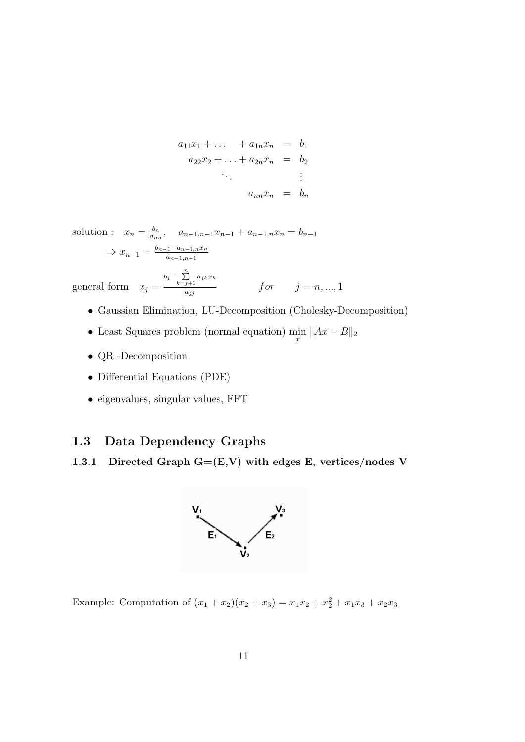$$
a_{11}x_1 + \dots + a_{1n}x_n = b_1 a_{22}x_2 + \dots + a_{2n}x_n = b_2 \vdots a_{nn}x_n = b_n
$$

solution :  $x_n = \frac{b_n}{a_n}$  $\frac{b_n}{a_{nn}}, a_{n-1,n-1}x_{n-1} + a_{n-1,n}x_n = b_{n-1}$  $\Rightarrow x_{n-1} = \frac{b_{n-1}-a_{n-1,n}x_n}{a_{n-1,n-1}}$  $a_{n-1,n-1}$ 

general form  $x_j =$  $b_j - \sum_{k=j+1}^n a_{jk}x_k$  $f or$   $j = n, ..., 1$ 

- Gaussian Elimination, LU-Decomposition (Cholesky-Decomposition)
- Least Squares problem (normal equation)  $\min_{x} \|Ax B\|_2$
- QR -Decomposition
- Differential Equations (PDE)
- eigenvalues, singular values, FFT

## 1.3 Data Dependency Graphs

1.3.1 Directed Graph  $G=(E,V)$  with edges E, vertices/nodes V



Example: Computation of  $(x_1 + x_2)(x_2 + x_3) = x_1x_2 + x_2^2 + x_1x_3 + x_2x_3$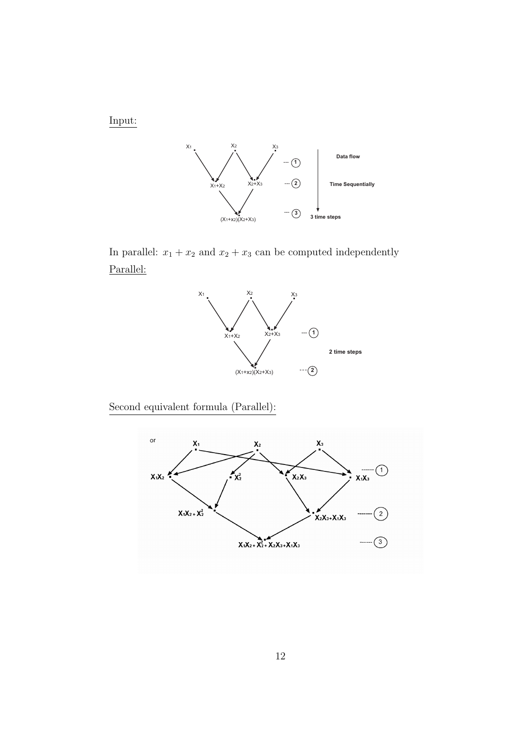Input:



In parallel:  $x_1 + x_2$  and  $x_2 + x_3$  can be computed independently Parallel:



Second equivalent formula (Parallel):

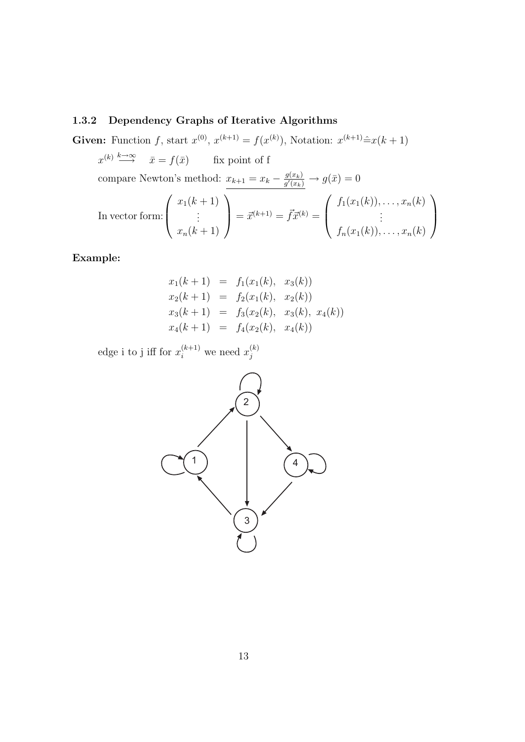#### 1.3.2 Dependency Graphs of Iterative Algorithms

Given: Function f, start  $x^{(0)}$ ,  $x^{(k+1)} = f(x^{(k)})$ , Notation:  $x^{(k+1)} \hat{=} x(k+1)$ 

 $x^{(k)} \stackrel{k \to \infty}{\longrightarrow} \bar{x} = f(\bar{x})$  fix point of f

compare Newton's method:  $x_{k+1} = x_k - \frac{g(x_k)}{g'(x_k)}$  $\frac{g(x_k)}{g'(x_k)} \to g(\bar{x}) = 0$ 

In vector form: 
$$
\begin{pmatrix} x_1(k+1) \\ \vdots \\ x_n(k+1) \end{pmatrix} = \vec{x}^{(k+1)} = \vec{f}\vec{x}^{(k)} = \begin{pmatrix} f_1(x_1(k)), \dots, x_n(k) \\ \vdots \\ f_n(x_1(k)), \dots, x_n(k) \end{pmatrix}
$$

Example:

$$
x_1(k + 1) = f_1(x_1(k), x_3(k))
$$
  
\n
$$
x_2(k + 1) = f_2(x_1(k), x_2(k))
$$
  
\n
$$
x_3(k + 1) = f_3(x_2(k), x_3(k), x_4(k))
$$
  
\n
$$
x_4(k + 1) = f_4(x_2(k), x_4(k))
$$

edge i to j iff for  $x_i^{(k+1)}$  we need  $x_j^{(k)}$ j

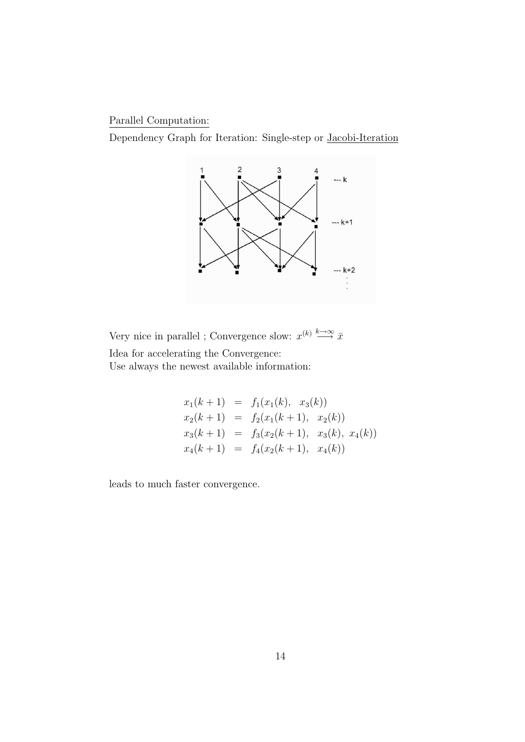Parallel Computation:

Dependency Graph for Iteration: Single-step or Jacobi-Iteration



Very nice in parallel ; Convergence slow:  $x^{(k)} \stackrel{k \to \infty}{\longrightarrow} \bar{x}$ 

Idea for accelerating the Convergence: Use always the newest available information:

$$
x_1(k+1) = f_1(x_1(k), x_3(k))
$$
  
\n
$$
x_2(k+1) = f_2(x_1(k+1), x_2(k))
$$
  
\n
$$
x_3(k+1) = f_3(x_2(k+1), x_3(k), x_4(k))
$$
  
\n
$$
x_4(k+1) = f_4(x_2(k+1), x_4(k))
$$

leads to much faster convergence.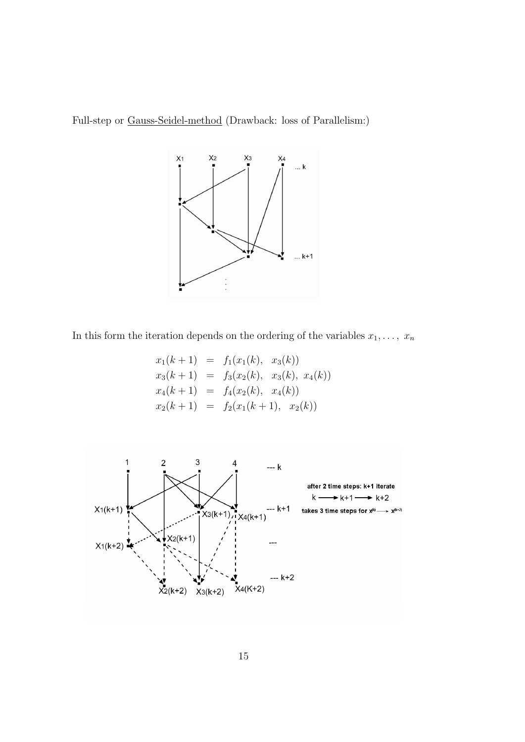Full-step or Gauss-Seidel-method (Drawback: loss of Parallelism:)



In this form the iteration depends on the ordering of the variables  $x_1, \ldots, x_n$ 

$$
x_1(k+1) = f_1(x_1(k), x_3(k))
$$
  
\n
$$
x_3(k+1) = f_3(x_2(k), x_3(k), x_4(k))
$$
  
\n
$$
x_4(k+1) = f_4(x_2(k), x_4(k))
$$
  
\n
$$
x_2(k+1) = f_2(x_1(k+1), x_2(k))
$$

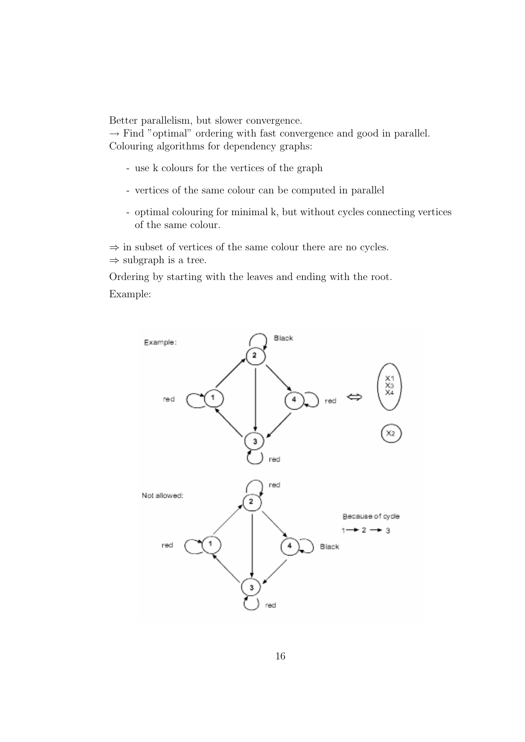Better parallelism, but slower convergence.

 $\rightarrow$  Find "optimal" ordering with fast convergence and good in parallel. Colouring algorithms for dependency graphs:

- use k colours for the vertices of the graph
- vertices of the same colour can be computed in parallel
- optimal colouring for minimal k, but without cycles connecting vertices of the same colour.

 $\Rightarrow$  in subset of vertices of the same colour there are no cycles.

 $\Rightarrow$  subgraph is a tree.

Ordering by starting with the leaves and ending with the root.

Example:

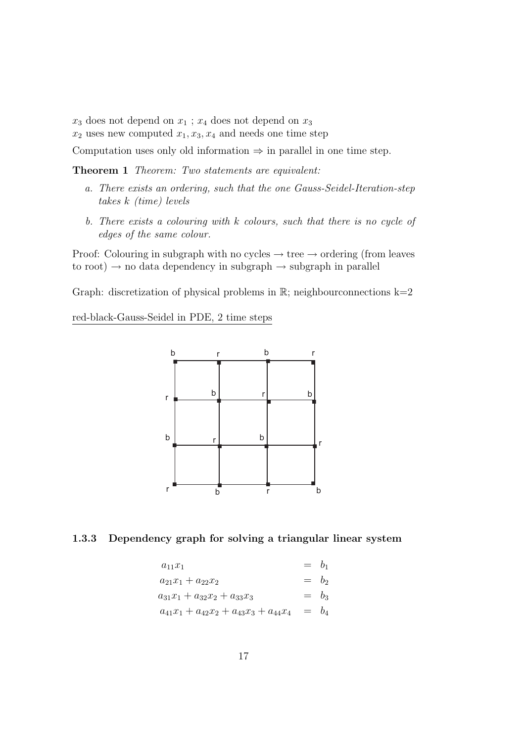$x_3$  does not depend on  $x_1$ ;  $x_4$  does not depend on  $x_3$ 

 $x_2$  uses new computed  $x_1, x_3, x_4$  and needs one time step

Computation uses only old information  $\Rightarrow$  in parallel in one time step.

Theorem 1 Theorem: Two statements are equivalent:

- a. There exists an ordering, such that the one Gauss-Seidel-Iteration-step takes k (time) levels
- b. There exists a colouring with k colours, such that there is no cycle of edges of the same colour.

Proof: Colouring in subgraph with no cycles  $\rightarrow$  tree  $\rightarrow$  ordering (from leaves to root)  $\rightarrow$  no data dependency in subgraph  $\rightarrow$  subgraph in parallel

Graph: discretization of physical problems in  $\mathbb{R}$ ; neighbourconnections  $k=2$ 

red-black-Gauss-Seidel in PDE, 2 time steps



#### 1.3.3 Dependency graph for solving a triangular linear system

$$
a_{11}x_1 = b_1
$$
  
\n
$$
a_{21}x_1 + a_{22}x_2 = b_2
$$
  
\n
$$
a_{31}x_1 + a_{32}x_2 + a_{33}x_3 = b_3
$$
  
\n
$$
a_{41}x_1 + a_{42}x_2 + a_{43}x_3 + a_{44}x_4 = b_4
$$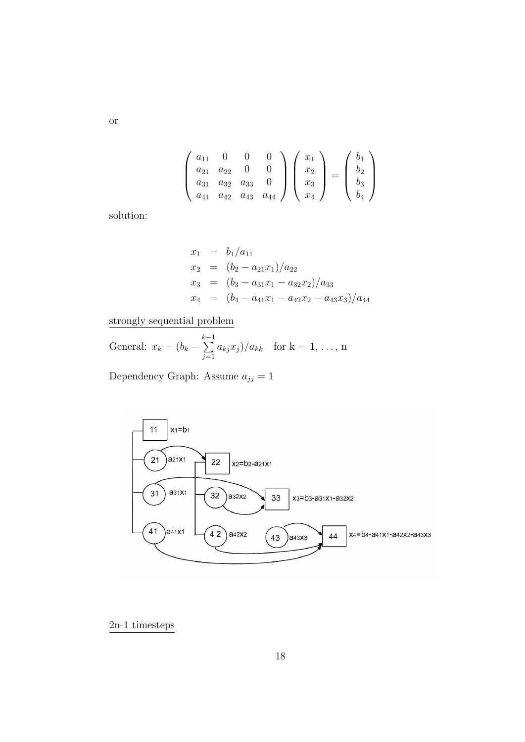$$
\begin{pmatrix} a_{11} & 0 & 0 & 0 \ a_{21} & a_{22} & 0 & 0 \ a_{31} & a_{32} & a_{33} & 0 \ a_{41} & a_{42} & a_{43} & a_{44} \end{pmatrix} \begin{pmatrix} x_1 \ x_2 \ x_3 \ x_4 \end{pmatrix} = \begin{pmatrix} b_1 \ b_2 \ b_3 \ b_4 \end{pmatrix}
$$

solution:

$$
x_1 = b_1/a_{11}
$$
  
\n
$$
x_2 = (b_2 - a_{21}x_1)/a_{22}
$$
  
\n
$$
x_3 = (b_3 - a_{31}x_1 - a_{32}x_2)/a_{33}
$$
  
\n
$$
x_4 = (b_4 - a_{41}x_1 - a_{42}x_2 - a_{43}x_3)/a_{44}
$$

strongly sequential problem

General:  $x_k = (b_k \sum_{i=1}^{k-1}$  $j=1$  $a_{kj}x_j)/a_{kk}$  for  $k = 1, ..., n$ 

Dependency Graph: Assume  $a_{jj} = 1$ 



2n-1 timesteps

or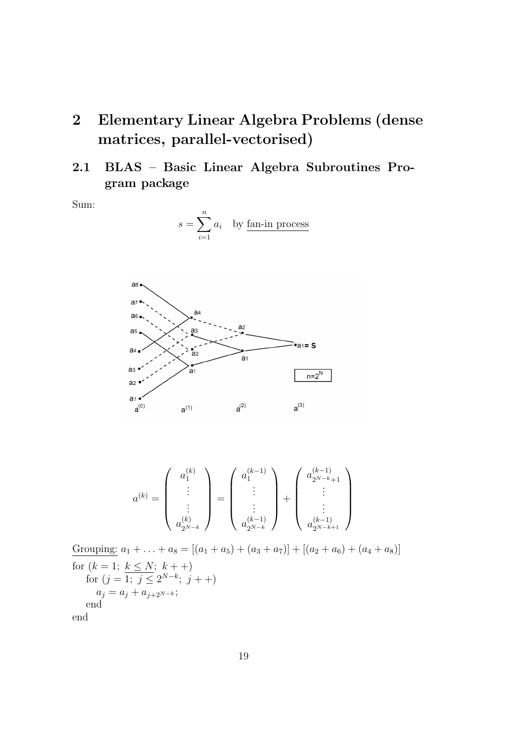- 2 Elementary Linear Algebra Problems (dense matrices, parallel-vectorised)
- 2.1 BLAS Basic Linear Algebra Subroutines Program package

Sum:

$$
s = \sum_{i=1}^{n} a_i
$$
 by fan-in process



$$
a^{(k)} = \left(\begin{array}{c} a_1^{(k)} \\ \vdots \\ a_{2^{N-k}}^{(k)} \end{array}\right) = \left(\begin{array}{c} a_1^{(k-1)} \\ \vdots \\ a_{2^{N-k}}^{(k-1)} \end{array}\right) + \left(\begin{array}{c} a_{2^{N-k}+1}^{(k-1)} \\ \vdots \\ a_{2^{N-k}+1}^{(k-1)} \end{array}\right)
$$

Grouping:  $a_1 + \ldots + a_8 = [(a_1 + a_5) + (a_3 + a_7)] + [(a_2 + a_6) + (a_4 + a_8)]$ for  $(k = 1; k \leq N; k++)$ for  $(j = 1; j \le 2^{N-k}; j++)$  $a_j = a_j + a_{j+2^{N-k}};$ end

end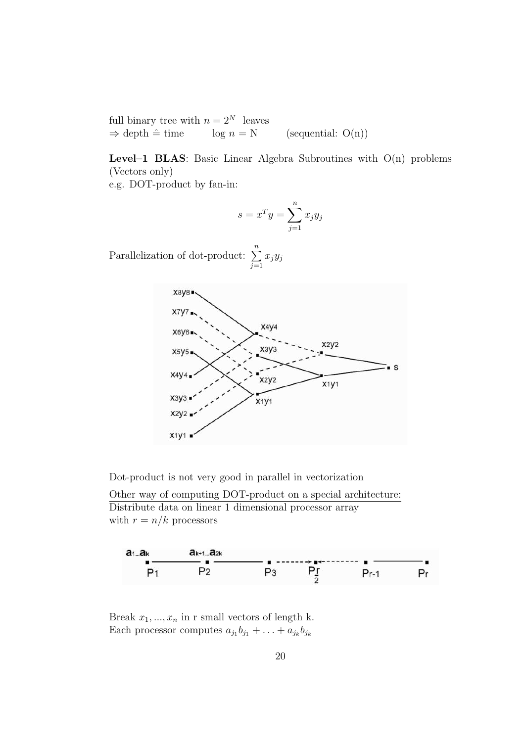full binary tree with  $n = 2^N$  leaves  $\Rightarrow$  depth  $\hat{=}$  time log  $n = N$  (sequential: O(n))

Level–1 BLAS: Basic Linear Algebra Subroutines with  $O(n)$  problems (Vectors only)

e.g. DOT-product by fan-in:

$$
s = x^T y = \sum_{j=1}^n x_j y_j
$$

Parallelization of dot-product:  $\sum_{n=1}^{\infty}$  $j=1$  $x_jy_j$ 



Dot-product is not very good in parallel in vectorization

Other way of computing DOT-product on a special architecture: Distribute data on linear 1 dimensional processor array with  $r = n/k$  processors



Break  $x_1, ..., x_n$  in r small vectors of length k. Each processor computes  $a_{j_1}b_{j_1} + \ldots + a_{j_k}b_{j_k}$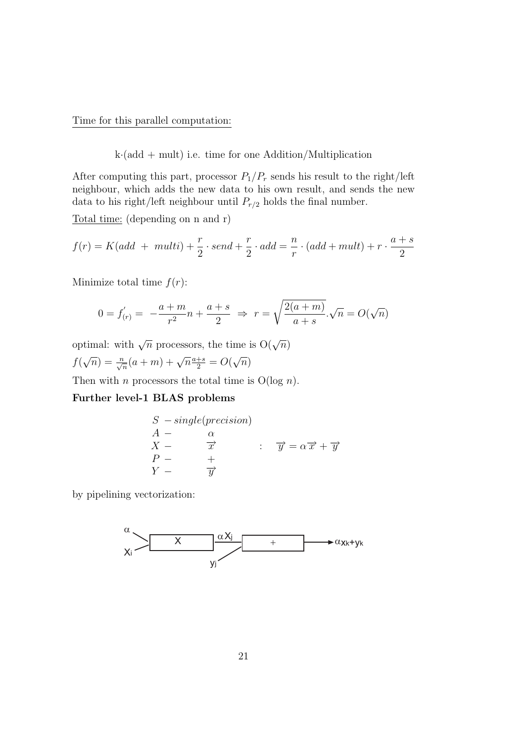Time for this parallel computation:

k·(add + mult) i.e. time for one Addition/Multiplication

After computing this part, processor  $P_1/P_r$  sends his result to the right/left neighbour, which adds the new data to his own result, and sends the new data to his right/left neighbour until  $P_{r/2}$  holds the final number.

Total time: (depending on n and r)

$$
f(r) = K(add + multi) + \frac{r}{2} \cdot send + \frac{r}{2} \cdot add = \frac{n}{r} \cdot (add + multi) + r \cdot \frac{a+s}{2}
$$

Minimize total time  $f(r)$ :

$$
0 = f'_{(r)} = -\frac{a+m}{r^2}n + \frac{a+s}{2} \implies r = \sqrt{\frac{2(a+m)}{a+s}}.\sqrt{n} = O(\sqrt{n})
$$

optimal: with  $\sqrt{n}$  processors, the time is  $O(\sqrt{n})$  $f($  $\sqrt{n}$ ) =  $\frac{n}{\sqrt{n}}(a+m) + \sqrt{n} \frac{a+s}{2} = O(a)$ √  $\overline{n})$ 

Then with *n* processors the total time is  $O(log n)$ .

#### Further level-1 BLAS problems

|       | $S$ – single(precision) |                                                                       |
|-------|-------------------------|-----------------------------------------------------------------------|
|       |                         |                                                                       |
| $X -$ | $\overrightarrow{x}$    | $\overrightarrow{y} = \alpha \overrightarrow{x} + \overrightarrow{y}$ |
| $P =$ |                         |                                                                       |
|       |                         |                                                                       |

by pipelining vectorization:

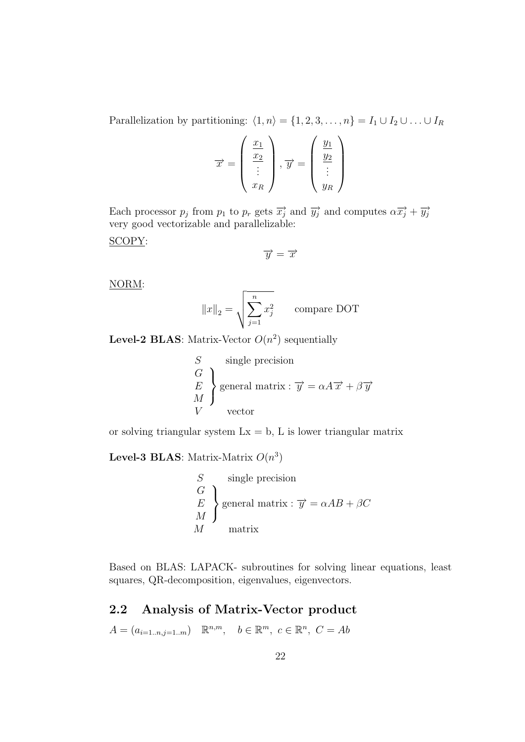Parallelization by partitioning:  $\langle 1, n \rangle = \{1, 2, 3, \ldots, n\} = I_1 \cup I_2 \cup \ldots \cup I_R$ 

$$
\overrightarrow{x} = \begin{pmatrix} \frac{x_1}{x_2} \\ \vdots \\ x_R \end{pmatrix}, \overrightarrow{y} = \begin{pmatrix} \frac{y_1}{y_2} \\ \vdots \\ y_R \end{pmatrix}
$$

Each processor  $p_j$  from  $p_1$  to  $p_r$  gets  $\overrightarrow{x_j}$  and  $\overrightarrow{y_j}$  and computes  $\alpha \overrightarrow{x_j} + \overrightarrow{y_j}$ very good vectorizable and parallelizable:

SCOPY:

$$
\overrightarrow{y} = \overrightarrow{x}
$$

NORM:

$$
||x||_2 = \sqrt{\sum_{j=1}^n x_j^2}
$$
 compare DOT

**Level-2 BLAS**: Matrix-Vector  $O(n^2)$  sequentially

$$
\begin{aligned}\nS & \text{single precision} \\
G & \text{E} \\
M & \text{general matrix}: \overrightarrow{y} = \alpha A \overrightarrow{x} + \beta \overrightarrow{y} \\
V & \text{vector}\n\end{aligned}
$$

or solving triangular system  $Lx = b$ , L is lower triangular matrix

**Level-3 BLAS**: Matrix-Matrix  $O(n^3)$ 

$$
\begin{aligned}\nS &\text{single precision} \\
G &\text{E} \\
M &\text{general matrix}: \overrightarrow{y} = \alpha AB + \beta C \\
M &\text{matrix}\n\end{aligned}
$$

Based on BLAS: LAPACK- subroutines for solving linear equations, least squares, QR-decomposition, eigenvalues, eigenvectors.

## 2.2 Analysis of Matrix-Vector product

 $A = (a_{i=1..n,j=1..m}) \mathbb{R}^{n,m}, b \in \mathbb{R}^m, c \in \mathbb{R}^n, C = Ab$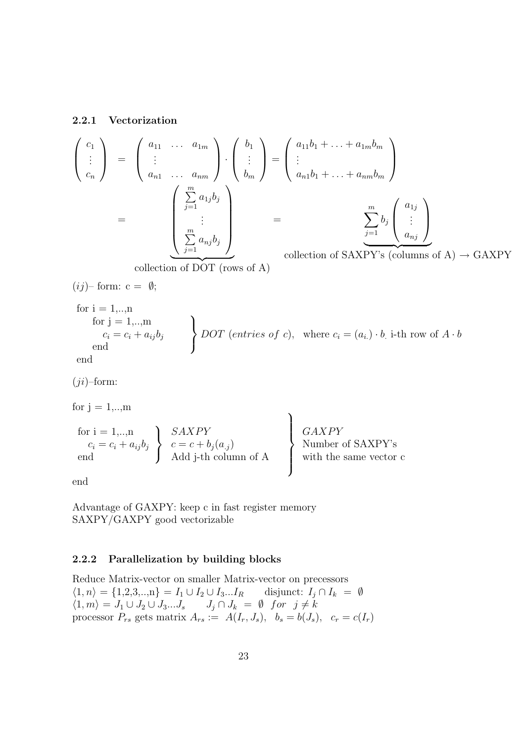#### 2.2.1 Vectorization

$$
\begin{pmatrix}\nc_1 \\
\vdots \\
c_n\n\end{pmatrix} = \begin{pmatrix}\na_{11} & \cdots & a_{1m} \\
\vdots & & \\
a_{n1} & \cdots & a_{nm}\n\end{pmatrix} \cdot \begin{pmatrix}\nb_1 \\
\vdots \\
b_m\n\end{pmatrix} = \begin{pmatrix}\na_{11}b_1 + \cdots + a_{1m}b_m \\
\vdots \\
a_{n1}b_1 + \cdots + a_{nm}b_m\n\end{pmatrix}
$$
\n
$$
= \begin{pmatrix}\n\sum_{j=1}^{m} a_{1j}b_j \\
\vdots \\
\sum_{j=1}^{m} a_{nj}b_j\n\end{pmatrix} = \begin{pmatrix}\na_{11} & & \\
\sum_{j=1}^{m} b_j\n\end{pmatrix} \cdot \begin{pmatrix}\na_{1j} \\
\vdots \\
a_{nj}\n\end{pmatrix}
$$
\ncollection of SAXPY's (columns of A)  $\rightarrow$  GAXPY

 $\overline{\text{collection of DOT (rows of A)}}$ 

$$
(ij)- form: c = \emptyset;
$$
  
for i = 1,...,n  
for j = 1,...,m  
 $c_i = c_i + a_{ij}b_j$   
end  
 
$$
DOT
$$
 (entries of c), where  $c_i = (a_{i.}) \cdot b$  i-th row of  $A \cdot b$   
end

end

 $(ji)$ –form:

for  $j = 1, \ldots, m$ 

for 
$$
i = 1,...,n
$$
  
\n $c_i = c_i + a_{ij}b_j$   
\n $\left.\begin{array}{c}\nSAXPY \\
c = c + b_j(a_j) \\
Add j-th column of A\n\end{array}\right\}$   
\n $\left.\begin{array}{c}\nGAXPY \\
Number of SAXPY'\n\end{array}\right\}$   
\n $\left.\begin{array}{c}\nGAXPY' \\
Number of SAXPY'\n\end{array}\right\}$ 

end

Advantage of GAXPY: keep c in fast register memory SAXPY/GAXPY good vectorizable

#### 2.2.2 Parallelization by building blocks

Reduce Matrix-vector on smaller Matrix-vector on precessors  $\langle 1, n \rangle = \{1, 2, 3, \ldots, n\} = I_1 \cup I_2 \cup I_3 \ldots I_R$  disjunct:  $I_j \cap I_k = \emptyset$  $\langle 1, m \rangle = J_1 \cup J_2 \cup J_3...J_s \qquad J_j \cap J_k = \emptyset \text{ for } j \neq k$ processor  $P_{rs}$  gets matrix  $A_{rs} := A(I_r, J_s)$ ,  $b_s = b(J_s)$ ,  $c_r = c(I_r)$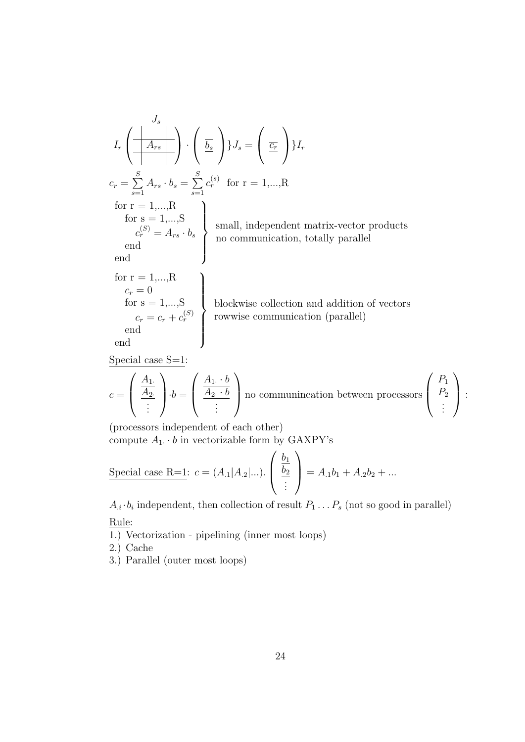$$
I_r\left(\frac{\left|\overline{A_{rs}}\right|}{\left|\overline{A_{rs}}\right|}\right)\cdot\left(\frac{\overline{b_s}}{\underline{b_s}}\right)J_s = \left(\frac{\overline{c_r}}{\underline{c_r}}\right)J_r
$$
  
\n
$$
c_r = \sum_{s=1}^{S} A_{rs} \cdot b_s = \sum_{s=1}^{S} c_r^{(s)}
$$
 for  $r = 1,...,R$   
\nfor  $r = 1,...,R$   
\nfor  $s = 1,...,S$   
\n
$$
\begin{array}{c} c_r^{(S)} = A_{rs} \cdot b_s \\ \text{end} \\ \text{end} \\ \text{for } r = 1,...,R \\ \text{for } r = 1,...,R \\ \text{for } r = 1,...,R \\ \text{for } r = 0 \\ \text{for } s = 1,...,S \\ \text{for } s = 1,...,S \\ \text{for } s = c_r + c_r^{(S)} \\ \text{end} \end{array}
$$
blockwise collection and addition of vectors  
\n
$$
c_r = c_r + c_r^{(S)}
$$
bowwise communication (parallel)

Special case  $S=1$ :

$$
c = \left(\begin{array}{c} \frac{A_1}{A_2} \\ \vdots \end{array}\right) \cdot b = \left(\begin{array}{c} \frac{A_1 \cdot b}{A_2 \cdot b} \\ \vdots \end{array}\right)
$$
 no communication between processors  $\left(\begin{array}{c} P_1 \\ P_2 \\ \vdots \end{array}\right)$ :

(processors independent of each other) compute  $A_1 \cdot b$  in vectorizable form by GAXPY's

Special case R=1: 
$$
c = (A_{.1}|A_{.2}|...)
$$
.  $\left(\begin{array}{c} \frac{b_1}{b_2} \\ \vdots \end{array}\right) = A_{.1}b_1 + A_{.2}b_2 + ...$ 

 $A_i \cdot b_i$  independent, then collection of result  $P_1 \ldots P_s$  (not so good in parallel) Rule:

1.) Vectorization - pipelining (inner most loops)

2.) Cache

3.) Parallel (outer most loops)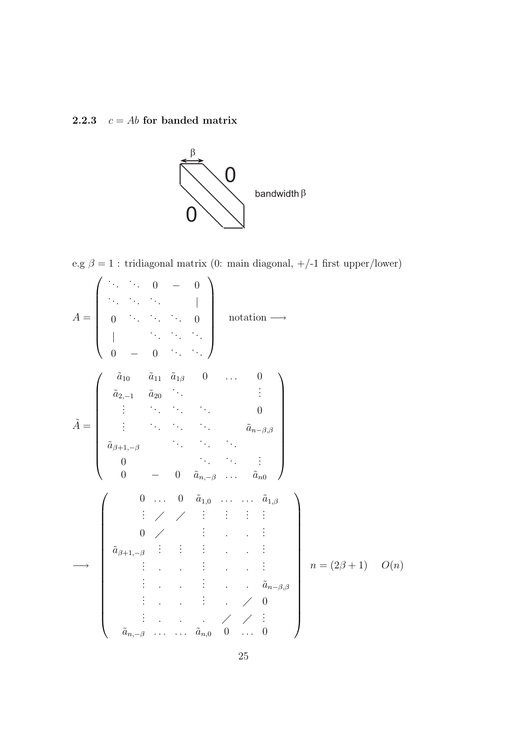## 2.2.3  $c = Ab$  for banded matrix



e.g $\beta=1$ : tridiagonal matrix (0: main diagonal,  $+/-1$  first upper/lower)

$$
\tilde{A} = \begin{pmatrix}\n\ddots & \ddots & 0 & - & 0 \\
\ddots & \ddots & \ddots & \ddots & \ddots & 0 \\
0 & \ddots & \ddots & \ddots & 0 \\
\vdots & \ddots & \ddots & \ddots & 0 \\
\ddots & \ddots & \ddots & \ddots & 0 \\
\vdots & \ddots & \ddots & \ddots & 0 \\
\vdots & \ddots & \ddots & \ddots & \ddots & \ddots \\
\vdots & \ddots & \ddots & \ddots & \ddots & \ddots \\
\vdots & \ddots & \ddots & \ddots & \ddots & \vdots \\
0 & - & 0 & \tilde{a}_{n-\beta} & \dots & \tilde{a}_{n0}\n\end{pmatrix}
$$
\n
$$
\tilde{A} = \begin{pmatrix}\n\tilde{a}_{10} & \tilde{a}_{11} & \tilde{a}_{1\beta} & 0 & \dots & 0 \\
\tilde{a}_{2,-1} & \tilde{a}_{20} & \ddots & \ddots & \vdots \\
\vdots & \ddots & \ddots & \ddots & \ddots & \vdots \\
\tilde{a}_{\beta+1,-\beta} & \ddots & \ddots & \ddots & \vdots \\
\vdots & \ddots & \ddots & \ddots & \ddots & \vdots \\
\tilde{a}_{\beta+1,-\beta} & \ddots & \ddots & \ddots & \ddots & \vdots \\
\vdots & \ddots & \ddots & \ddots & \ddots & \vdots \\
\tilde{a}_{n-1,-\beta} & \ddots & \ddots & \ddots & \ddots & \vdots \\
\vdots & \ddots & \ddots & \ddots & \ddots & \ddots & \vdots \\
\tilde{a}_{n-2}, & \ddots & \ddots & \ddots & \ddots & \ddots & \vdots\n\end{pmatrix}
$$
\n
$$
n = (2\beta + 1) \quad O(n)
$$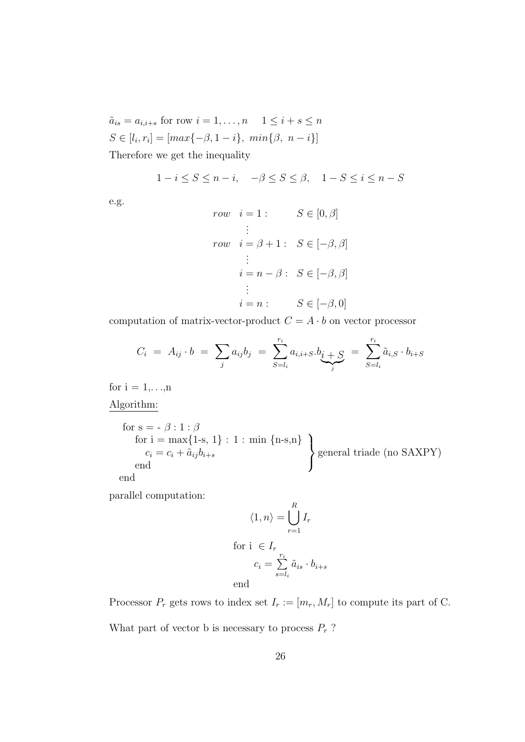$\tilde{a}_{is} = a_{i,i+s}$  for row  $i = 1, \ldots, n$   $1 \leq i+s \leq n$  $S \in [l_i, r_i] = [max{-\beta, 1 - i}, min{\beta, n - i}]$ Therefore we get the inequality

$$
1 - i \leq S \leq n - i, \quad -\beta \leq S \leq \beta, \quad 1 - S \leq i \leq n - S
$$

e.g.

$$
row \quad i = 1: \qquad S \in [0, \beta]
$$
  
\n
$$
\vdots
$$
  
\n
$$
row \quad i = \beta + 1: \quad S \in [-\beta, \beta]
$$
  
\n
$$
\vdots
$$
  
\n
$$
i = n - \beta: \quad S \in [-\beta, \beta]
$$
  
\n
$$
\vdots
$$
  
\n
$$
i = n: \qquad S \in [-\beta, 0]
$$

computation of matrix-vector-product  $C = A \cdot b$  on vector processor

$$
C_i = A_{ij} \cdot b = \sum_j a_{ij} b_j = \sum_{S=l_i}^{r_i} a_{i,i+S} \cdot b_{\underbrace{i+S}_{j}} = \sum_{S=l_i}^{r_i} \tilde{a}_{i,S} \cdot b_{i+S}
$$

for  $i = 1,...,n$ 

Algorithm:

for s = - 
$$
\beta
$$
 : 1 :  $\beta$   
\nfor i = max{1-s, 1} : 1 : min {n-s,n}  
\n $c_i = c_i + \tilde{a}_{ij}b_{i+s}$   
\nend  
\n
$$
\left.\begin{matrix}\n\text{general triade (no SAXPY)} \\
\text{general triade (no SAXPY)}\n\end{matrix}\right\}
$$

parallel computation:

$$
\langle 1, n \rangle = \bigcup_{r=1}^{R} I_r
$$
  
for  $i \in I_r$   

$$
c_i = \sum_{s=l_i}^{r_i} \tilde{a}_{is} \cdot b_{i+s}
$$
  
end

Processor  $P_r$  gets rows to index set  $I_r := [m_r, M_r]$  to compute its part of C.

What part of vector b is necessary to process  $P_r$ ?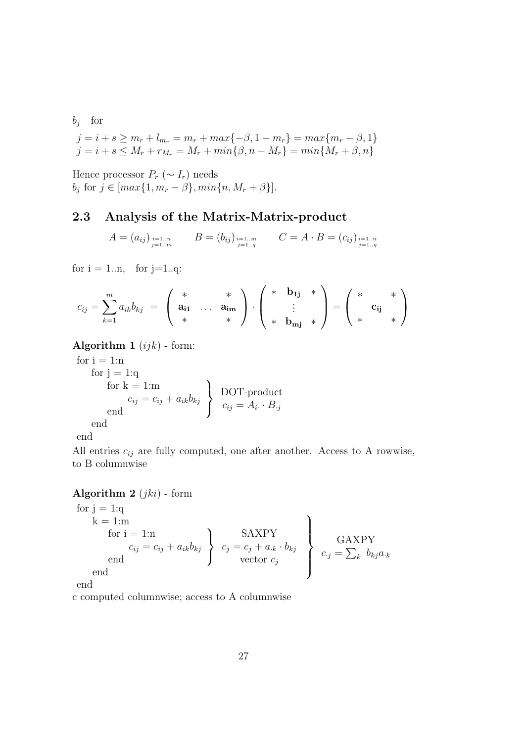$b_j$  for

$$
j = i + s \ge m_r + l_{m_r} = m_r + max\{-\beta, 1 - m_r\} = max\{m_r - \beta, 1\}
$$
  

$$
j = i + s \le M_r + r_{M_r} = M_r + min\{\beta, n - M_r\} = min\{M_r + \beta, n\}
$$

Hence processor  $P_r$  ( $\sim I_r$ ) needs  $b_j$  for  $j \in [max\{1, m_r - \beta\}, min\{n, M_r + \beta\}].$ 

### 2.3 Analysis of the Matrix-Matrix-product

$$
A = (a_{ij})_{\substack{i=1..n\\j=1..m}} \qquad B = (b_{ij})_{\substack{i=1..m\\j=1..q}} \qquad C = A \cdot B = (c_{ij})_{\substack{i=1..n\\j=1..q}}
$$

for  $i = 1..n$ , for  $j=1..q$ :

$$
c_{ij} = \sum_{k=1}^{m} a_{ik} b_{kj} = \begin{pmatrix} * & * \\ \mathbf{a_{i1}} & \cdots & \mathbf{a_{im}} \\ * & * \end{pmatrix} \cdot \begin{pmatrix} * & \mathbf{b_{1j}} & * \\ \vdots & \vdots \\ * & \mathbf{b_{mj}} & * \end{pmatrix} = \begin{pmatrix} * & * \\ \mathbf{c_{ij}} & * \\ * & * \end{pmatrix}
$$

Algorithm 1  $(ijk)$  - form:

for  $i = 1$ :n for  $j = 1:q$ for  $k = 1:m$  $c_{ij} = c_{ij} + a_{ik}b_{kj}$ end  $\mathcal{L}$  $\mathcal{L}$  $\int$ DOT-product  $c_{ij} = A_i \cdot B_{\cdot j}$ end

$$
\quad \text{end} \quad
$$

All entries  $c_{ij}$  are fully computed, one after another. Access to A rowwise, to B columnwise

**Algorithm 2** 
$$
(jki)
$$
 - form

for 
$$
j = 1
$$
:q  
\n $k = 1$ :m  
\nfor  $i = 1$ :n  
\n $c_{ij} = c_{ij} + a_{ik}b_{kj}$   
\nend  
\n $c_j = c_j + a_{ik} \cdot b_{kj}$   
\nvector  $c_j$   
\n $c_j = \sum_k b_{kj}a_{ik}$ 

end

c computed columnwise; access to A columnwise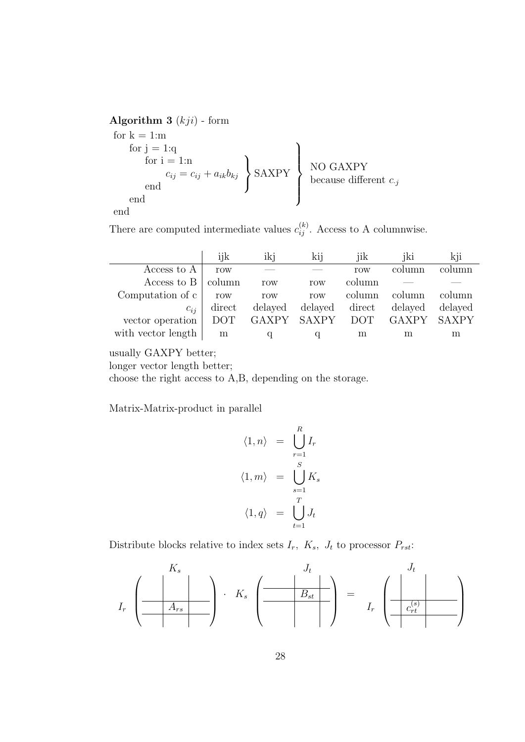Algorithm 3  $(kji)$  - form

for  $k = 1$ :m for  $j = 1:q$ for  $i = 1:n$  $c_{ij} = c_{ij} + a_{ik}b_{kj}$ end  $\mathcal{L}$  $\mathcal{L}$  $\int$ SAXPY end  $\mathcal{L}$  $\overline{\mathcal{L}}$  $\int$ NO GAXPY because different  $c_{\cdot j}$ end

There are computed intermediate values  $c_{ij}^{(k)}$ . Access to A columnwise.

|                    | 11 K       | ikj         | k11     | 11K        | jki     | k <sub>11</sub> |
|--------------------|------------|-------------|---------|------------|---------|-----------------|
| Access to A        | row        |             |         | row        | column  | lumn            |
| Access to B        | column     | row         | row     | column     |         |                 |
| Computation of c   | row        | row         | row     | column     | column  | column          |
| $c_{ii}$           | direct     | delayed     | delayed | direct     | delayed | delayed         |
| vector operation   | <b>DOT</b> | GAXPY SAXPY |         | <b>DOT</b> | GAXPY   | <b>SAXPY</b>    |
| with vector length | m          |             |         | m          | m       | m               |

usually GAXPY better;

longer vector length better;

choose the right access to A,B, depending on the storage.

Matrix-Matrix-product in parallel

$$
\langle 1, n \rangle = \bigcup_{r=1}^{R} I_r
$$
  

$$
\langle 1, m \rangle = \bigcup_{s=1}^{S} K_s
$$
  

$$
\langle 1, q \rangle = \bigcup_{t=1}^{T} J_t
$$

Distribute blocks relative to index sets  $I_r$ ,  $K_s$ ,  $J_t$  to processor  $P_{rst}$ :

$$
I_r \left( \begin{array}{c|c} & K_s & & J_t & & J_t \\ \hline & A_{rs} & & \\ \hline & & & & \\ \hline & & & & \\ \hline & & & & \\ \hline & & & & \\ \hline & & & & \\ \hline & & & & \\ \hline & & & & \\ \hline & & & & \\ \hline & & & & \\ \hline & & & & \\ \hline & & & & \\ \hline & & & & \\ \hline & & & & \\ \hline & & & & \\ \hline & & & & \\ \hline & & & & \\ \hline & & & & \\ \hline & & & & \\ \hline & & & & \\ \hline & & & & \\ \hline & & & & \\ \hline & & & & \\ \hline & & & & \\ \hline & & & & \\ \hline & & & & \\ \hline & & & & \\ \hline & & & & \\ \hline & & & & \\ \hline & & & & \\ \hline & & & & \\ \hline & & & & \\ \hline & & & & \\ \hline & & & & \\ \hline & & & & \\ \hline & & & & \\ \hline & & & & \\ \hline & & & & \\ \hline & & & & \\ \hline & & & & \\ \hline & & & & \\ \hline & & & & \\ \hline & & & & \\ \hline & & & & \\ \hline & & & & \\ \hline & & & & \\ \hline & & & & \\ \hline & & & & \\ \hline & & & & \\ \hline & & & & \\ \hline & & & & \\ \hline & & & & \\ \hline & & & & \\ \hline & & & & \\ \hline & & & & \\ \hline & & & & \\ \hline & & & & \\ \hline & & & & \\ \hline & & & & \\ \hline & & & & \\ \hline & & & & \\ \hline & & & & \\ \hline & & & & \\ \hline & & & & \\ \hline & & & & \\ \hline & & & & \\ \hline & & & & \\ \hline & & & & \\ \hline & & & & \\ \hline & & & & \\ \hline & & & & \\ \hline & & & & \\ \hline & & & & \\ \hline & & & & \\ \hline & & & & \\ \hline & & & & \\ \hline & & & & \\ \hline & & & & & \\ \hline & & & & & \\ \hline & & & & & \\ \hline & & & & & \\ \hline & & & & & \\ \hline & & & & & \\ \hline & & & & & \\ \hline & & & & & \\ \hline & & & & & \\ \hline & & & & & \\ \hline & & & & & \\ \hline & & & & & \\ \hline & & &
$$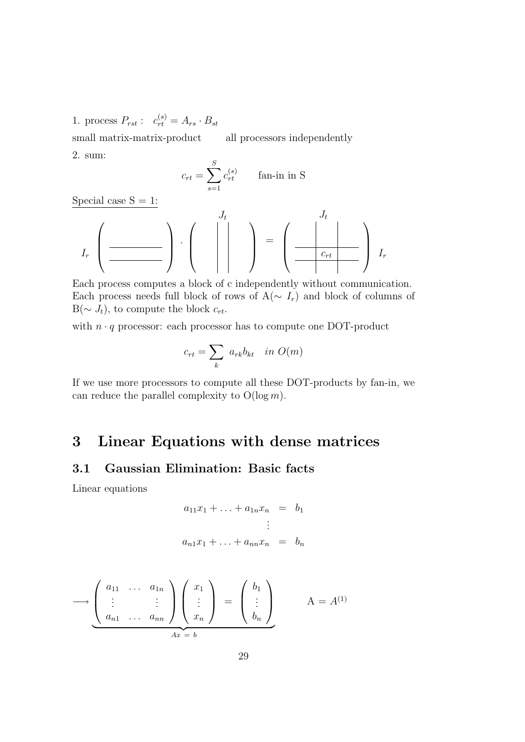1. process  $P_{rst}$ :  $c_{rt}^{(s)} = A_{rs} \cdot B_{st}$ 

small matrix-matrix-product all processors independently 2. sum:

$$
c_{rt} = \sum_{s=1}^{S} c_{rt}^{(s)} \qquad \text{fan-in in S}
$$

Special case  $S = 1$ :

Ir . Jt = Jt <sup>c</sup>rt Ir

Each process computes a block of c independently without communication. Each process needs full block of rows of  $A(\sim I_r)$  and block of columns of  $B(\sim J_t)$ , to compute the block  $c_{rt}$ .

with  $n \cdot q$  processor: each processor has to compute one DOT-product

$$
c_{rt} = \sum_{k} a_{rk} b_{kt} \quad in \ O(m)
$$

If we use more processors to compute all these DOT-products by fan-in, we can reduce the parallel complexity to  $O(\log m)$ .

## 3 Linear Equations with dense matrices

## 3.1 Gaussian Elimination: Basic facts

Linear equations

$$
a_{11}x_1 + \ldots + a_{1n}x_n = b_1
$$
  
  $\vdots$   
\n
$$
a_{n1}x_1 + \ldots + a_{nn}x_n = b_n
$$

$$
\longrightarrow \underbrace{\left(\begin{array}{ccc} a_{11} & \dots & a_{1n} \\ \vdots & & \vdots \\ a_{n1} & \dots & a_{nn} \end{array}\right)}_{Ax = b} \left(\begin{array}{c} x_1 \\ \vdots \\ x_n \end{array}\right) = \left(\begin{array}{c} b_1 \\ \vdots \\ b_n \end{array}\right)}_{A = A^{(1)}
$$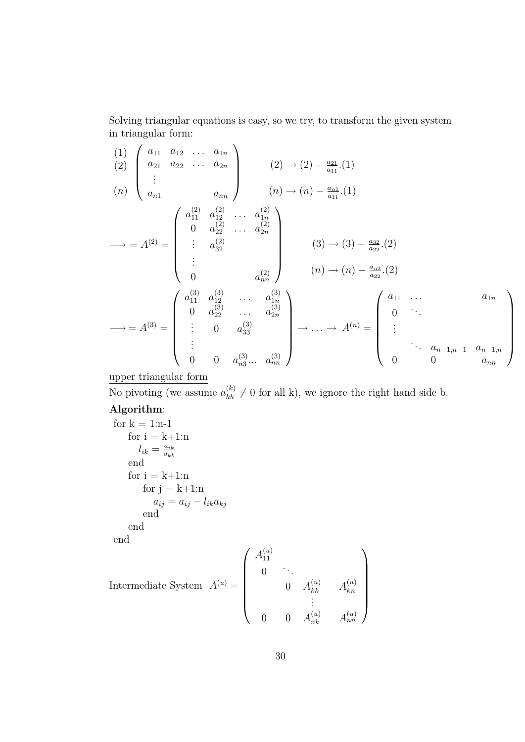Solving triangular equations is easy, so we try, to transform the given system in triangular form:

(1) (2) (n) a<sup>11</sup> a<sup>12</sup> . . . a1<sup>n</sup> a<sup>21</sup> a<sup>22</sup> . . . a2<sup>n</sup> . . . an<sup>1</sup> ann (2) → (2) − a<sup>21</sup> a<sup>11</sup> .(1) (n) → (n) − an<sup>1</sup> a<sup>11</sup> .(1) −→ = A(2) = a (2) <sup>11</sup> a (2) <sup>12</sup> . . . a (2) 1n 0 a (2) <sup>22</sup> . . . a (2) 2n . . . a (2) 32 . . . 0 a (2) nn (3) → (3) − a<sup>32</sup> a<sup>22</sup> .(2) (n) → (n) − an<sup>2</sup> a<sup>22</sup> .(2) −→ = A(3) = a (3) <sup>11</sup> a (3) <sup>12</sup> . . . a (3) 1n 0 a (3) <sup>22</sup> . . . a (3) 2n . . . 0 a (3) 33 . . . 0 0 a (3) n3 ... a (3) nn → . . . → A(n) = a<sup>11</sup> . . . a1<sup>n</sup> 0 . . . . . . . . . an−1,n−<sup>1</sup> an−1,n 0 0 ann 

upper triangular form

No pivoting (we assume  $a_{kk}^{(k)} \neq 0$  for all k), we ignore the right hand side b.

#### Algorithm:

```
for k = 1:n-1for i = k+1:n
         l_{ik} = \frac{a_{ik}}{a_{kk}}a_{kk}end
     for i = k+1:nfor j = k+1:na_{ij} = a_{ij} - l_{ik}a_{kj}end
     end
end
                                                  \mathcal{L}(\mathbf{v})
```
Intermediate System

\n
$$
A^{(u)} = \begin{pmatrix} A_{11}^{(u)} & & & \\ 0 & \ddots & & \\ & 0 & A_{kk}^{(u)} & A_{kn}^{(u)} \\ & & \vdots & \\ 0 & 0 & A_{nk}^{(u)} & A_{nn}^{(u)} \end{pmatrix}
$$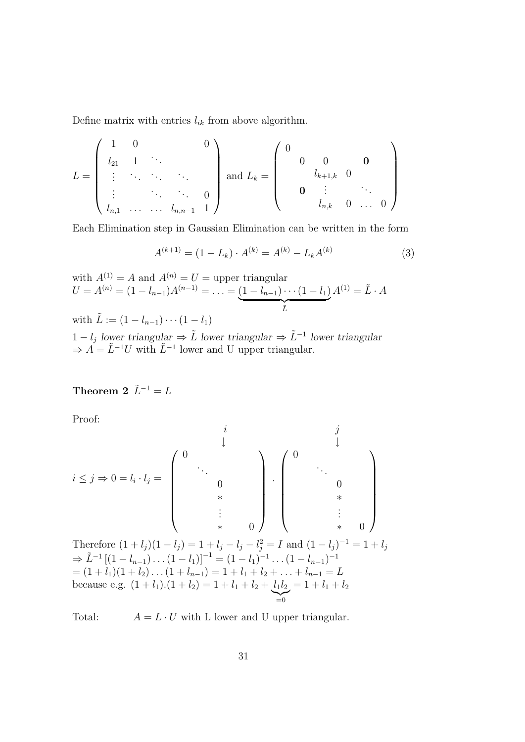Define matrix with entries  $l_{ik}$  from above algorithm.

$$
L = \begin{pmatrix} 1 & 0 & & & 0 \\ l_{21} & 1 & \cdots & & \\ \vdots & \ddots & \ddots & & \\ \vdots & & \ddots & \ddots & 0 \\ l_{n,1} & \cdots & \cdots & l_{n,n-1} & 1 \end{pmatrix} \text{ and } L_k = \begin{pmatrix} 0 & & & & \\ & 0 & 0 & & 0 \\ & & l_{k+1,k} & 0 & \\ & & & \vdots & \ddots \\ & & & & l_{n,k} & 0 & \cdots & 0 \end{pmatrix}
$$

Each Elimination step in Gaussian Elimination can be written in the form

$$
A^{(k+1)} = (1 - L_k) \cdot A^{(k)} = A^{(k)} - L_k A^{(k)}
$$
\n(3)

with 
$$
A^{(1)} = A
$$
 and  $A^{(n)} = U$  = upper triangular  
\n $U = A^{(n)} = (1 - l_{n-1})A^{(n-1)} = \dots = (1 - l_{n-1}) \cdots (1 - l_1)A^{(1)} = \tilde{L} \cdot A$   
\nwith  $\tilde{L} := (1 - l_{n-1}) \cdots (1 - l_1)$ 

1 −  $l_j$  lower triangular  $\Rightarrow \tilde{L}$  lower triangular  $\Rightarrow \tilde{L}^{-1}$  lower triangular  $\Rightarrow A = \tilde{L}^{-1}U$  with  $\tilde{L}^{-1}$  lower and U upper triangular.

## Theorem 2  $\tilde{L}^{-1} = L$

Proof:

i ≤ j ⇒ 0 = l<sup>i</sup> · l<sup>j</sup> = i ↓ 0 . . . 0 ∗ . . . ∗ 0 ∗ 0 . j ↓ 0 . . . 0 ∗ . . . 

Therefore  $(1 + l_j)(1 - l_j) = 1 + l_j - l_j - l_j^2 = I$  and  $(1 - l_j)^{-1} = 1 + l_j$  $\Rightarrow \tilde{L}^{-1}\left[(1-l_{n-1})\dots(1-l_1)\right]^{-1}=(1-l_1)^{-1}\dots(1-l_{n-1})^{-1}$  $=(1 + l_1)(1 + l_2)\ldots(1 + l_{n-1}) = 1 + l_1 + l_2 + \ldots + l_{n-1} = L$ because e.g.  $(1 + l_1)(1 + l_2) = 1 + l_1 + l_2 + l_1l_2$  $\sum_{i=0}$  $= 1 + l_1 + l_2$ 

Total:  $A = L \cdot U$  with L lower and U upper triangular.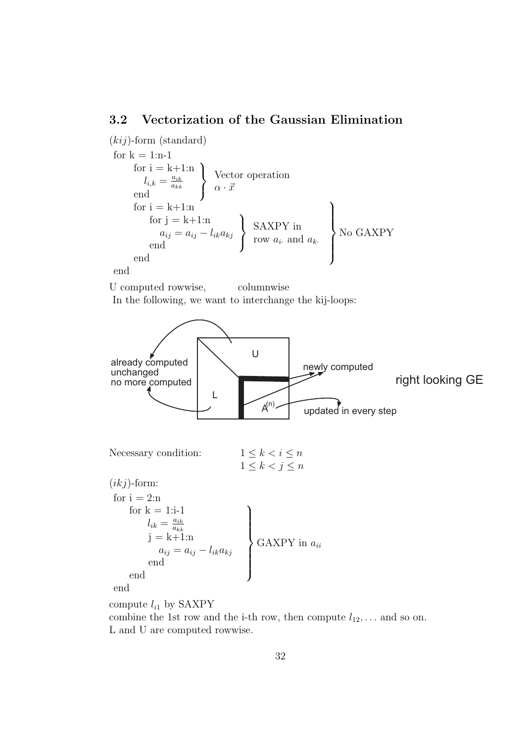#### 3.2 Vectorization of the Gaussian Elimination

 $(kij)$ -form (standard) for  $k = 1:n-1$ for  $i = k+1:n$  $l_{i,k} = \frac{a_{ik}}{a_{kk}}$  $a_{kk}$ end  $\mathcal{L}$  $\mathcal{L}$  $\int$ Vector operation  $\alpha \cdot \vec{x}$ for  $i = k+1:n$ for  $j = k+1:n$  $a_{ij} = a_{ij} - l_{ik}a_{kj}$ end  $\mathcal{L}$  $\mathcal{L}$  $\int$ SAXPY in row  $a_i$  and  $a_k$ . end  $\mathcal{L}$  $\overline{\mathcal{L}}$  $\begin{matrix} \end{matrix}$ No GAXPY

end

U computed rowwise, columnwise In the following, we want to interchange the kij-loops:



compute  $l_{i1}$  by SAXPY

combine the 1st row and the i-th row, then compute  $l_{12}, \ldots$  and so on. L and U are computed rowwise.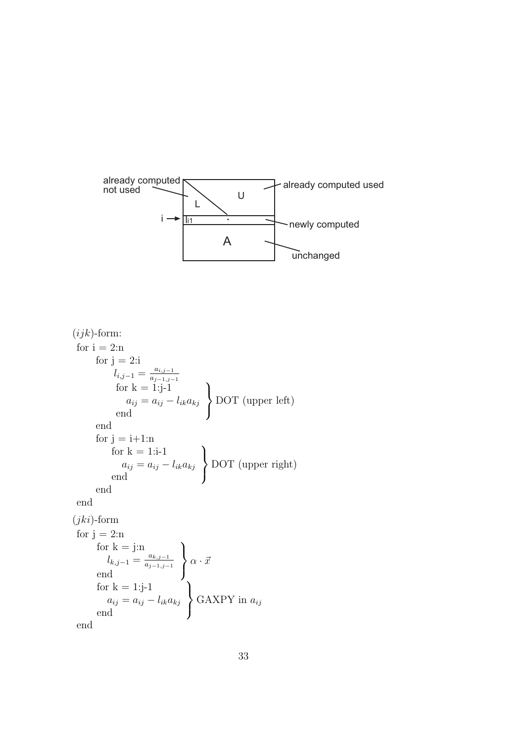

```
(ijk)-form:
 for i = 2:nfor j = 2:il_{i,j-1} = \frac{a_{i,j-1}}{a_{i-1,i}}a_{j-1,j-1}for k = 1: j-1a_{ij} = a_{ij} - l_{ik}a_{kj}end
                                                \mathcal{L}\mathcal{L}\intDOT (upper left)
        end
        for j = i+1:nfor k = 1:i-1a_{ij} = a_{ij} - l_{ik}a_{kj}end
                                               \mathcal{L}\mathcal{L}\intDOT (upper right)
        end
 end
(jki)-form
 for j = 2:nfor k = j:nl_{k,j-1} = \frac{a_{k,j-1}}{a_{k-1,j}}a_{j-1,j-1}end
                                       \mathcal{L}\mathcal{L}\int\alpha \cdot \vec{x}for k = 1: j-1a_{ij} = a_{ij} - l_{ik}a_{kj}end
                                         \mathcal{L}\mathcal{L}\intGAXPY in a_{ij}
```
end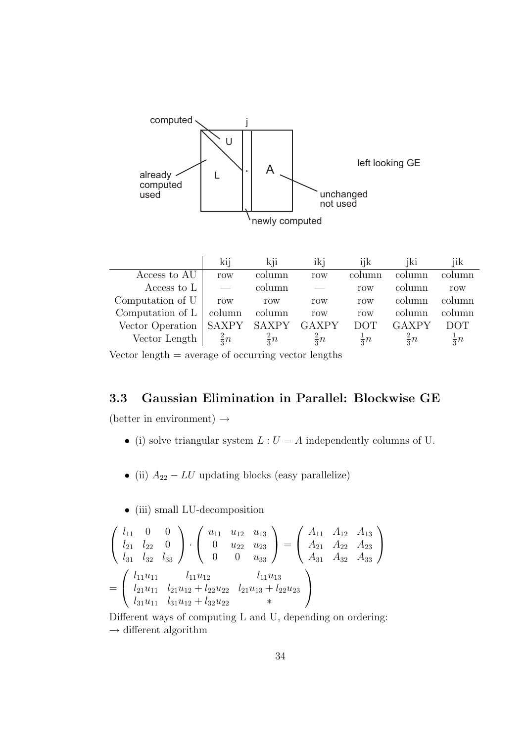

Vector length  $=$  average of occurring vector lengths

## 3.3 Gaussian Elimination in Parallel: Blockwise GE

(better in environment)  $\rightarrow$ 

- (i) solve triangular system  $L: U = A$  independently columns of U.
- (ii)  $A_{22} LU$  updating blocks (easy parallelize)
- (iii) small LU-decomposition

$$
\begin{pmatrix}\n l_{11} & 0 & 0 \\
 l_{21} & l_{22} & 0 \\
 l_{31} & l_{32} & l_{33}\n\end{pmatrix}\n\cdot\n\begin{pmatrix}\n u_{11} & u_{12} & u_{13} \\
 0 & u_{22} & u_{23} \\
 0 & 0 & u_{33}\n\end{pmatrix}\n=\n\begin{pmatrix}\n A_{11} & A_{12} & A_{13} \\
 A_{21} & A_{22} & A_{23} \\
 A_{31} & A_{32} & A_{33}\n\end{pmatrix}
$$
\n
$$
=\n\begin{pmatrix}\n l_{11}u_{11} & l_{11}u_{12} & l_{11}u_{13} \\
 l_{21}u_{11} & l_{21}u_{12} + l_{22}u_{22} & l_{21}u_{13} + l_{22}u_{23} \\
 l_{31}u_{11} & l_{31}u_{12} + l_{32}u_{22} & * \n\end{pmatrix}
$$

Different ways of computing L and U, depending on ordering:  $\rightarrow$  different algorithm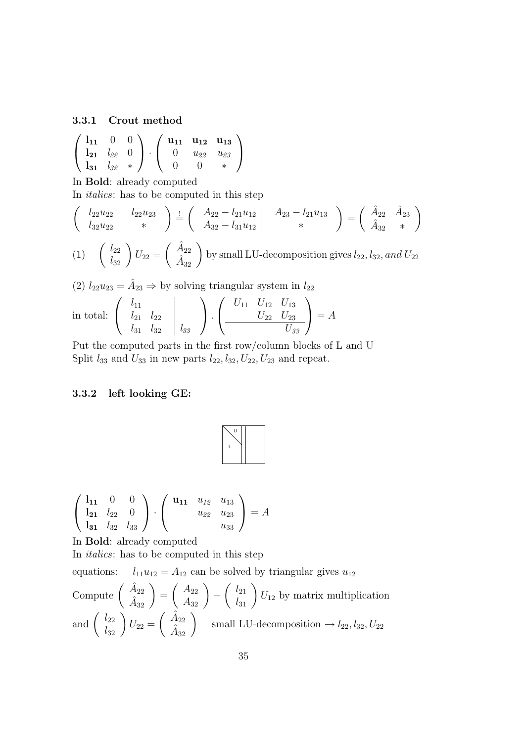#### 3.3.1 Crout method

$$
\left(\begin{array}{ccc}\n\mathbf{l}_{11} & 0 & 0 \\
\mathbf{l}_{21} & l_{22} & 0 \\
\mathbf{l}_{31} & l_{32} & * \n\end{array}\right) \cdot \left(\begin{array}{ccc}\n\mathbf{u}_{11} & \mathbf{u}_{12} & \mathbf{u}_{13} \\
0 & u_{22} & u_{23} \\
0 & 0 & * \n\end{array}\right)
$$

In Bold: already computed

In italics: has to be computed in this step

$$
\begin{pmatrix}\n\left(\begin{array}{c}\n l_{22}u_{22} \\
 l_{32}u_{22}\n\end{array}\right) & \frac{1}{2} \left(\begin{array}{c}\nA_{22} - l_{21}u_{12} \\
 A_{32} - l_{31}u_{12}\n\end{array}\right) & A_{23} - l_{21}u_{13} \\
\ast\n\end{pmatrix} = \begin{pmatrix}\n\hat{A}_{22} & \hat{A}_{23} \\
\hat{A}_{32} & \ast\n\end{pmatrix}
$$
\n(1)\n
$$
\begin{pmatrix}\nl_{22} \\
 l_{32}\n\end{pmatrix} U_{22} = \begin{pmatrix}\n\hat{A}_{22} \\
 \hat{A}_{32}\n\end{pmatrix}
$$
 by small LU-decomposition gives  $l_{22}, l_{32}, and U_{22}$ \n(2)\n $l_{22}u_{23} = \hat{A}_{23} \Rightarrow$  by solving triangular system in  $l_{22}$ 

in total: 
$$
\begin{pmatrix} l_{11} & & \\ l_{21} & l_{22} & \\ l_{31} & l_{32} & l_{33} \end{pmatrix} \cdot \begin{pmatrix} U_{11} & U_{12} & U_{13} \\ \frac{U_{22} & U_{23}}{U_{33}} \end{pmatrix} = A
$$

Put the computed parts in the first row/column blocks of L and U Split  $l_{33}$  and  $U_{33}$  in new parts  $l_{22}, l_{32}, U_{23}, U_{23}$  and repeat.

#### 3.3.2 left looking GE:



$$
\left(\begin{array}{ccc}\n\mathbf{l}_{11} & 0 & 0 \\
\mathbf{l}_{21} & l_{22} & 0 \\
\mathbf{l}_{31} & l_{32} & l_{33}\n\end{array}\right) \cdot \left(\begin{array}{ccc}\n\mathbf{u}_{11} & u_{12} & u_{13} \\
u_{22} & u_{23} & u_{33} \\
\mathbf{u}_{33}\n\end{array}\right) = A
$$

In Bold: already computed

In italics: has to be computed in this step

equations:  $l_{11}u_{12} = A_{12}$  can be solved by triangular gives  $u_{12}$ 

Compute 
$$
\begin{pmatrix} \hat{A}_{22} \\ \hat{A}_{32} \end{pmatrix} = \begin{pmatrix} A_{22} \\ A_{32} \end{pmatrix} - \begin{pmatrix} l_{21} \\ l_{31} \end{pmatrix} U_{12}
$$
 by matrix multiplication  
and  $\begin{pmatrix} l_{22} \\ l_{32} \end{pmatrix} U_{22} = \begin{pmatrix} \hat{A}_{22} \\ \hat{A}_{32} \end{pmatrix}$  small LU-decomposition  $\rightarrow l_{22}, l_{32}, U_{22}$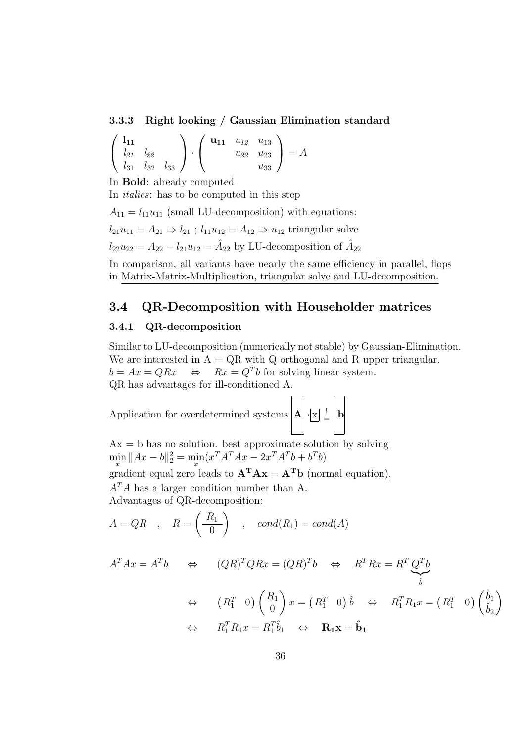#### 3.3.3 Right looking / Gaussian Elimination standard

$$
\left(\begin{array}{cc}\n\mathbf{l}_{11} & & \\
l_{21} & l_{22} & \\
l_{31} & l_{32} & l_{33}\n\end{array}\right) \cdot \left(\begin{array}{cc}\n\mathbf{u}_{11} & u_{12} & u_{13} \\
u_{22} & u_{23} & u_{33}\n\end{array}\right) = A
$$

In Bold: already computed

In italics: has to be computed in this step

 $A_{11} = l_{11}u_{11}$  (small LU-decomposition) with equations:  $l_{21}u_{11} = A_{21} \Rightarrow l_{21}$ ;  $l_{11}u_{12} = A_{12} \Rightarrow u_{12}$  triangular solve  $l_{22}u_{22} = A_{22} - l_{21}u_{12} = \hat{A}_{22}$  by LU-decomposition of  $\hat{A}_{22}$ 

In comparison, all variants have nearly the same efficiency in parallel, flops in Matrix-Matrix-Multiplication, triangular solve and LU-decomposition.

## 3.4 QR-Decomposition with Householder matrices

#### 3.4.1 QR-decomposition

Similar to LU-decomposition (numerically not stable) by Gaussian-Elimination. We are interested in  $A = QR$  with Q orthogonal and R upper triangular.  $b = Ax = QRx \Leftrightarrow Rx = Q^Tb$  for solving linear system. QR has advantages for ill-conditioned A.

Application for overdetermined systems  $|\mathbf{A}| \cdot |\mathbf{x}|$  $\frac{1}{2}$  b

 $Ax = b$  has no solution. best approximate solution by solving  $\min_{x} \|Ax - b\|_2^2 = \min_{x} (x^T A^T A x - 2x^T A^T b + b^T b)$ gradient equal zero leads to  $\mathbf{A}^{\mathbf{T}}\mathbf{A}\mathbf{x} = \mathbf{A}^{\mathbf{T}}\mathbf{b}$  (normal equation).  $A<sup>T</sup>A$  has a larger condition number than A. Advantages of QR-decomposition:

$$
A = QR \quad , \quad R = \left(\begin{array}{c} R_1 \\ \hline 0 \end{array}\right) \quad , \quad cond(R_1) = cond(A)
$$

$$
A^T A x = A^T b \qquad \Leftrightarrow \qquad (QR)^T QR x = (QR)^T b \qquad \Leftrightarrow \qquad R^T R x = R^T \underbrace{Q^T b}_{\hat{b}}
$$
  

$$
\Leftrightarrow \qquad (R_1^T \quad 0) \begin{pmatrix} R_1 \\ 0 \end{pmatrix} x = (R_1^T \quad 0) \hat{b} \qquad \Leftrightarrow \qquad R_1^T R_1 x = (R_1^T \quad 0) \begin{pmatrix} \hat{b}_1 \\ \hat{b}_2 \end{pmatrix}
$$
  

$$
\Leftrightarrow \qquad R_1^T R_1 x = R_1^T \hat{b}_1 \qquad \Leftrightarrow \qquad \mathbf{R}_1 \mathbf{x} = \hat{\mathbf{b}}_1
$$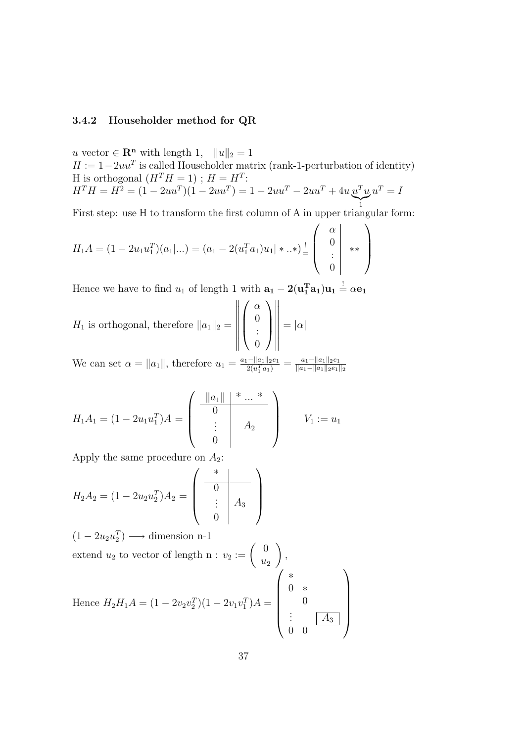#### 3.4.2 Householder method for QR

u vector  $\in \mathbb{R}^n$  with length 1,  $||u||_2 = 1$  $H := 1 - 2uu^T$  is called Householder matrix (rank-1-perturbation of identity) H is orthogonal  $(H^T H = 1)$ ;  $H = H^T$ :  $H^T H = H^2 = (1 - 2uu^T)(1 - 2uu^T) = 1 - 2uu^T - 2uu^T + 4u^Tu^T$  $\bigg|$  $u^T = I$ 

1 First step: use H to transform the first column of A in upper triangular form:

$$
H_1A = (1 - 2u_1u_1^T)(a_1|...) = (a_1 - 2(u_1^Ta_1)u_1| * ...*)\frac{!}{=} \begin{pmatrix} \alpha \\ 0 \\ \vdots \\ 0 \end{pmatrix} **)
$$

Hence we have to find  $u_1$  of length 1 with  $\mathbf{a_1} - 2(\mathbf{u_1^T} \mathbf{a_1}) \mathbf{u_1} \stackrel{!}{=} \alpha \mathbf{e_1}$ 

$$
H_1 \text{ is orthogonal, therefore } ||a_1||_2 = \left\| \left( \begin{array}{c} \alpha \\ 0 \\ \vdots \\ 0 \end{array} \right) \right\| = |\alpha|
$$

We can set  $\alpha = ||a_1||$ , therefore  $u_1 = \frac{a_1 - ||a_1||_2 e_1}{2(u_1^T a_1)}$  $\frac{1-\|a_1\|_2e_1}{2(u_1^Ta_1)}=\frac{a_1-\|a_1\|_2e_1}{\|a_1-\|a_1\|_2e_1}$  $||a_1-||a_1||_2e_1||_2$ 

$$
H_1 A_1 = (1 - 2u_1 u_1^T) A = \begin{pmatrix} \frac{\|a_1\|}{0} & \cdots & \cdots \\ \vdots & \vdots & \vdots \\ 0 & \cdots & \cdots \end{pmatrix} \qquad V_1 := u_1
$$

Apply the same procedure on  $A_2$ :

$$
H_2 A_2 = (1 - 2u_2 u_2^T) A_2 = \begin{pmatrix} * & & \\ \hline 0 & & \\ \vdots & & \\ 0 & & \end{pmatrix}
$$

 $(1 - 2u_2u_2^T) \longrightarrow$  dimension n-1 extend  $u_2$  to vector of length n :  $v_2 := \begin{pmatrix} 0 \\ u_1 \end{pmatrix}$  $u_2$  $\setminus$ , Hence  $H_2H_1A = (1 - 2v_2v_2^T)(1 - 2v_1v_1^T)A =$  $\sqrt{ }$  $\begin{array}{|c|c|} \hline \quad \quad & \quad \quad & \quad \quad & \quad \quad \\ \hline \quad \quad & \quad \quad & \quad \quad & \quad \quad \\ \hline \quad \quad & \quad \quad & \quad \quad \\ \hline \end{array}$ ∗ 0 ∗  $\theta$  $\vdots$   $\boxed{A_3}$ 0 0  $\setminus$  $\begin{array}{c} \hline \end{array}$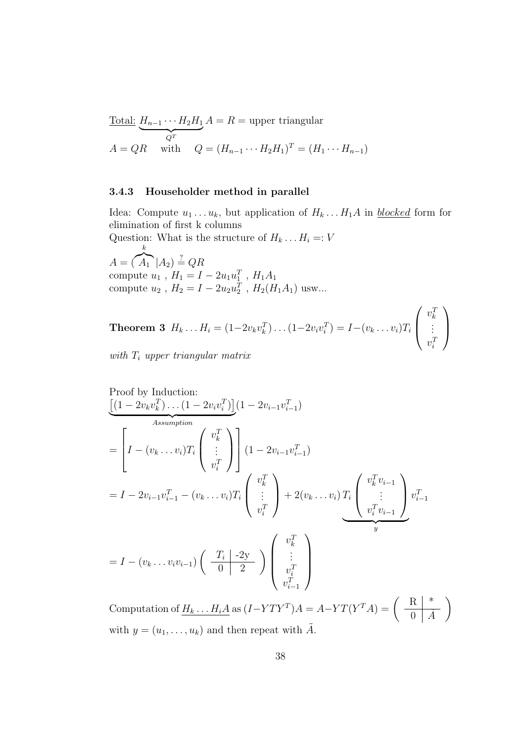Total: 
$$
H_{n-1} \cdots H_2 H_1 A = R
$$
 = upper triangular  
\n $A = QR$  with  $Q = (H_{n-1} \cdots H_2 H_1)^T = (H_1 \cdots H_{n-1})$ 

#### 3.4.3 Householder method in parallel

Idea: Compute  $u_1 \ldots u_k$ , but application of  $H_k \ldots H_1 A$  in *blocked* form for elimination of first k columns

Question: What is the structure of  $H_k \dots H_i =: V$ k

 $A = \left(\begin{array}{c|c} A_1 & A_2 \end{array}\right) \stackrel{?}{=} QR$ compute  $u_1$ ,  $H_1 = I - 2u_1u_1^T$ ,  $H_1A_1$ compute  $u_2$ ,  $H_2 = I - 2u_2u_2^T$ ,  $H_2(H_1A_1)$  usw...

**Theorem 3** 
$$
H_k \dots H_i = (1 - 2v_k v_k^T) \dots (1 - 2v_i v_i^T) = I - (v_k \dots v_i) T_i \begin{pmatrix} v_k^T \\ \vdots \\ v_i^T \end{pmatrix}
$$
  
with T. *upper* trizon *g*ular matrix

with  $T_i$  upper triangular matrix

Proof by Induction:  
\n
$$
\underbrace{\left[ (1 - 2v_k v_k^T) \dots (1 - 2v_i v_i^T) \right]}_{Assumption}
$$
\n
$$
= \left[ I - (v_k \dots v_i) T_i \begin{pmatrix} v_k^T \\ \vdots \\ v_i^T \end{pmatrix} \right] (1 - 2v_{i-1} v_{i-1}^T)
$$
\n
$$
= I - 2v_{i-1} v_{i-1}^T - (v_k \dots v_i) T_i \begin{pmatrix} v_k^T \\ \vdots \\ v_i^T \end{pmatrix} + 2(v_k \dots v_i) T_i \begin{pmatrix} v_k^T v_{i-1} \\ \vdots \\ v_i^T v_{i-1} \end{pmatrix} v_{i-1}^T
$$
\n
$$
= I - (v_k \dots v_i v_{i-1}) \begin{pmatrix} T_i & -2y \\ 0 & 2 \end{pmatrix} \begin{pmatrix} v_k^T \\ \vdots \\ v_{i-1}^T \end{pmatrix}
$$

Computation of  $H_k \dots H_i A$  as  $(I - Y T Y^T) A = A - Y T (Y^T A) = \begin{pmatrix} R & * \\ 0 & A \end{pmatrix}$  $\overline{0}$   $\overline{A}$  $\setminus$ with  $y = (u_1, \ldots, u_k)$  and then repeat with  $\tilde{A}$ .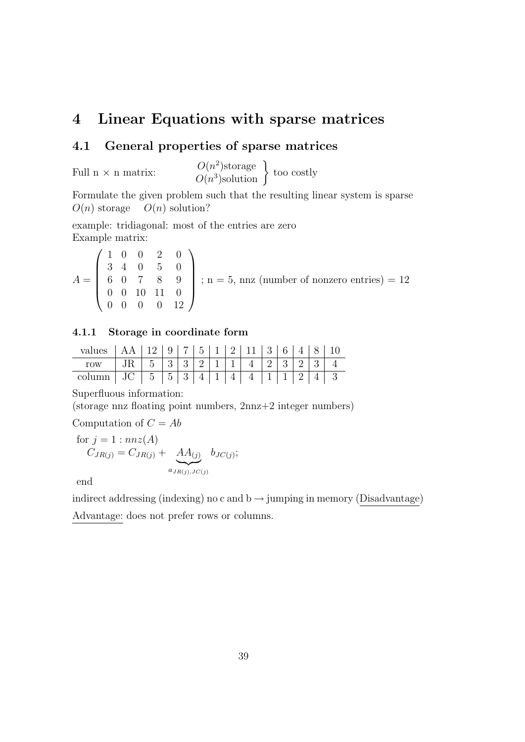# 4 Linear Equations with sparse matrices

## 4.1 General properties of sparse matrices

Full  $n \times n$  matrix:

2 )storage  $O(n^2)$ storage <br>  $O(n^3)$ solution  $\}$  too costly

Formulate the given problem such that the resulting linear system is sparse  $O(n)$  storage  $O(n)$  solution?

example: tridiagonal: most of the entries are zero Example matrix:

$$
A = \begin{pmatrix} 1 & 0 & 0 & 2 & 0 \\ 3 & 4 & 0 & 5 & 0 \\ 6 & 0 & 7 & 8 & 9 \\ 0 & 0 & 10 & 11 & 0 \\ 0 & 0 & 0 & 0 & 12 \end{pmatrix}; n = 5, \text{ nnz (number of nonzero entries)} = 12
$$

## 4.1.1 Storage in coordinate form

| values   AA   12   9   7   5   1   2   11   3   6   4   8   10 |  |  |  |  |  |  |  |
|----------------------------------------------------------------|--|--|--|--|--|--|--|
| row   JR   5   3   3   2   1   1   4   2   3   2   3   4       |  |  |  |  |  |  |  |
| column   JC   5   5   3   4   1   4   4   1   1   2   4   3    |  |  |  |  |  |  |  |

Superfluous information:

(storage nnz floating point numbers, 2nnz+2 integer numbers)

Computation of  $C = Ab$ 

for 
$$
j = 1 : nnz(A)
$$
  
\n $C_{JR(j)} = C_{JR(j)} + \underbrace{AA_{(j)}}_{a_{JR(j),JC(j)}} b_{JC(j)};$ 

end

indirect addressing (indexing) no c and  $b \rightarrow j$ umping in memory (Disadvantage) Advantage: does not prefer rows or columns.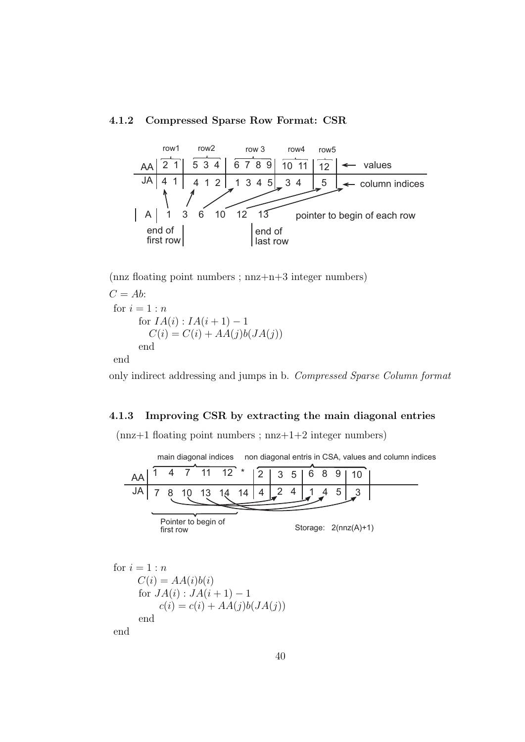## 4.1.2 Compressed Sparse Row Format: CSR



 $(nnz$  floating point numbers ;  $nnz+n+3$  integer numbers)

 $C = Ab$ : for  $i = 1:n$ for  $IA(i) : IA(i+1) - 1$  $C(i) = C(i) + AA(j)b(JA(j))$ end end

only indirect addressing and jumps in b. Compressed Sparse Column format

#### 4.1.3 Improving CSR by extracting the main diagonal entries

 $(nnz+1$  floating point numbers;  $nnz+1+2$  integer numbers)

AA JA 4 7 11 12 7 8 10 13 14 14 4  $2 \mid 3 \mid 5$ 2 4 6 8 9  $1 \; 4 \; 5 \; 3$ 10 Pointer to begin of first row main diagonal indices non diagonal entris in CSA, values and column indices Storage: 2(nnz(A)+1)

for  $i = 1:n$  $C(i) = AA(i)b(i)$ for  $JA(i): JA(i+1) - 1$  $c(i) = c(i) + AA(j)b(JA(j))$ end end

40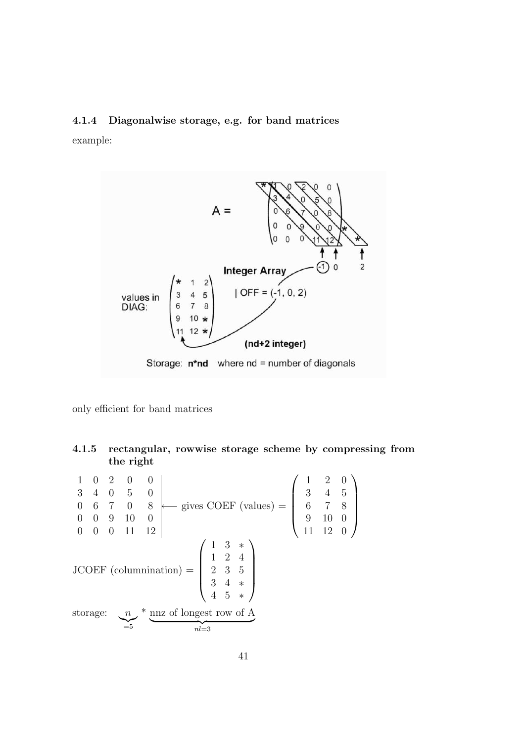#### 4.1.4 Diagonalwise storage, e.g. for band matrices

example:



only efficient for band matrices

## 4.1.5 rectangular, rowwise storage scheme by compressing from the right

1 0 2 0 0 3 4 0 5 0 0 6 7 0 8 0 0 9 10 0 0 0 0 11 12 ←− gives COEF (values) =  $\sqrt{ }$  $\overline{\phantom{a}}$ 1 2 0 3 4 5 6 7 8 9 10 0 11 12 0  $\setminus$  $\begin{array}{c} \hline \end{array}$ JCOEF (columnination) =  $\sqrt{ }$  $\overline{\phantom{a}}$ 1 3 ∗ 1 2 4 2 3 5 3 4 ∗ 4 5 ∗  $\setminus$  $\begin{array}{c} \hline \end{array}$  $\,$  storage:  $\sum_{=5}$ \* nnz of longest row of A  $n l = 3$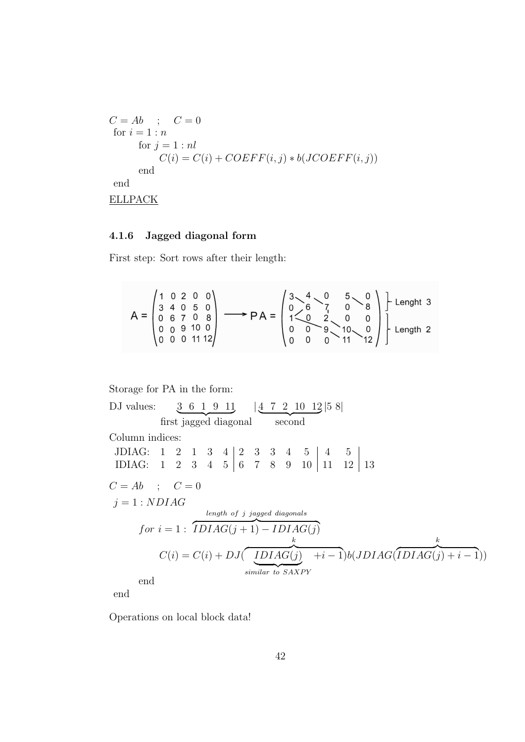$$
C = Ab \t; C = 0
$$
  
for  $i = 1 : n$   
for  $j = 1 : nl$   

$$
C(i) = C(i) + COEFF(i, j) * b(JCOEFF(i, j))
$$
  
end  
end  
ELLPACK

#### 4.1.6 Jagged diagonal form

First step: Sort rows after their length:

$$
A = \begin{pmatrix} 1 & 0 & 2 & 0 & 0 \\ 3 & 4 & 0 & 5 & 0 \\ 0 & 6 & 7 & 0 & 8 \\ 0 & 0 & 9 & 10 & 0 \\ 0 & 0 & 0 & 11 & 12 \end{pmatrix} \longrightarrow PA = \begin{pmatrix} 3 & 4 & 0 & 5 & 0 \\ 0 & 6 & 7 & 0 & 8 \\ 1 & 0 & 2 & 0 & 0 \\ 0 & 0 & 9 & 10 & 0 \\ 0 & 0 & 0 & 11 & 12 \end{pmatrix} \begin{pmatrix} 1 & 0 & 0 & 0 \\ 0 & 0 & 0 & 0 \\ 0 & 0 & 0 & 11 & 0 \\ 0 & 0 & 0 & 0 & 11 \end{pmatrix} \begin{pmatrix} 1 & 0 & 0 & 0 \\ 0 & 0 & 0 & 0 \\ 0 & 0 & 0 & 11 & 0 \\ 0 & 0 & 0 & 0 & 11 \end{pmatrix}
$$

Storage for PA in the form:

DJ values: 3 6 1 9 11 first jagged diagonal | 4 7 2 10 12 second |5 8| Column indices: JDIAG:  $1 \t2 \t1 \t3 \t4 \t2 \t3 \t3 \t4 \t5 \t4 \t5$ IDIAG: 1 2 3 4 5 6 7 8 9 10 11 12 13  $C = Ab$  ;  $C = 0$  $j = 1 : NDIAG$  $for i = 1: \overline{IDIAG(j+1) - IDIAG(j)}$ length of j jagged diagonals  $C(i) = C(i) + DJ($ k  $\overline{IDIAG(j) + i - 1}b(JDIAG($ similar to SAXPY k  $\widetilde{IDIAG}(j) + i - 1)$ end

end

Operations on local block data!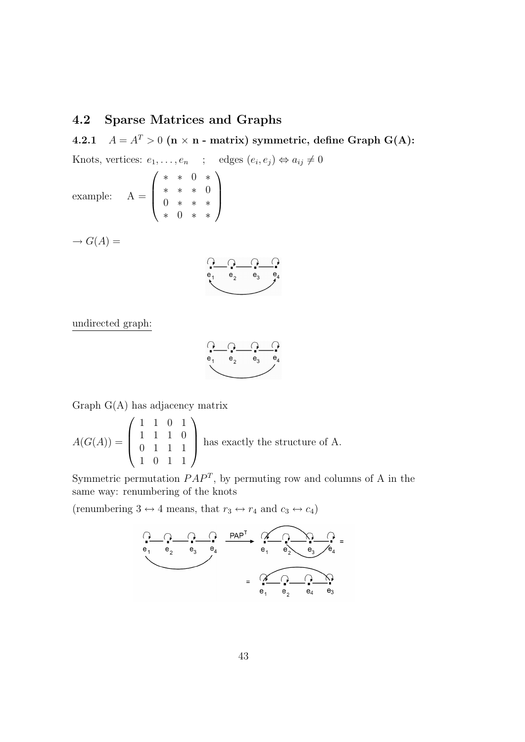## 4.2 Sparse Matrices and Graphs

4.2.1  $A = A^T > 0$  (n × n - matrix) symmetric, define Graph G(A):

Knots, vertices: 
$$
e_1, ..., e_n
$$
 ; edges  $(e_i, e_j) \Leftrightarrow a_{ij} \neq 0$   
example:  $A = \begin{pmatrix} * & * & 0 & * \\ * & * & * & 0 \\ 0 & * & * & * \\ * & 0 & * & * \end{pmatrix}$   
 $\rightarrow G(A) =$ 

$$
\begin{array}{c}\n\begin{array}{c}\n\cdot \\
\bullet \\
\bullet \\
\bullet \\
\end{array}\n\end{array}
$$

undirected graph:

$$
\begin{array}{c}\n\begin{array}{ccc}\n\bullet & \bullet & \bullet \\
\bullet_1 & \bullet_2 & \bullet_3 & \bullet_4\n\end{array}\n\end{array}
$$

Graph G(A) has adjacency matrix

$$
A(G(A)) = \begin{pmatrix} 1 & 1 & 0 & 1 \\ 1 & 1 & 1 & 0 \\ 0 & 1 & 1 & 1 \\ 1 & 0 & 1 & 1 \end{pmatrix}
$$
 has exactly the structure of A.

Symmetric permutation  $PAP<sup>T</sup>$ , by permuting row and columns of A in the same way: renumbering of the knots

(renumbering 3  $\leftrightarrow$  4 means, that  $r_3\leftrightarrow r_4$  and  $c_3\leftrightarrow c_4)$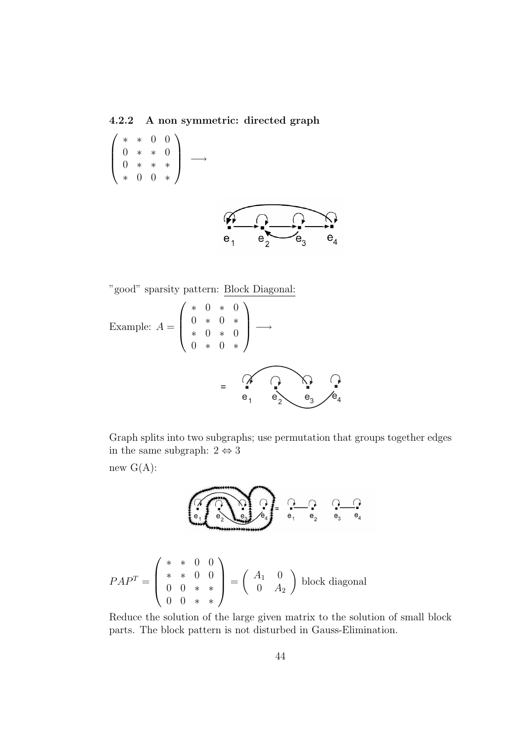4.2.2 A non symmetric: directed graph

 $\sqrt{ }$  $\overline{\phantom{a}}$ ∗ ∗ 0 0 0 ∗ ∗ 0 0 ∗ ∗ ∗ ∗ 0 0 ∗  $\setminus$ −→



"good" sparsity pattern: Block Diagonal:

Example: 
$$
A = \begin{pmatrix} * & 0 & * & 0 \\ 0 & * & 0 & * \\ * & 0 & * & 0 \\ 0 & * & 0 & * \end{pmatrix} \longrightarrow
$$

$$
= \begin{pmatrix} \searrow & 0 \\ \searrow & 0 \\ \heartsuit_1 & \heartsuit_2 & \heartsuit_3 \end{pmatrix} e_4
$$

Graph splits into two subgraphs; use permutation that groups together edges in the same subgraph:  $2 \Leftrightarrow 3$ 

new  $G(A)$ :



$$
PAP^{T} = \begin{pmatrix} * & * & 0 & 0 \\ * & * & 0 & 0 \\ 0 & 0 & * & * \\ 0 & 0 & * & * \end{pmatrix} = \begin{pmatrix} A_{1} & 0 \\ 0 & A_{2} \end{pmatrix} \text{ block diagonal}
$$

Reduce the solution of the large given matrix to the solution of small block parts. The block pattern is not disturbed in Gauss-Elimination.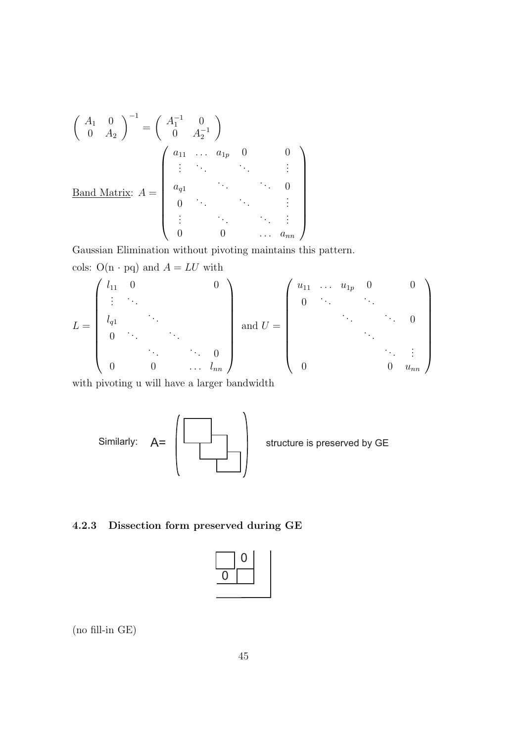$$
\begin{pmatrix}\nA_1 & 0 \\
0 & A_2\n\end{pmatrix}^{-1} = \begin{pmatrix}\nA_1^{-1} & 0 \\
0 & A_2^{-1}\n\end{pmatrix}
$$
\nBand Matrix:

\n
$$
A = \begin{pmatrix}\na_{11} & \cdots & a_{1p} & 0 & 0 \\
\vdots & \ddots & \ddots & \vdots & \vdots \\
a_{q1} & & \ddots & 0 & 0 \\
0 & \ddots & & \ddots & \vdots \\
\vdots & \ddots & \ddots & \vdots & \vdots \\
0 & 0 & \cdots & a_{nn}\n\end{pmatrix}
$$

Gaussian Elimination without pivoting maintains this pattern. cols: O(n · pq) and  $A = LU$  with

$$
L = \begin{pmatrix} l_{11} & 0 & & & & 0 \\ \vdots & \ddots & & & & \\ l_{q1} & & & & & \\ 0 & \ddots & & & & \\ & & \ddots & & & & 0 \\ 0 & 0 & & & & l_{nn} \end{pmatrix} \text{ and } U = \begin{pmatrix} u_{11} & \dots & u_{1p} & 0 & & 0 \\ 0 & \ddots & & & & \\ & & \ddots & & & \\ & & & & \ddots & \\ 0 & & & & 0 & u_{nn} \end{pmatrix}
$$

with pivoting u will have a larger bandwidth



## 4.2.3 Dissection form preserved during GE



(no fill-in GE)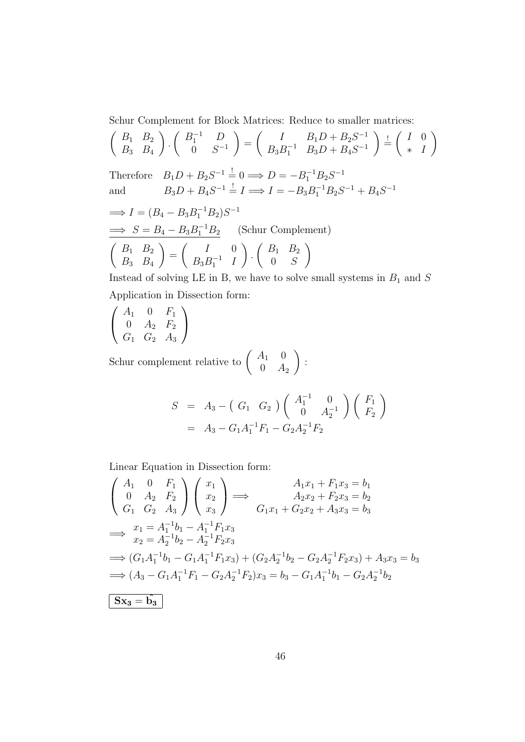Schur Complement for Block Matrices: Reduce to smaller matrices:

$$
\begin{pmatrix} B_1 & B_2 \ B_3 & B_4 \end{pmatrix} \cdot \begin{pmatrix} B_1^{-1} & D \ 0 & S^{-1} \end{pmatrix} = \begin{pmatrix} I & B_1D + B_2S^{-1} \ B_3D + B_4S^{-1} \end{pmatrix} \stackrel{!}{=} \begin{pmatrix} I & 0 \ * & I \end{pmatrix}
$$
  
Therefore  $B_1D + B_2S^{-1} \stackrel{!}{=} 0 \implies D = -B_1^{-1}B_2S^{-1}$   
and  $B_3D + B_4S^{-1} \stackrel{!}{=} I \implies I = -B_3B_1^{-1}B_2S^{-1} + B_4S^{-1}$   
 $\implies I = (B_4 - B_3B_1^{-1}B_2)S^{-1}$   
 $\implies S = B_4 - B_3B_1^{-1}B_2$  (Schur Complement)  
 $\begin{pmatrix} B_1 & B_2 \ B_3 & B_4 \end{pmatrix} = \begin{pmatrix} I & 0 \ B_3B_1^{-1} & I \end{pmatrix} \cdot \begin{pmatrix} B_1 & B_2 \ 0 & S \end{pmatrix}$ 

Instead of solving LE in B, we have to solve small systems in  $B_1$  and  $S$ Application in Dissection form:

$$
\left(\begin{array}{ccc} A_1 & 0 & F_1 \\ 0 & A_2 & F_2 \\ G_1 & G_2 & A_3 \end{array}\right)
$$

Schur complement relative to  $\begin{pmatrix} A_1 & 0 \\ 0 & A_1 \end{pmatrix}$  $0 \quad A_2$  $\setminus$ :

$$
S = A_3 - (G_1 \ G_2) \begin{pmatrix} A_1^{-1} & 0 \\ 0 & A_2^{-1} \end{pmatrix} \begin{pmatrix} F_1 \\ F_2 \end{pmatrix}
$$
  
=  $A_3 - G_1 A_1^{-1} F_1 - G_2 A_2^{-1} F_2$ 

Linear Equation in Dissection form:

$$
\begin{pmatrix}\nA_1 & 0 & F_1 \\
0 & A_2 & F_2 \\
G_1 & G_2 & A_3\n\end{pmatrix}\n\begin{pmatrix}\nx_1 \\
x_2 \\
x_3\n\end{pmatrix} \Longrightarrow \begin{pmatrix}\nA_1x_1 + F_1x_3 = b_1 \\
A_2x_2 + F_2x_3 = b_2 \\
A_2x_2 + F_2x_3 = b_3\n\end{pmatrix}
$$
\n
$$
\Longrightarrow \begin{pmatrix}\nx_1 = A_1^{-1}b_1 - A_1^{-1}F_1x_3 \\
x_2 = A_2^{-1}b_2 - A_2^{-1}F_2x_3\n\end{pmatrix}
$$
\n
$$
\Longrightarrow (G_1A_1^{-1}b_1 - G_1A_1^{-1}F_1x_3) + (G_2A_2^{-1}b_2 - G_2A_2^{-1}F_2x_3) + A_3x_3 = b_3
$$
\n
$$
\Longrightarrow (A_3 - G_1A_1^{-1}F_1 - G_2A_2^{-1}F_2)x_3 = b_3 - G_1A_1^{-1}b_1 - G_2A_2^{-1}b_2
$$
\n
$$
\begin{bmatrix}\nSx_3 = \hat{b_3}\n\end{bmatrix}
$$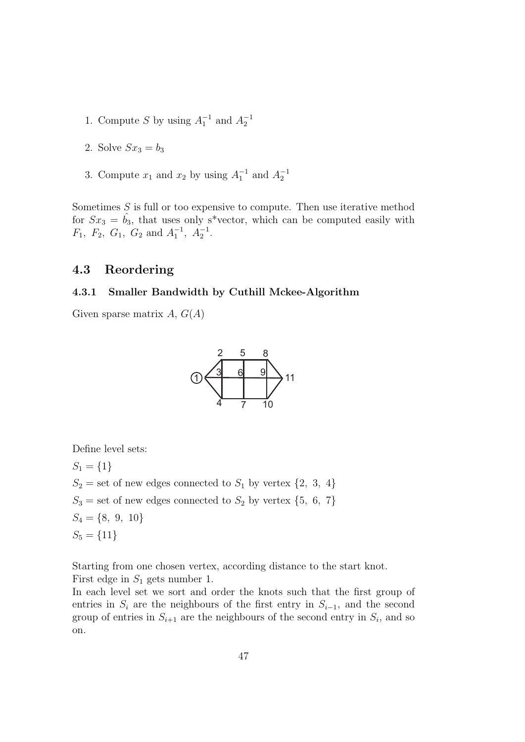- 1. Compute S by using  $A_1^{-1}$  and  $A_2^{-1}$
- 2. Solve  $Sx_3 = b_3$
- 3. Compute  $x_1$  and  $x_2$  by using  $A_1^{-1}$  and  $A_2^{-1}$

Sometimes  $S$  is full or too expensive to compute. Then use iterative method for  $Sx_3 = b_3$ , that uses only s<sup>\*</sup>vector, which can be computed easily with  $F_1$ ,  $F_2$ ,  $G_1$ ,  $G_2$  and  $A_1^{-1}$ ,  $A_2^{-1}$ .

## 4.3 Reordering

#### 4.3.1 Smaller Bandwidth by Cuthill Mckee-Algorithm

Given sparse matrix  $A, G(A)$ 



Define level sets:

 $S_1 = \{1\}$  $S_2$  = set of new edges connected to  $S_1$  by vertex  $\{2, 3, 4\}$  $S_3$  = set of new edges connected to  $S_2$  by vertex  $\{5, 6, 7\}$  $S_4 = \{8, 9, 10\}$  $S_5 = \{11\}$ 

Starting from one chosen vertex, according distance to the start knot. First edge in  $S_1$  gets number 1.

In each level set we sort and order the knots such that the first group of entries in  $S_i$  are the neighbours of the first entry in  $S_{i-1}$ , and the second group of entries in  $S_{i+1}$  are the neighbours of the second entry in  $S_i$ , and so on.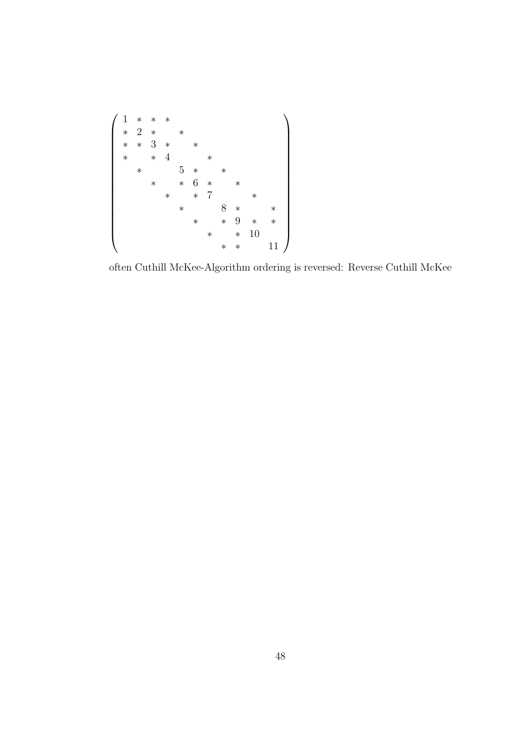

often Cuthill McKee-Algorithm ordering is reversed: Reverse Cuthill McKee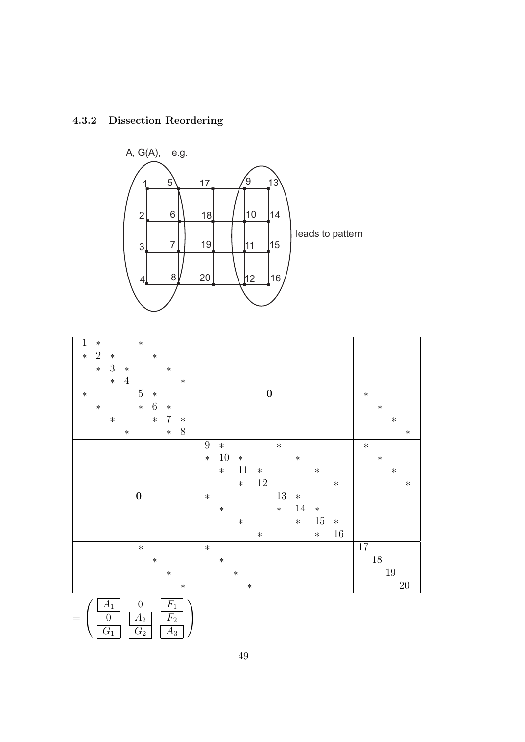

## 4.3.2 Dissection Reordering



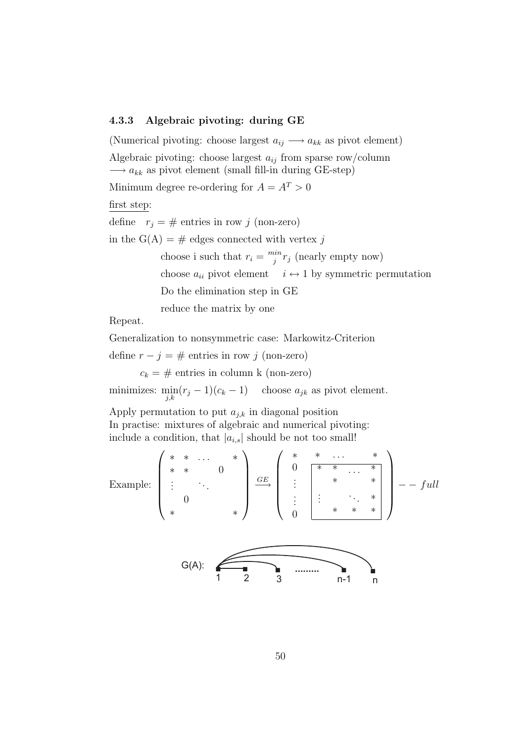#### 4.3.3 Algebraic pivoting: during GE

(Numerical pivoting: choose largest  $a_{ij} \longrightarrow a_{kk}$  as pivot element) Algebraic pivoting: choose largest  $a_{ij}$  from sparse row/column  $\longrightarrow a_{kk}$  as pivot element (small fill-in during GE-step) Minimum degree re-ordering for  $A = A<sup>T</sup> > 0$ first step: define  $r_j = #$  entries in row j (non-zero) in the G(A) =  $\#$  edges connected with vertex j choose i such that  $r_i = \frac{min}{i}$  $\int_j^{in} r_j$  (nearly empty now) choose  $a_{ii}$  pivot element  $i \leftrightarrow 1$  by symmetric permutation Do the elimination step in GE reduce the matrix by one

Repeat.

Generalization to nonsymmetric case: Markowitz-Criterion

define  $r - j = #$  entries in row j (non-zero)

 $c_k = #$  entries in column k (non-zero)

minimizes:  $\min_{j,k} (r_j - 1)(c_k - 1)$  choose  $a_{jk}$  as pivot element.

Apply permutation to put  $a_{j,k}$  in diagonal position In practise: mixtures of algebraic and numerical pivoting: include a condition, that  $|a_{i,s}|$  should be not too small!

Example: 
$$
\begin{pmatrix} * & * & \cdots & * \\ * & * & 0 & * \\ \vdots & \ddots & \vdots & * \\ * & * & * \end{pmatrix} \xrightarrow{\underset{\text{GE}}{GE}} \begin{pmatrix} * & * & \cdots & * \\ 0 & * & * & \cdots & * \\ \vdots & * & * & * \\ 0 & * & * & * \end{pmatrix} \xrightarrow{-full}
$$
\n
$$
G(A):
$$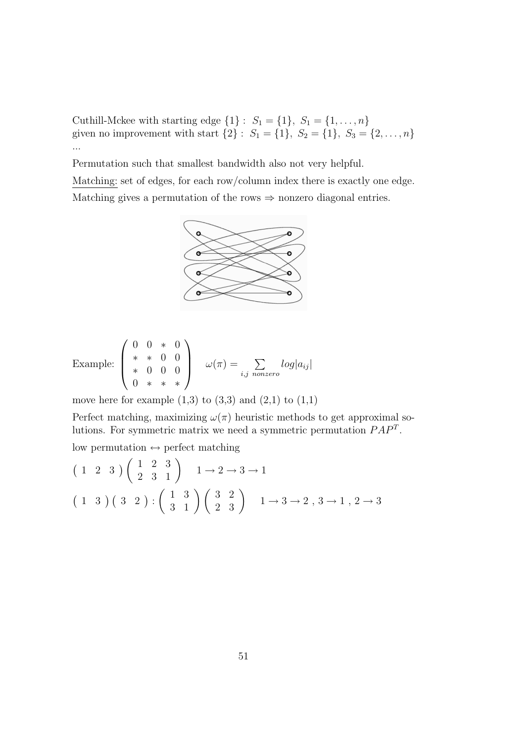Cuthill-Mckee with starting edge  $\{1\}$ :  $S_1 = \{1\}, S_1 = \{1, ..., n\}$ given no improvement with start  $\{2\}$ :  $S_1 = \{1\}$ ,  $S_2 = \{1\}$ ,  $S_3 = \{2, \ldots, n\}$ ...

Permutation such that smallest bandwidth also not very helpful.

Matching: set of edges, for each row/column index there is exactly one edge. Matching gives a permutation of the rows  $\Rightarrow$  nonzero diagonal entries.



Example: 
$$
\begin{pmatrix} 0 & 0 & * & 0 \\ * & * & 0 & 0 \\ * & 0 & 0 & 0 \\ 0 & * & * & * \end{pmatrix} \quad \omega(\pi) = \sum_{i,j \text{ nonzero}} log|a_{ij}|
$$

move here for example  $(1,3)$  to  $(3,3)$  and  $(2,1)$  to  $(1,1)$ 

Perfect matching, maximizing  $\omega(\pi)$  heuristic methods to get approximal solutions. For symmetric matrix we need a symmetric permutation  $PAP<sup>T</sup>$ .

low permutation  $\leftrightarrow$  perfect matching

$$
\begin{pmatrix} 1 & 2 & 3 \ 2 & 3 & 1 \end{pmatrix} \begin{pmatrix} 1 & 2 & 3 \\ 2 & 3 & 1 \end{pmatrix} \quad 1 \to 2 \to 3 \to 1
$$
  

$$
\begin{pmatrix} 1 & 3 \ 3 & 1 \end{pmatrix} \begin{pmatrix} 3 & 2 \\ 2 & 3 \end{pmatrix} \begin{pmatrix} 3 & 2 \\ 2 & 3 \end{pmatrix} \quad 1 \to 3 \to 2, 3 \to 1, 2 \to 3
$$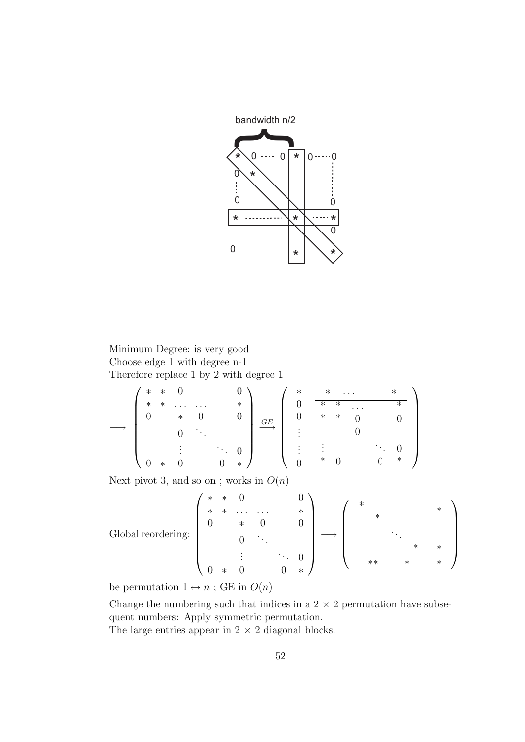

## Minimum Degree: is very good Choose edge 1 with degree n-1 Therefore replace 1 by 2 with degree 1

$$
\longrightarrow\n\begin{pmatrix}\n* & * & 0 & & & 0 \\
* & * & \dots & \dots & * \\
0 & * & 0 & & 0 \\
& & \vdots & & \ddots & 0 \\
& & & \vdots & & \ddots & 0 \\
0 & * & 0 & & 0 & * \n\end{pmatrix}\n\xrightarrow{\underset{\text{GE}}{\text{GE}}}\n\begin{pmatrix}\n* & * & \dots & * \\
0 & * & \dots & * \\
& 0 & * & 0 \\
\vdots & & \vdots & & \ddots & 0 \\
& & & \vdots & & \ddots & 0 \\
& & & & 0 & * \n\end{pmatrix}
$$

Next pivot 3, and so on ; works in  $O(n)$ 

Global reordering:

\n
$$
\begin{pmatrix}\n * & * & 0 & & 0 \\
 * & * & \dots & \dots & * \\
 0 & * & 0 & 0 \\
 \vdots & & \vdots & & 0 \\
 0 & * & 0 & 0 & * \n\end{pmatrix}\n\longrightarrow\n\begin{pmatrix}\n * & & & & \\
 * & & & & \\
 & & \ddots & & \\
 & & & & * \\
 \hline\n & & & & * \\
 \hline\n & & & & * \\
 \hline\n & & & & * \\
 \hline\n & & & & * \\
 \hline\n & & & & * \\
 \hline\n & & & & * \\
 \hline\n & & & & * \\
 \hline\n & & & & * \\
 \hline\n & & & & * \\
 \hline\n & & & & * \\
 \hline\n & & & & * \\
 \hline\n & & & & * \\
 \hline\n & & & & * \\
 \hline\n & & & & * \\
 \hline\n & & & & * \\
 \hline\n & & & & * \\
 \hline\n & & & & * \\
 \hline\n & & & & & * \\
 \hline\n & & & & & * \\
 \hline\n & & & & & * \\
 \hline\n & & & & & * \\
 \hline\n & & & & & * \\
 \hline\n & & & & & * \\
 \hline\n & & & & & * \\
 \hline\n & & & & & * \\
 \hline\n & & & & & * \\
 \hline\n & & & & & * \\
 \hline\n & & & & & & * \\
 \hline\n & & & & & & * \\
 \hline\n &
$$

be permutation  $1 \leftrightarrow n$ ; GE in  $O(n)$ 

Change the numbering such that indices in a  $2 \times 2$  permutation have subsequent numbers: Apply symmetric permutation.

The large entries appear in  $2 \times 2$  diagonal blocks.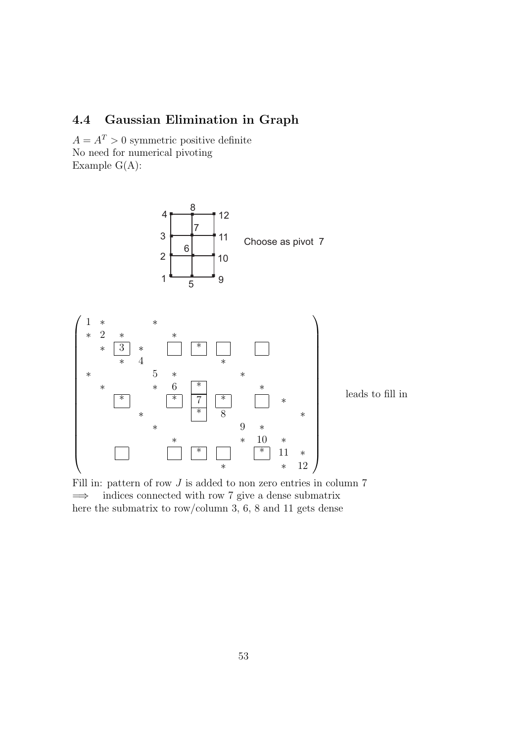# 4.4 Gaussian Elimination in Graph

 $A = A<sup>T</sup> > 0$  symmetric positive definite No need for numerical pivoting Example  $G(A)$ :





Fill in: pattern of row  $J$  is added to non zero entries in column  $7$  $\implies$  indices connected with row 7 give a dense submatrix here the submatrix to row/column 3, 6, 8 and 11 gets dense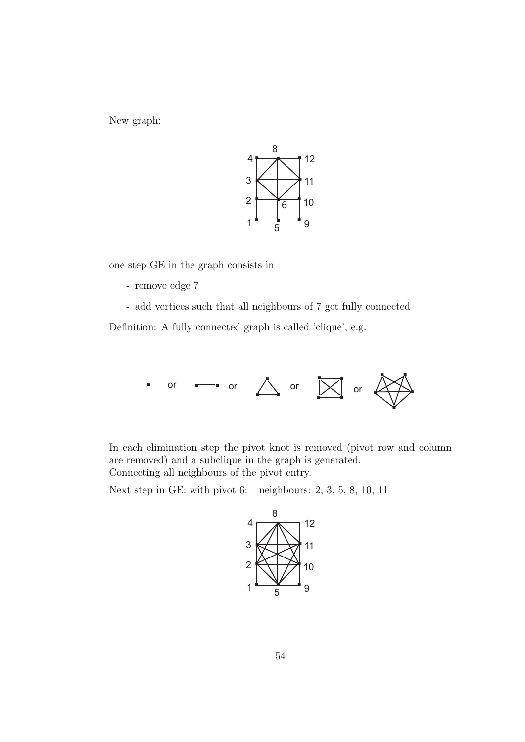New graph:



one step GE in the graph consists in

- remove edge 7

- add vertices such that all neighbours of 7 get fully connected Definition: A fully connected graph is called 'clique', e.g.



In each elimination step the pivot knot is removed (pivot row and column are removed) and a subclique in the graph is generated. Connecting all neighbours of the pivot entry.

Next step in GE: with pivot 6: neighbours: 2, 3, 5, 8, 10, 11

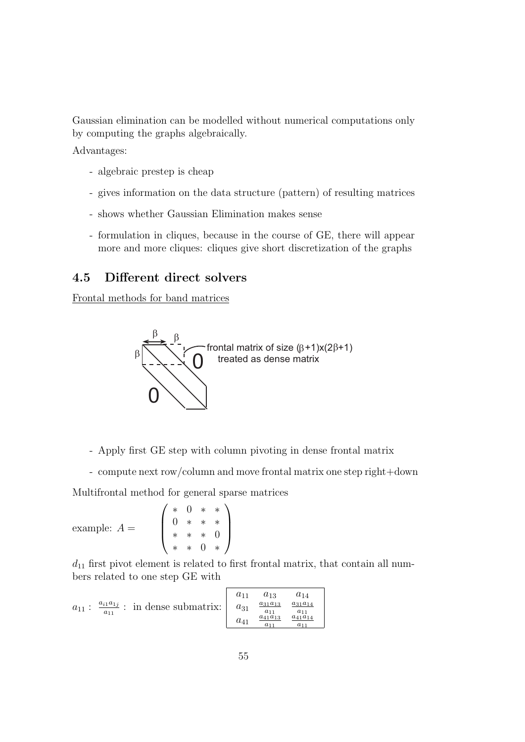Gaussian elimination can be modelled without numerical computations only by computing the graphs algebraically.

Advantages:

- algebraic prestep is cheap
- gives information on the data structure (pattern) of resulting matrices
- shows whether Gaussian Elimination makes sense
- formulation in cliques, because in the course of GE, there will appear more and more cliques: cliques give short discretization of the graphs

## 4.5 Different direct solvers

Frontal methods for band matrices



- Apply first GE step with column pivoting in dense frontal matrix
- compute next row/column and move frontal matrix one step right+down

Multifrontal method for general sparse matrices

example:  $A =$  $\sqrt{ }$  $\overline{\phantom{a}}$ ∗ 0 ∗ ∗ 0 ∗ ∗ ∗ ∗ ∗ ∗ 0 ∗ ∗ 0 ∗  $\setminus$  $\Big\}$ 

 $d_{11}$  first pivot element is related to first frontal matrix, that contain all numbers related to one step GE with

|                                                                                          |          | $a_{13}$                | $a_{14}$                   |
|------------------------------------------------------------------------------------------|----------|-------------------------|----------------------------|
| $\frac{a_{i1}a_{1j}}{a_{i1}}$ : in dense submatrix: $  a_{31}$<br>$a_{11}$ :<br>$a_{11}$ |          | $a_{31}a_{13}$          | $a_{31}a_{14}$<br>$a_{11}$ |
|                                                                                          | $a_{41}$ | $a_{41}a_{13}$<br>$a_1$ | $a_{41}a_{14}$             |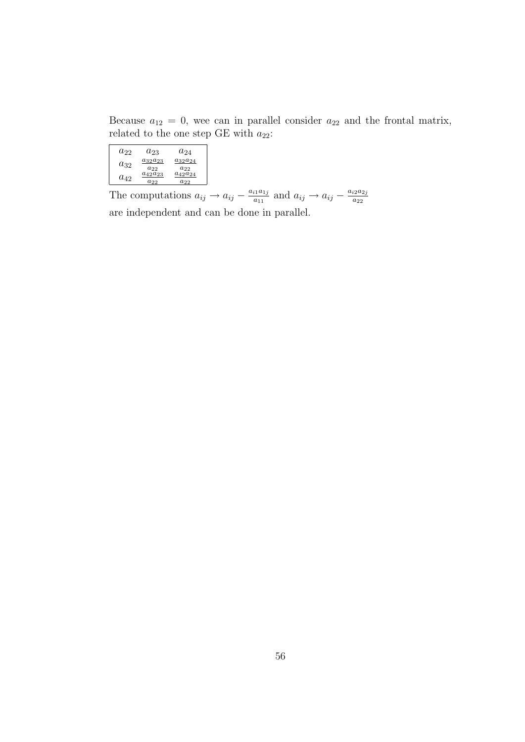Because  $a_{12} = 0$ , wee can in parallel consider  $a_{22}$  and the frontal matrix, related to the one step GE with  $a_{22}$ :

| $a_{22}$ | $a_{23}$                   | $a_{24}$                   |
|----------|----------------------------|----------------------------|
| $a_{32}$ | $a_{32}a_{23}$             | $a_{32}a_{24}$             |
| $a_{42}$ | $a_{22}$<br>$a_{42}a_{23}$ | $a_{22}$<br>$a_{42}a_{24}$ |
|          | $a_{22}$                   | $a_{22}$                   |

The computations  $a_{ij} \rightarrow a_{ij} - \frac{a_{i1}a_{1j}}{a_{i1}}$  $a_{11}^{i1a_{1j}}$  and  $a_{ij} \rightarrow a_{ij} - \frac{a_{i2}a_{2j}}{a_{22}}$  $a_{22}$ are independent and can be done in parallel.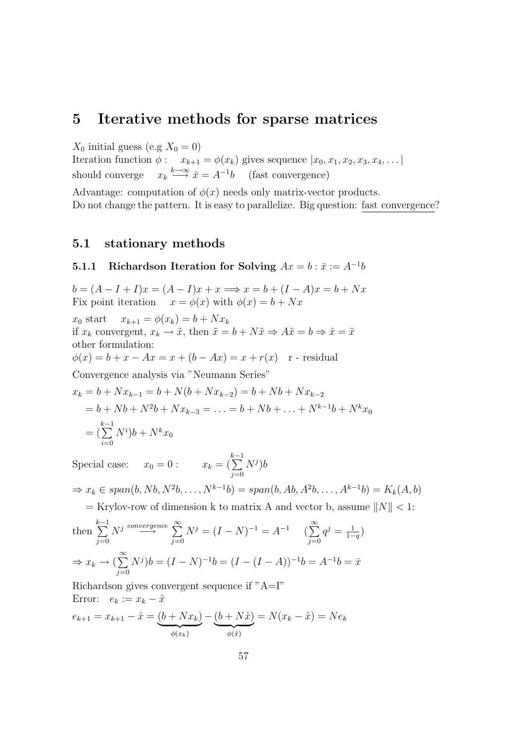# 5 Iterative methods for sparse matrices

 $X_0$  initial guess (e.g  $X_0 = 0$ )

Iteration function  $\phi: x_{k+1} = \phi(x_k)$  gives sequence  $|x_0, x_1, x_2, x_3, x_4, \dots|$ should converge  $\stackrel{k\to\infty}{\longrightarrow} \bar{x} = A^{-1}b$  (fast convergence)

Advantage: computation of  $\phi(x)$  needs only matrix-vector products. Do not change the pattern. It is easy to parallelize. Big question: fast convergence?

## 5.1 stationary methods

## **5.1.1** Richardson Iteration for Solving  $Ax = b : \bar{x} := A^{-1}b$

 $b = (A - I + I)x = (A - I)x + x \Longrightarrow x = b + (I - A)x = b + Nx$ Fix point iteration  $x = \phi(x)$  with  $\phi(x) = b + Nx$ 

 $x_0$  start  $x_{k+1} = \phi(x_k) = b + Nx_k$ if  $x_k$  convergent,  $x_k \to \tilde{x}$ , then  $\tilde{x} = b + N\tilde{x} \Rightarrow A\tilde{x} = b \Rightarrow \hat{x} = \tilde{x}$ other formulation:  $\phi(x) = b + x - Ax = x + (b - Ax) = x + r(x)$  r - residual Convergence analysis via "Neumann Series"

$$
x_k = b + Nx_{k-1} = b + N(b + Nx_{k-2}) = b + Nb + Nx_{k-2}
$$
  
= b + Nb + N<sup>2</sup>b + Nx\_{k-3} = ... = b + Nb + ... + N<sup>k-1</sup>b + N<sup>k</sup>x<sub>0</sub>  
=  $(\sum_{i=0}^{k-1} N^i)b + N^kx_0$ 

Special case:  $x_0 = 0$ :  $x_k =$  $\sum_{i=1}^{k-1}$  $j=0$  $N^j)b$ 

$$
\Rightarrow x_k \in span(b, Nb, N^2b, \dots, N^{k-1}b) = span(b, Ab, A^2b, \dots, A^{k-1}b) = K_k(A, b)
$$

 $=$  Krylov-row of dimension k to matrix A and vector b, assume  $||N|| < 1$ :

then 
$$
\sum_{j=0}^{k-1} N^j \stackrel{convergence}{\longrightarrow} \sum_{j=0}^{\infty} N^j = (I - N)^{-1} = A^{-1} \quad (\sum_{j=0}^{\infty} q^j = \frac{1}{1-q})
$$
  
\n
$$
\Rightarrow x_k \to (\sum_{j=0}^{\infty} N^j) b = (I - N)^{-1} b = (I - (I - A))^{-1} b = A^{-1} b = \bar{x}
$$

Richardson gives convergent sequence if "A=I" Error:  $e_k := x_k - \hat{x}$ 

$$
e_{k+1} = x_{k+1} - \hat{x} = \underbrace{(b + Nx_k)}_{\phi(x_k)} - \underbrace{(b + N\hat{x})}_{\phi(\hat{x})} = N(x_k - \hat{x}) = Ne_k
$$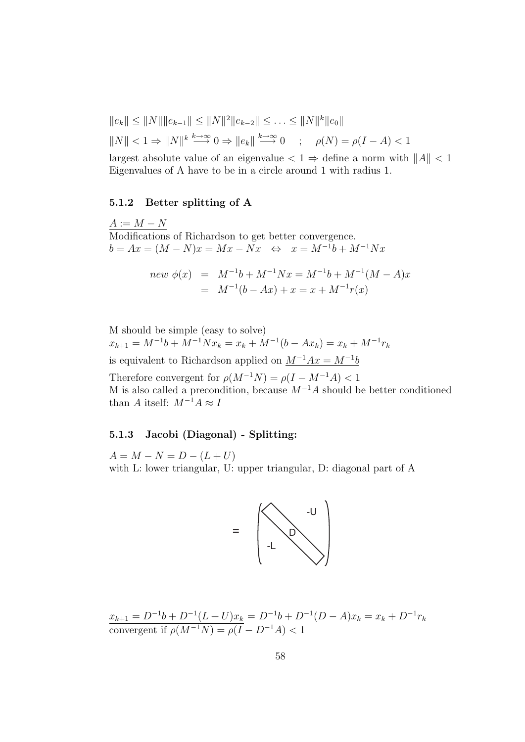$$
||e_k|| \le ||N|| ||e_{k-1}|| \le ||N||^2 ||e_{k-2}|| \le \dots \le ||N||^k ||e_0||
$$
  

$$
||N|| < 1 \Rightarrow ||N||^k \stackrel{k \to \infty}{\longrightarrow} 0 \Rightarrow ||e_k|| \stackrel{k \to \infty}{\longrightarrow} 0 \quad ; \quad \rho(N) = \rho(I - A) < 1
$$

largest absolute value of an eigenvalue  $\langle 1 \Rightarrow$  define a norm with  $||A|| \langle 1||$ Eigenvalues of A have to be in a circle around 1 with radius 1.

#### 5.1.2 Better splitting of A

 $A := M - N$ Modifications of Richardson to get better convergence.  $b = Ax = (M - N)x = Mx - Nx \Leftrightarrow x = M^{-1}b + M^{-1}Nx$ 

$$
new \phi(x) = M^{-1}b + M^{-1}Nx = M^{-1}b + M^{-1}(M - A)x
$$
  
=  $M^{-1}(b - Ax) + x = x + M^{-1}r(x)$ 

M should be simple (easy to solve)  $x_{k+1} = M^{-1}b + M^{-1}Nx_k = x_k + M^{-1}(b - Ax_k) = x_k + M^{-1}r_k$ is equivalent to Richardson applied on  $M^{-1}Ax = M^{-1}b$ 

Therefore convergent for  $\rho(M^{-1}N) = \rho(I - M^{-1}A) < 1$ M is also called a precondition, because  $M^{-1}A$  should be better conditioned than A itself:  $M^{-1}A \approx I$ 

#### 5.1.3 Jacobi (Diagonal) - Splitting:

 $A = M - N = D - (L + U)$ with L: lower triangular, U: upper triangular, D: diagonal part of A



 $x_{k+1} = D^{-1}b + D^{-1}(L+U)x_k = D^{-1}b + D^{-1}(D-A)x_k = x_k + D^{-1}r_k$ convergent if  $\rho(M^{-1}N) = \rho(I - D^{-1}A) < 1$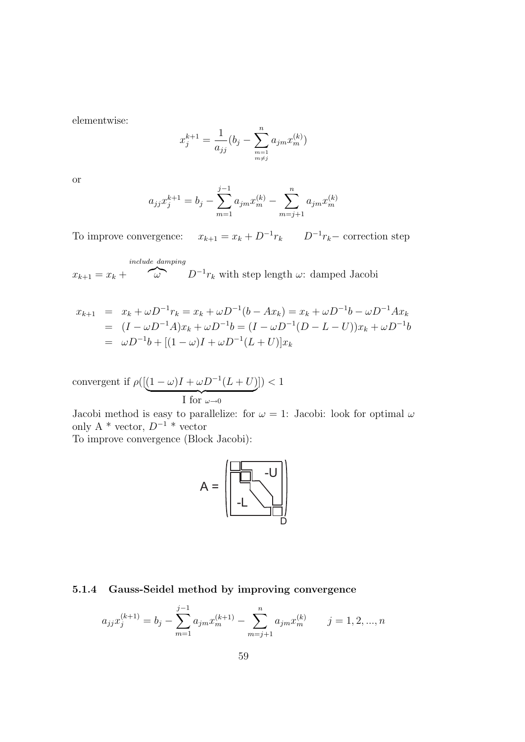elementwise:

$$
x_j^{k+1} = \frac{1}{a_{jj}} (b_j - \sum_{\substack{m=1 \ m \neq j}}^n a_{jm} x_m^{(k)})
$$

or

$$
a_{jj}x_j^{k+1} = b_j - \sum_{m=1}^{j-1} a_{jm}x_m^{(k)} - \sum_{m=j+1}^{n} a_{jm}x_m^{(k)}
$$

To improve convergence:  $x_{k+1} = x_k + D^{-1}r_k$   $D^{-1}r_k$  correction step

 $x_{k+1} = x_k +$ include damping  $\omega$  D<sup>-1</sup> $r_k$  with step length  $\omega$ : damped Jacobi

$$
x_{k+1} = x_k + \omega D^{-1} r_k = x_k + \omega D^{-1} (b - Ax_k) = x_k + \omega D^{-1} b - \omega D^{-1} Ax_k
$$
  
=  $(I - \omega D^{-1} A)x_k + \omega D^{-1} b = (I - \omega D^{-1} (D - L - U))x_k + \omega D^{-1} b$   
=  $\omega D^{-1} b + [(1 - \omega)I + \omega D^{-1} (L + U)]x_k$ 

$$
\text{convergent if } \rho([\underbrace{(1-\omega)I+\omega D^{-1}(L+U)}_{\text{$I$ for $\omega\to 0$}}])<1
$$

Jacobi method is easy to parallelize: for  $\omega = 1$ : Jacobi: look for optimal  $\omega$ only A \* vector,  $D^{-1}$  \* vector

To improve convergence (Block Jacobi):



### 5.1.4 Gauss-Seidel method by improving convergence

j<br>1. ma

$$
a_{jj}x_j^{(k+1)} = b_j - \sum_{m=1}^{j-1} a_{jm}x_m^{(k+1)} - \sum_{m=j+1}^{n} a_{jm}x_m^{(k)} \qquad j = 1, 2, ..., n
$$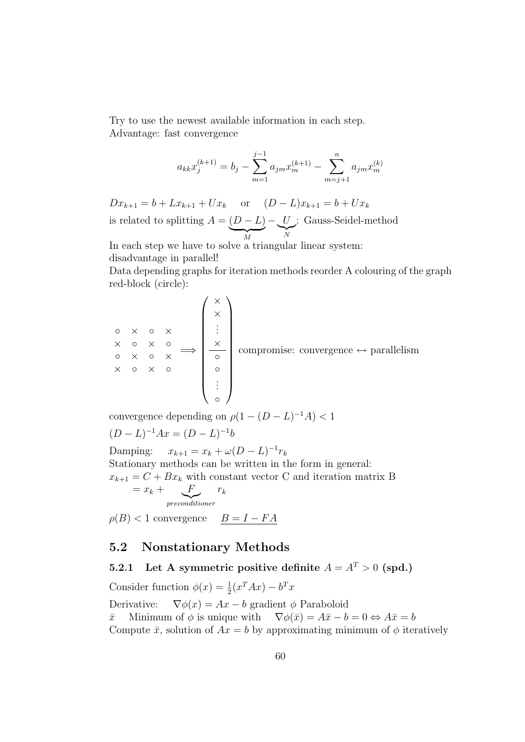Try to use the newest available information in each step. Advantage: fast convergence

$$
a_{kk}x_j^{(k+1)} = b_j - \sum_{m=1}^{j-1} a_{jm}x_m^{(k+1)} - \sum_{m=j+1}^{n} a_{jm}x_m^{(k)}
$$

 $Dx_{k+1} = b + Lx_{k+1} + Ux_k$  or  $(D - L)x_{k+1} = b + Ux_k$ is related to splitting  $A = (D - L)$  ${\gamma}$   ${\gamma}$  $-$  U  $\gamma$ <sup>N</sup> : Gauss-Seidel-method

In each step we have to solve a triangular linear system: disadvantage in parallel!

Data depending graphs for iteration methods reorder A colouring of the graph red-block (circle):

$$
\begin{array}{ccc}\n\circ & \times & \circ & \times & \circ \\
\times & \circ & \times & \circ & \circ \\
\times & \circ & \times & \circ & \circ \\
\times & \circ & \times & \circ & \circ \\
\end{array}
$$
 compromise: convergence  $\leftrightarrow$  parallelism  

$$
\begin{array}{ccc}\n\circ & \times & \circ & \circ \\
\circ & \circ & \circ & \circ \\
\vdots & \vdots & \end{array}
$$

convergence depending on  $\rho(1-(D-L)^{-1}A) < 1$  $(D - L)^{-1}Ax = (D - L)^{-1}b$ Damping:  $x_{k+1} = x_k + \omega (D - L)^{-1} r_k$ Stationary methods can be written in the form in general:  $x_{k+1} = C + Bx_k$  with constant vector C and iteration matrix B  $=x_k + \bigcup_{k=1}^{k}$ |{z} preconditioner  $r_k$  $\rho(B)$  < 1 convergence  $B = I - FA$ 

## 5.2 Nonstationary Methods

## 5.2.1 Let A symmetric positive definite  $A = A^T > 0$  (spd.)

Consider function  $\phi(x) = \frac{1}{2}(x^T A x) - b^T x$ Derivative:  $\nabla \phi(x) = Ax - b$  gradient  $\phi$  Paraboloid  $\bar{x}$  Minimum of  $\phi$  is unique with  $\nabla \phi(\bar{x}) = A\bar{x} - b = 0 \Leftrightarrow A\bar{x} = b$ Compute  $\bar{x}$ , solution of  $Ax = b$  by approximating minimum of  $\phi$  iteratively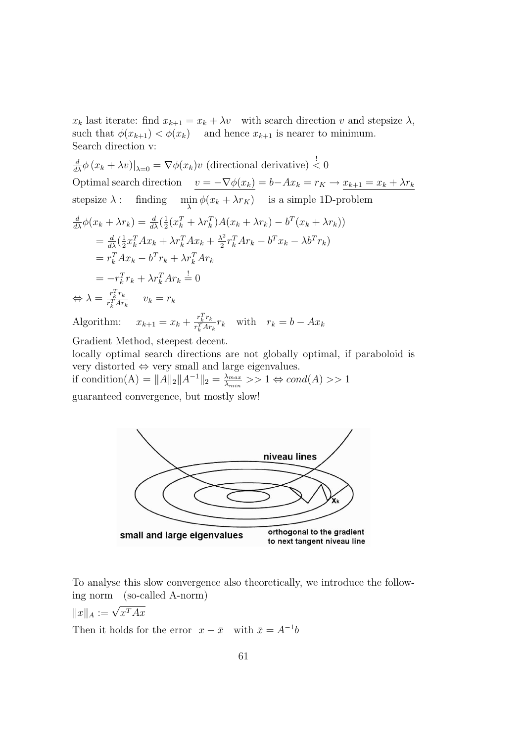$x_k$  last iterate: find  $x_{k+1} = x_k + \lambda v$  with search direction v and stepsize  $\lambda$ , such that  $\phi(x_{k+1}) < \phi(x_k)$  and hence  $x_{k+1}$  is nearer to minimum. Search direction v:

$$
\frac{d}{d\lambda}\phi(x_k + \lambda v)|_{\lambda=0} = \nabla\phi(x_k)v \text{ (directional derivative)} \leq 0
$$
\nOptimal search direction\n
$$
\frac{v = -\nabla\phi(x_k)}{v = -\nabla\phi(x_k)} = b - Ax_k = r_K \to \frac{x_{k+1} = x_k + \lambda r_k}{x_k}
$$
\nstepsize  $\lambda$ : finding\n
$$
\min_{\lambda} \phi(x_k + \lambda r_k) \text{ is a simple 1D-problem}
$$
\n
$$
\frac{d}{d\lambda}\phi(x_k + \lambda r_k) = \frac{d}{d\lambda}(\frac{1}{2}(x_k^T + \lambda r_k^T)A(x_k + \lambda r_k) - b^T(x_k + \lambda r_k))
$$
\n
$$
= \frac{d}{d\lambda}(\frac{1}{2}x_k^T A x_k + \lambda r_k^T A x_k + \frac{\lambda^2}{2}r_k^T A r_k - b^T x_k - \lambda b^T r_k)
$$
\n
$$
= r_k^T A x_k - b^T r_k + \lambda r_k^T A r_k
$$
\n
$$
= -r_k^T r_k + \lambda r_k^T A r_k \stackrel{!}{=} 0
$$
\n
$$
\Leftrightarrow \lambda = \frac{r_k^T r_k}{r_k^T A r_k} \qquad v_k = r_k
$$

Algorithm:  $x_{k+1} = x_k + \frac{r_k^T r_k}{r^T A r}$  $\frac{r_k^r r_k}{r_k^T A r_k} r_k$  with  $r_k = b - Ax_k$ 

Gradient Method, steepest decent.

locally optimal search directions are not globally optimal, if paraboloid is very distorted ⇔ very small and large eigenvalues.

if condition(A) =  $||A||_2 ||A^{-1}||_2 = \frac{\lambda_{max}}{\lambda_{min}}$  $\frac{\lambda_{max}}{\lambda_{min}} >> 1 \Leftrightarrow cond(A) >> 1$ guaranteed convergence, but mostly slow!



To analyse this slow convergence also theoretically, we introduce the following norm (so-called A-norm)

 $||x||_A := \sqrt{x^T A x}$ 

Then it holds for the error  $x - \bar{x}$  with  $\bar{x} = A^{-1}b$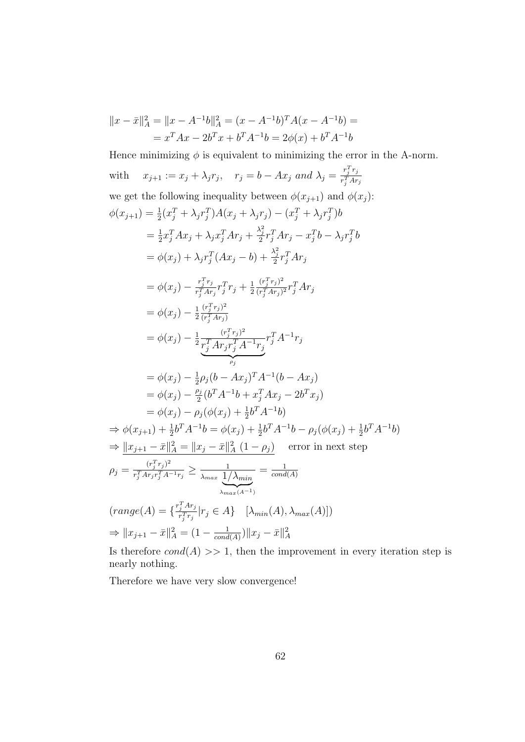$$
||x - \bar{x}||_A^2 = ||x - A^{-1}b||_A^2 = (x - A^{-1}b)^T A (x - A^{-1}b) =
$$
  
=  $x^T A x - 2b^T x + b^T A^{-1}b = 2\phi(x) + b^T A^{-1}b$ 

Hence minimizing  $\phi$  is equivalent to minimizing the error in the A-norm. with  $x_{j+1} := x_j + \lambda_j r_j$ ,  $r_j = b - Ax_j$  and  $\lambda_j = \frac{r_j^T r_j}{r_j^T A r_j^T}$  $\overline{r_j^TAr_j}$ we get the following inequality between  $\phi(x_{i+1})$  and  $\phi(x_i)$ :  $\phi(x_{j+1}) = \frac{1}{2}(x_j^T + \lambda_j r_j^T)A(x_j + \lambda_j r_j) - (x_j^T + \lambda_j r_j^T)b$  $=\frac{1}{2}$  $\frac{1}{2}x_j^TAx_j+\lambda_jx_j^TAr_j+\frac{\lambda_j^2}{2}r_j^TAr_j-x_j^Tb-\lambda_jr_j^Tb$  $= \phi(x_j) + \lambda_j r_j^T (Ax_j - b) + \frac{\lambda_j^2}{2} r_j^T A r_j$  $=\phi(x_j) - \frac{r_j^T r_j}{r_i^T A r_j}$  $\frac{r_j^{\scriptscriptstyle +} r_j}{r_j^{\scriptscriptstyle T} A r_j} r_j^{\scriptscriptstyle T} r_j + \frac{1}{2}$ 2  $(r_j^T r_j)^2$  $\frac{(\overline{r_j}\,\overline{r_j})^+}{(\overline{r_j^T}A r_j)^2}r_j^T A r_j$  $= \phi(x_j) - \frac{1}{2}$ 2  $(r_j^T r_j)^2$  $\overline{(r_j^T A r_j)}$  $= \phi(x_j) - \frac{1}{2}$ 2  $(r_j^T r_j)^2$  $\overline{r_j^T Ar_j r_j^T A^{-1} r_j}$  $\overbrace{\qquad \qquad \rho_j}$  $\rho_j$  $r_j^T A^{-1} r_j$  $= \phi(x_j) - \frac{1}{2}$  $\frac{1}{2}\rho_j(b - Ax_j)^T A^{-1}(b - Ax_j)$  $= \phi(x_j) - \frac{\rho_j}{2}$  $\frac{\partial j}{2}(b^T A^{-1}b + x_j^T Ax_j - 2b^T x_j)$  $= \phi(x_j) - \rho_j(\phi(x_j) + \frac{1}{2}b^T A^{-1}b)$  $\Rightarrow \phi(x_{j+1}) + \frac{1}{2}b^{T}A^{-1}b = \phi(x_{j}) + \frac{1}{2}b^{T}A^{-1}b - \rho_{j}(\phi(x_{j}) + \frac{1}{2}b^{T}A^{-1}b)$  $\Rightarrow \|x_{j+1} - \bar{x}\|_A^2 = \|x_j - \bar{x}\|_A^2 (1 - \rho_j)$  error in next step  $\rho_j = \frac{(r_j^T r_j)^2}{r_i^T A r_i r_i^T A^2}$  $\frac{(r_j^{\scriptscriptstyle +} r_j^{\scriptscriptstyle +})^{\scriptscriptstyle +}}{r_j^{\scriptscriptstyle T} A r_j r_j^{\scriptscriptstyle T} A^{-1} r_j} \ge \frac{1}{\lambda_{max}} \frac{1}{1/\tau}$  $\overline{\lambda_{max}}\left|1/\lambda_{min}\right|$  $\lambda_{max}(A^{-1})$  $=\frac{1}{\cos d}$  $cond(A)$  $(range(A) = \{\frac{r_j^T A r_j}{r T_{x,j}}\})$  $\frac{1}{r_j^T r_j}$   $|r_j \in A\}$   $[\lambda_{min}(A), \lambda_{max}(A)]$  $\Rightarrow \|x_{j+1} - \bar{x}\|_A^2 = (1 - \frac{1}{\text{cond}})$  $\frac{1}{cond(A)}) \|x_j - \bar{x}\|_A^2$ 

Is therefore  $cond(A) >> 1$ , then the improvement in every iteration step is nearly nothing.

Therefore we have very slow convergence!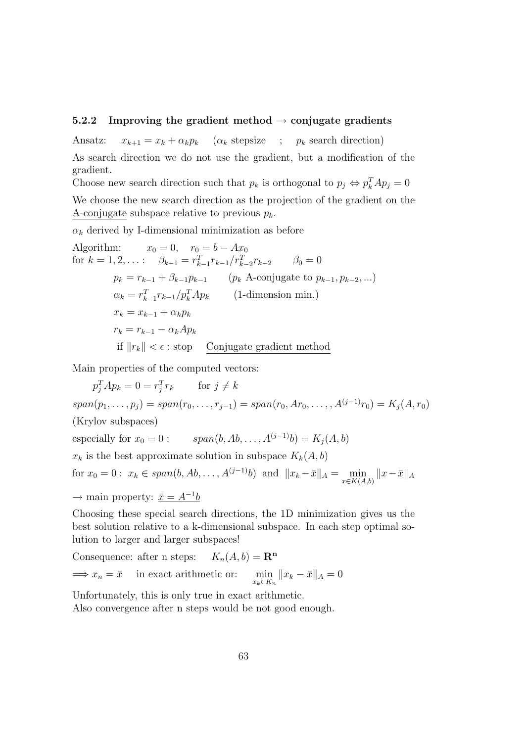#### 5.2.2 Improving the gradient method  $\rightarrow$  conjugate gradients

Ansatz:  $x_{k+1} = x_k + \alpha_k p_k$  ( $\alpha_k$  stepsize ;  $p_k$  search direction) As search direction we do not use the gradient, but a modification of the gradient.

Choose new search direction such that  $p_k$  is orthogonal to  $p_j \Leftrightarrow p_k^T A p_j = 0$ 

We choose the new search direction as the projection of the gradient on the A-conjugate subspace relative to previous  $p_k$ .

 $\alpha_k$  derived by I-dimensional minimization as before

Algorithm: 
$$
x_0 = 0
$$
,  $r_0 = b - Ax_0$   
\nfor  $k = 1, 2, ...$ :  $\beta_{k-1} = r_{k-1}^T r_{k-1} / r_{k-2}^T r_{k-2}$   $\beta_0 = 0$   
\n $p_k = r_{k-1} + \beta_{k-1} p_{k-1}$   $(p_k \text{ A-conjugate to } p_{k-1}, p_{k-2}, ...)$   
\n $\alpha_k = r_{k-1}^T r_{k-1} / p_k^T A p_k$  (1-dimensional min.)  
\n $x_k = x_{k-1} + \alpha_k p_k$   
\n $r_k = r_{k-1} - \alpha_k A p_k$   
\nif  $||r_k|| < \epsilon$ : stop Conjugate gradient method

Main properties of the computed vectors:

 $p_j^T A p_k = 0 = r_j^T r_k$  for  $j \neq k$  $span(p_1, \ldots, p_j) = span(r_0, \ldots, r_{j-1}) = span(r_0, Ar_0, \ldots, A^{(j-1)}r_0) = K_j(A, r_0)$ (Krylov subspaces) especially for  $x_0 = 0$  :  $span(b, Ab, ..., A^{(j-1)}b) = K_i(A, b)$ 

 $x_k$  is the best approximate solution in subspace  $K_k(A, b)$ 

for  $x_0 = 0$ :  $x_k \in span(b, Ab, ..., A^{(j-1)}b)$  and  $||x_k - \bar{x}||_A = \min_{x \in K(A,b)} ||x - \bar{x}||_A$ 

 $\rightarrow$  main property:  $\bar{x} = A^{-1}b$ 

Choosing these special search directions, the 1D minimization gives us the best solution relative to a k-dimensional subspace. In each step optimal solution to larger and larger subspaces!

Consequence: after n steps:  $K_n(A, b) = \mathbb{R}^n$  $\implies x_n = \bar{x}$  in exact arithmetic or:  $\min_{x_k \in K_n} ||x_k - \bar{x}||_A = 0$ 

Unfortunately, this is only true in exact arithmetic.

Also convergence after n steps would be not good enough.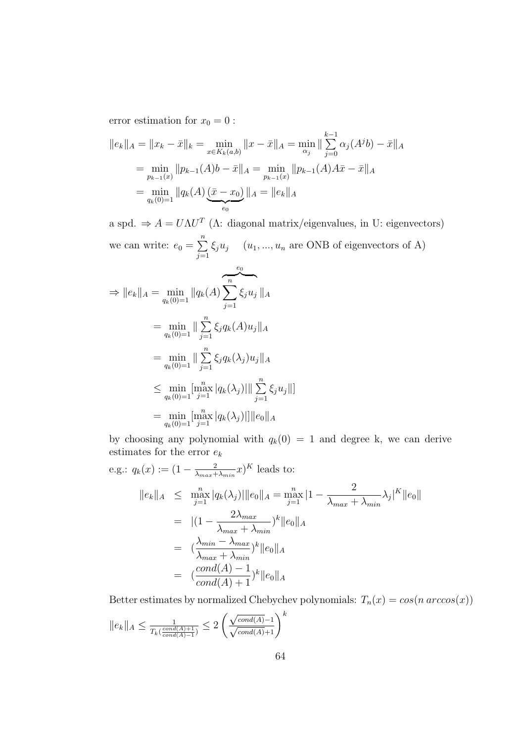error estimation for  $x_0 = 0$ :

$$
||e_k||_A = ||x_k - \bar{x}||_k = \min_{x \in K_k(a,b)} ||x - \bar{x}||_A = \min_{\alpha_j} ||\sum_{j=0}^{k-1} \alpha_j (A^j b) - \bar{x}||_A
$$
  
= 
$$
\min_{p_{k-1}(x)} ||p_{k-1}(A)b - \bar{x}||_A = \min_{p_{k-1}(x)} ||p_{k-1}(A)A\bar{x} - \bar{x}||_A
$$
  
= 
$$
\min_{q_k(0)=1} ||q_k(A) (\bar{x} - x_0)||_A = ||e_k||_A
$$

a spd.  $\Rightarrow$   $A = U\Lambda U^T$  ( $\Lambda$ : diagonal matrix/eigenvalues, in U: eigenvectors) we can write:  $e_0 = \sum_{n=1}^{\infty}$  $j=1$  $\xi_j u_j$  (u<sub>1</sub>, ..., u<sub>n</sub> are ONB of eigenvectors of A)

$$
\Rightarrow ||e_k||_A = \min_{q_k(0)=1} ||q_k(A)\sum_{j=1}^n \xi_j u_j||_A
$$
  
\n
$$
= \min_{q_k(0)=1} ||\sum_{j=1}^n \xi_j q_k(A) u_j||_A
$$
  
\n
$$
= \min_{q_k(0)=1} ||\sum_{j=1}^n \xi_j q_k(\lambda_j) u_j||_A
$$
  
\n
$$
\leq \min_{q_k(0)=1} [\max_{j=1}^n |q_k(\lambda_j)| || \sum_{j=1}^n \xi_j u_j||]
$$
  
\n
$$
= \min_{q_k(0)=1} [\max_{j=1}^n |q_k(\lambda_j)|] ||e_0||_A
$$

by choosing any polynomial with  $q_k(0) = 1$  and degree k, we can derive estimates for the error  $\boldsymbol{e}_k$ 

e.g.: 
$$
q_k(x) := (1 - \frac{2}{\lambda_{max} + \lambda_{min}} x)^K
$$
 leads to:  
\n
$$
||e_k||_A \le \max_{j=1}^n |q_k(\lambda_j)||e_0||_A = \max_{j=1}^n |1 - \frac{2}{\lambda_{max} + \lambda_{min}} \lambda_j|^K ||e_0||
$$
\n
$$
= |(1 - \frac{2\lambda_{max}}{\lambda_{max} + \lambda_{min}})^k ||e_0||_A
$$
\n
$$
= (\frac{\lambda_{min} - \lambda_{max}}{\lambda_{max} + \lambda_{min}})^k ||e_0||_A
$$
\n
$$
= (\frac{cond(A) - 1}{cond(A) + 1})^k ||e_0||_A
$$

Better estimates by normalized Chebychev polynomials:  $T_n(x) = \cos(n \arccos(x))$ 

$$
\|e_k\|_A\leq \tfrac{1}{T_k(\frac{cond(A)+1}{cond(A)-1})}\leq 2\left(\frac{\sqrt{cond(A)}-1}{\sqrt{cond(A)}+1}\right)^k
$$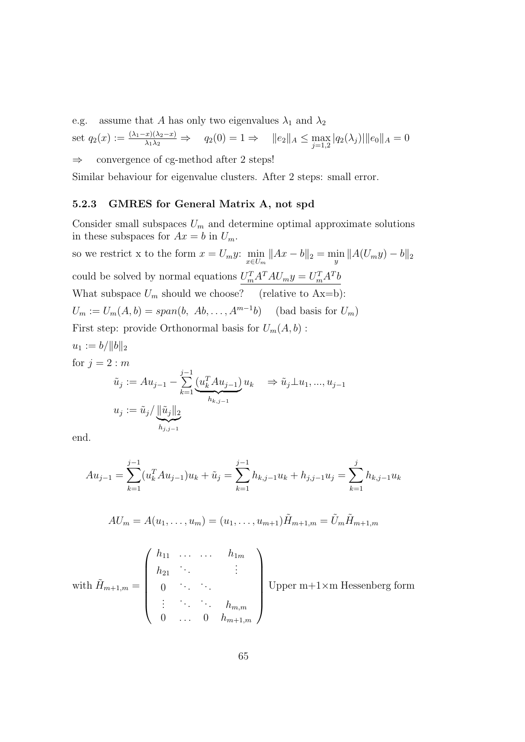e.g. assume that A has only two eigenvalues  $\lambda_1$  and  $\lambda_2$ 

set 
$$
q_2(x) := \frac{(\lambda_1 - x)(\lambda_2 - x)}{\lambda_1 \lambda_2} \Rightarrow q_2(0) = 1 \Rightarrow ||e_2||_A \le \max_{j=1,2} |q_2(\lambda_j)||e_0||_A = 0
$$
  
\n $\Rightarrow$  convergence of cg-method after 2 steps!

Similar behaviour for eigenvalue clusters. After 2 steps: small error.

#### 5.2.3 GMRES for General Matrix A, not spd

Consider small subspaces  $U_m$  and determine optimal approximate solutions in these subspaces for  $Ax = b$  in  $U_m$ .

so we restrict x to the form  $x = U_m y$ :  $\min_{x \in U_m} ||Ax - b||_2 = \min_y ||A(U_m y) - b||_2$ could be solved by normal equations  $U_m^T A^T A U_m y = U_m^T A^T b$ What subspace  $U_m$  should we choose? (relative to Ax=b):  $U_m := U_m(A, b) = span(b, Ab, \dots, A^{m-1}b)$  (bad basis for  $U_m$ ) First step: provide Orthonormal basis for  $U_m(A, b)$ :  $u_1 := b / ||b||_2$ for  $j = 2 : m$  $\tilde{u}_j := Au_{j-1}$  –  $\sum_{ }^{j-1}$  $k=1$  $(u_k^T A u_{j-1})$  $\overline{h_{k} \, i=1}$  $h_{k,j-1}$  $u_k \Rightarrow \tilde{u}_j \perp u_1, \ldots, u_{j-1}$ 

$$
u_j:=\tilde{u}_j/\underbrace{\|\tilde{u}_j\|_2}_{h_{j,j-1}}
$$

end.

$$
Au_{j-1} = \sum_{k=1}^{j-1} (u_k^T A u_{j-1}) u_k + \tilde{u}_j = \sum_{k=1}^{j-1} h_{k,j-1} u_k + h_{j,j-1} u_j = \sum_{k=1}^{j} h_{k,j-1} u_k
$$

$$
AU_m = A(u_1, \dots, u_m) = (u_1, \dots, u_{m+1})\tilde{H}_{m+1,m} = \tilde{U}_m \tilde{H}_{m+1,m}
$$

with 
$$
\tilde{H}_{m+1,m} = \begin{pmatrix} h_{11} & \cdots & \cdots & h_{1m} \\ h_{21} & \ddots & & \vdots \\ 0 & \ddots & \ddots & \\ \vdots & \ddots & \ddots & h_{m,m} \\ 0 & \cdots & 0 & h_{m+1,m} \end{pmatrix}
$$
 Upper m+1×1

m Hessenberg form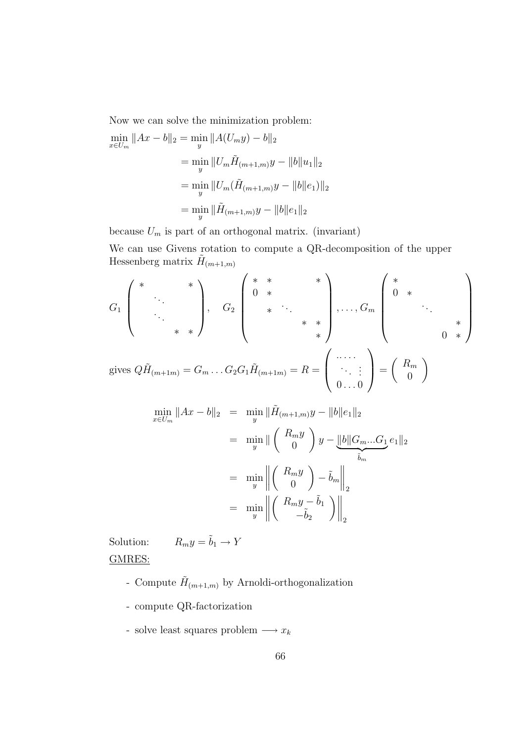Now we can solve the minimization problem:

$$
\min_{x \in U_m} \|Ax - b\|_2 = \min_{y} \|A(U_m y) - b\|_2
$$

$$
= \min_{y} \|U_m \tilde{H}_{(m+1,m)} y - \|b\|u_1\|_2
$$

$$
= \min_{y} \|U_m (\tilde{H}_{(m+1,m)} y - \|b\|e_1)\|_2
$$

$$
= \min_{y} \|\tilde{H}_{(m+1,m)} y - \|b\|e_1\|_2
$$

because  $U_m$  is part of an orthogonal matrix. (invariant)

We can use Givens rotation to compute a QR-decomposition of the upper Hessenberg matrix  $\tilde{H}_{(m+1,m)}$ 

$$
G_1\begin{pmatrix} * & * \\ \cdot & \cdot \\ \cdot & \cdot \\ \cdot & * \end{pmatrix}, \quad G_2\begin{pmatrix} * & * & * \\ 0 & * & \cdot \\ \cdot & \cdot & \cdot \\ \cdot & * & * \end{pmatrix}, \dots, G_m\begin{pmatrix} * & * \\ 0 & * \\ \cdot & \cdot \\ \cdot & * \end{pmatrix}
$$
\n
$$
\text{gives } Q\tilde{H}_{(m+1m)} = G_m \dots G_2 G_1 \tilde{H}_{(m+1m)} = R = \begin{pmatrix} \dots \\ \cdot & \cdot \\ \cdot & \cdot \\ 0 & \dots 0 \end{pmatrix} = \begin{pmatrix} R_m \\ 0 \end{pmatrix}
$$

$$
\min_{x \in U_m} \|Ax - b\|_2 = \min_{y} \|\tilde{H}_{(m+1,m)}y - \|b\|e_1\|_2
$$
  
\n
$$
= \min_{y} \|\begin{pmatrix} R_m y \\ 0 \end{pmatrix} y - \|b\|G_m...G_1 e_1\|_2
$$
  
\n
$$
= \min_{y} \|\begin{pmatrix} R_m y \\ 0 \end{pmatrix} - \tilde{b}_m\|_2
$$
  
\n
$$
= \min_{y} \|\begin{pmatrix} R_m y - \tilde{b}_1 \\ -\tilde{b}_2 \end{pmatrix}\|_2
$$

Solution:  $R_m y = \tilde{b}_1 \rightarrow Y$ GMRES:

- Compute  $\tilde{H}_{(m+1,m)}$  by Arnoldi-orthogonalization
- compute QR-factorization
- solve least squares problem  $\longrightarrow x_k$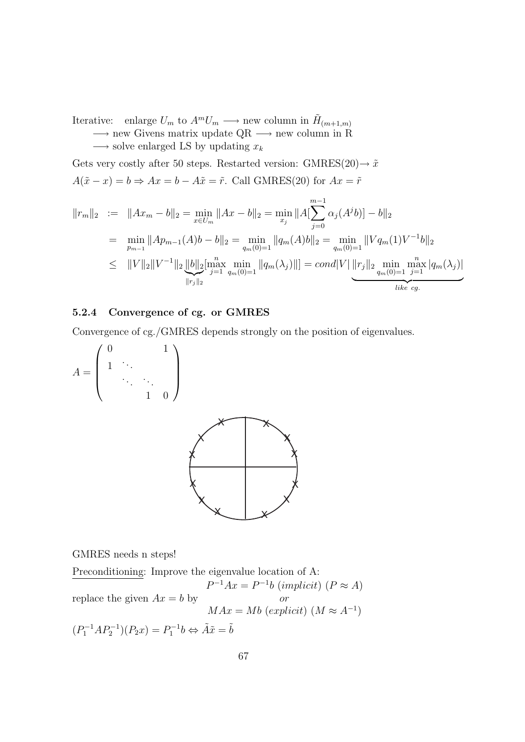Iterative: enlarge  $U_m$  to  $A^m U_m \longrightarrow$  new column in  $\tilde{H}_{(m+1,m)}$  $\rightarrow$  new Givens matrix update QR  $\rightarrow$  new column in R

 $\longrightarrow$  solve enlarged LS by updating  $x_k$ 

Gets very costly after 50 steps. Restarted version: GMRES(20) $\rightarrow \tilde{x}$  $A(\tilde{x} - x) = b \Rightarrow Ax = b - A\tilde{x} = \tilde{r}$ . Call GMRES(20) for  $Ax = \tilde{r}$ 

$$
||r_m||_2 := ||Ax_m - b||_2 = \min_{x \in U_m} ||Ax - b||_2 = \min_{x_j} ||A[\sum_{j=0}^{m-1} \alpha_j(A^j b)] - b||_2
$$
  
\n
$$
= \min_{p_{m-1}} ||Ap_{m-1}(A)b - b||_2 = \min_{q_m(0)=1} ||q_m(A)b||_2 = \min_{q_m(0)=1} ||Vq_m(1)V^{-1}b||_2
$$
  
\n
$$
\leq ||V||_2 ||V^{-1}||_2 ||b||_2 [\max_{j=1}^{n} \min_{q_m(0)=1} ||q_m(\lambda_j)||] = cond|V| ||r_j||_2 \min_{q_m(0)=1}^{n} \max_{j=1}^{n} |q_m(\lambda_j)|
$$
  
\n*like cg.*

#### 5.2.4 Convergence of cg. or GMRES

Convergence of cg./GMRES depends strongly on the position of eigenvalues.

$$
A = \left(\begin{array}{ccc} 0 & & & 1 \\ 1 & \ddots & & \\ & \ddots & \ddots & \\ & & 1 & 0 \end{array}\right)
$$



GMRES needs n steps!

Preconditioning: Improve the eigenvalue location of A: replace the given  $Ax = b$  by  $P^{-1}Ax = P^{-1}b$  (implicit)  $(P \approx A)$ or  $MAx = Mb$  (explicit)  $(M \approx A^{-1})$  $(P_1^{-1}AP_2^{-1})(P_2x) = P_1^{-1}b \Leftrightarrow \tilde{A}\tilde{x} = \tilde{b}$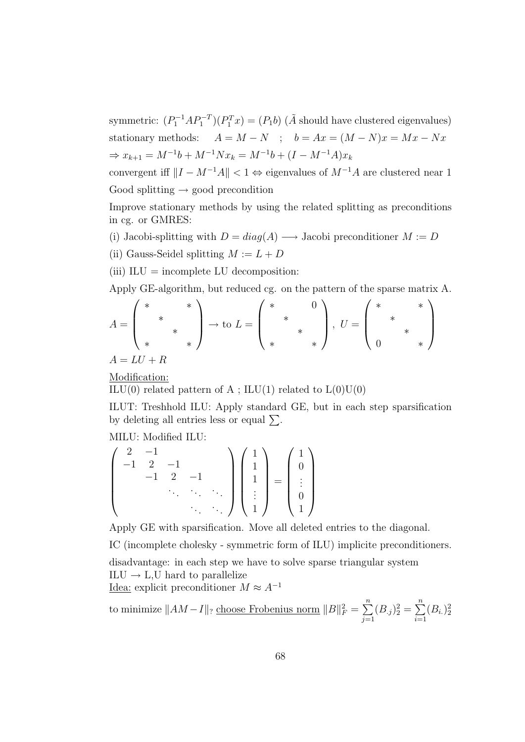symmetric:  $(P_1^{-1}AP_1^{-T})(P_1^Tx) = (P_1b)$  ( $\tilde{A}$  should have clustered eigenvalues) stationary methods:  $A = M - N$ ;  $b = Ax = (M - N)x = Mx - Nx$  $\Rightarrow x_{k+1} = M^{-1}b + M^{-1}Nx_k = M^{-1}b + (I - M^{-1}A)x_k$ 

convergent iff  $||I - M^{-1}A|| < 1 \Leftrightarrow$  eigenvalues of  $M^{-1}A$  are clustered near 1 Good splitting  $\rightarrow$  good precondition

Improve stationary methods by using the related splitting as preconditions in cg. or GMRES:

- (i) Jacobi-splitting with  $D = diag(A) \longrightarrow$  Jacobi preconditioner  $M := D$
- (ii) Gauss-Seidel splitting  $M := L + D$
- (iii)  $ILU = incomplete LU decomposition:$

Apply GE-algorithm, but reduced cg. on the pattern of the sparse matrix A.

$$
A = \begin{pmatrix} * & * & * \\ * & * & * \\ * & * & * \end{pmatrix} \to \text{to } L = \begin{pmatrix} * & * & 0 \\ * & * & * \\ * & * & * \end{pmatrix}, U = \begin{pmatrix} * & * & * \\ * & * & * \\ 0 & * & * \end{pmatrix}
$$

$$
A = LU + R
$$

Modification:

ILU(0) related pattern of A; ILU(1) related to  $L(0)U(0)$ 

ILUT: Treshhold ILU: Apply standard GE, but in each step sparsification by deleting all entries less or equal  $\Sigma$ .

MILU: Modified ILU:

$$
\begin{pmatrix} 2 & -1 & & & \\ -1 & 2 & -1 & & \\ & -1 & 2 & -1 & \\ & & & \ddots & \ddots \end{pmatrix} \begin{pmatrix} 1 \\ 1 \\ 1 \\ \vdots \\ 1 \end{pmatrix} = \begin{pmatrix} 1 \\ 0 \\ \vdots \\ 0 \\ 1 \end{pmatrix}
$$

Apply GE with sparsification. Move all deleted entries to the diagonal.

IC (incomplete cholesky - symmetric form of ILU) implicite preconditioners.

disadvantage: in each step we have to solve sparse triangular system  $ILU \rightarrow L,U$  hard to parallelize Idea: explicit preconditioner  $M \approx A^{-1}$ 

to minimize 
$$
||AM - I||_?
$$
 choose Frobenius norm  $||B||_F^2 = \sum_{j=1}^n (B_{.j})_2^2 = \sum_{i=1}^n (B_{i.})_2^2$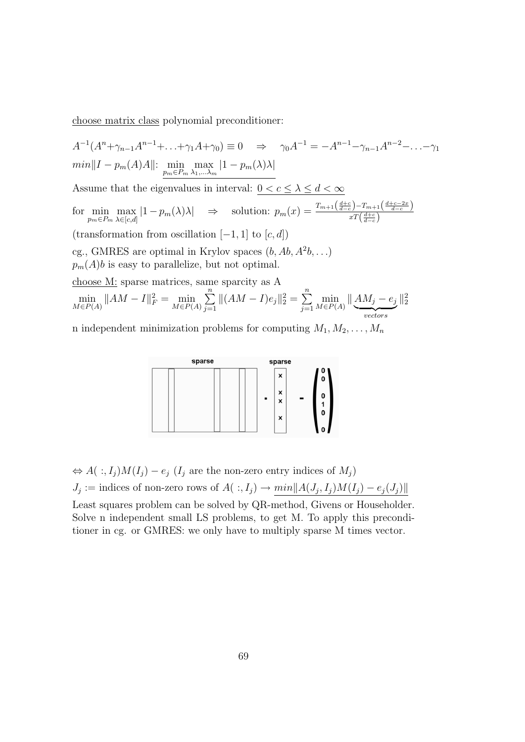choose matrix class polynomial preconditioner:

$$
A^{-1}(A^{n} + \gamma_{n-1}A^{n-1} + ... + \gamma_1A + \gamma_0) \equiv 0 \Rightarrow \gamma_0A^{-1} = -A^{n-1} - \gamma_{n-1}A^{n-2} - ... - \gamma_1
$$
  
\n
$$
min||I - p_m(A)A||: \min_{p_m \in P_m} \max_{\lambda_1, ..., \lambda_m} |1 - p_m(\lambda)\lambda|
$$
  
\nAssume that the eigenvalues in interval:  $0 < c \le \lambda \le d < \infty$   
\nfor  $\min_{p_m \in P_m} \max_{\lambda \in [c,d]} |1 - p_m(\lambda)\lambda| \Rightarrow$  solution:  $p_m(x) = \frac{T_{m+1}\left(\frac{d+c}{d-c}\right) - T_{m+1}\left(\frac{d+c-2x}{d-c}\right)}{xT\left(\frac{d+c}{d-c}\right)}$   
\n(transformation from oscillation [-1, 1] to [c, d])  
\n*cg.*, GMRES are optimal in Krylov spaces (b, Ab,  $A^2b$ , ...)  
\n $p_m(A)b$  is easy to parallelize, but not optimal.  
\nchoose M: sparse matrices, same sparcity as A  
\n
$$
\min_{M \in P(A)} ||AM - I||_F^2 = \min_{M \in P(A)} \sum_{j=1}^n ||(AM - I)e_j||_2^2 = \sum_{j=1}^n \min_{M \in P(A)} ||\underbrace{AM_j - e_j}_{vectors}||_2^2
$$

n independent minimization problems for computing  $M_1, M_2, \ldots, M_n$ 



$$
\Leftrightarrow A(\cdot, I_j)M(I_j) - e_j(I_j \text{ are the non-zero entry indices of } M_j)
$$
  

$$
J_j := \text{indices of non-zero rows of } A(\cdot, I_j) \to \min\|A(J_j, I_j)M(I_j) - e_j(J_j)\|
$$

Least squares problem can be solved by QR-method, Givens or Householder. Solve n independent small LS problems, to get M. To apply this preconditioner in cg. or GMRES: we only have to multiply sparse M times vector.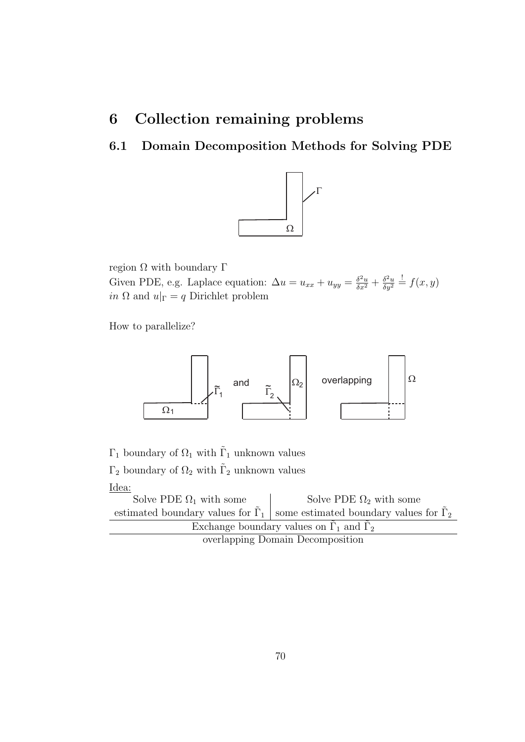# 6 Collection remaining problems

# 6.1 Domain Decomposition Methods for Solving PDE



region  $Ω$  with boundary  $Γ$ Given PDE, e.g. Laplace equation:  $\Delta u = u_{xx} + u_{yy} = \frac{\delta^2 u}{\delta x^2} + \frac{\delta^2 u}{\delta y^2}$  $\frac{\delta^2 u}{\delta y^2} \stackrel{!}{=} f(x, y)$ *in*  $\Omega$  and  $u|_{\Gamma} = q$  Dirichlet problem

How to parallelize?



 $\Gamma_1$  boundary of  $\Omega_1$  with  $\tilde{\Gamma}_1$  unknown values  $\Gamma_2$  boundary of  $\Omega_2$  with  $\tilde{\Gamma}_2$  unknown values

Idea:

| Solve PDE $\Omega_1$ with some                        | Solve PDE $\Omega_2$ with some                                                         |  |  |  |
|-------------------------------------------------------|----------------------------------------------------------------------------------------|--|--|--|
|                                                       | estimated boundary values for $\Gamma_1$ some estimated boundary values for $\Gamma_2$ |  |  |  |
| Exchange boundary values on $\Gamma_1$ and $\Gamma_2$ |                                                                                        |  |  |  |
| overlapping Domain Decomposition                      |                                                                                        |  |  |  |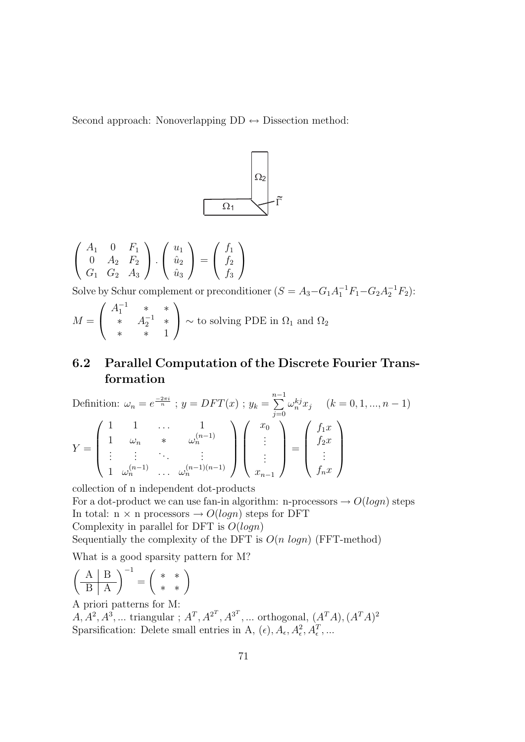Second approach: Nonoverlapping  $DD \leftrightarrow Dissection$  method:



$$
\left(\begin{array}{ccc} A_1 & 0 & F_1 \\ 0 & A_2 & F_2 \\ G_1 & G_2 & A_3 \end{array}\right) \cdot \left(\begin{array}{c} u_1 \\ \hat{u}_2 \\ \hat{u}_3 \end{array}\right) = \left(\begin{array}{c} f_1 \\ f_2 \\ f_3 \end{array}\right)
$$

Solve by Schur complement or preconditioner  $(S = A_3 - G_1 A_1^{-1} F_1 - G_2 A_2^{-1} F_2)$ :

$$
M = \begin{pmatrix} A_1^{-1} & * & * \\ * & A_2^{-1} & * \\ * & * & 1 \end{pmatrix} \sim \text{to solving PDE in } \Omega_1 \text{ and } \Omega_2
$$

# 6.2 Parallel Computation of the Discrete Fourier Transformation

Definition: 
$$
\omega_n = e^{\frac{-2\pi i}{n}}
$$
;  $y = DFT(x)$ ;  $y_k = \sum_{j=0}^{n-1} \omega_n^{kj} x_j$   $(k = 0, 1, ..., n - 1)$   
\n
$$
Y = \begin{pmatrix} 1 & 1 & \cdots & 1 \\ 1 & \omega_n & * & \omega_n^{(n-1)} \\ \vdots & \vdots & \ddots & \vdots \\ 1 & \omega_n^{(n-1)} & \cdots & \omega_n^{(n-1)(n-1)} \end{pmatrix} \begin{pmatrix} x_0 \\ \vdots \\ x_{n-1} \end{pmatrix} = \begin{pmatrix} f_1 x \\ f_2 x \\ \vdots \\ f_n x \end{pmatrix}
$$

collection of n independent dot-products

For a dot-product we can use fan-in algorithm: n-processors  $\rightarrow O(logn)$  steps In total:  $n \times n$  processors  $\rightarrow O(logn)$  steps for DFT Complexity in parallel for DFT is  $O(logn)$ 

Sequentially the complexity of the DFT is  $O(n \log n)$  (FFT-method)

What is a good sparsity pattern for M?

$$
\left(\begin{array}{c|c}\nA & B \\
\hline\nB & A\n\end{array}\right)^{-1} = \left(\begin{array}{cc} * & * \\
 * & * \end{array}\right)
$$

A priori patterns for M:

 $A, A^2, A^3, \dots$  triangular;  $A^T, A^{2^T}, A^{3^T}, \dots$  orthogonal,  $(A^T A), (A^T A)^2$ Sparsification: Delete small entries in A,  $(\epsilon)$ ,  $A_{\epsilon}$ ,  $A_{\epsilon}^2$ ,  $A_{\epsilon}^T$ , ...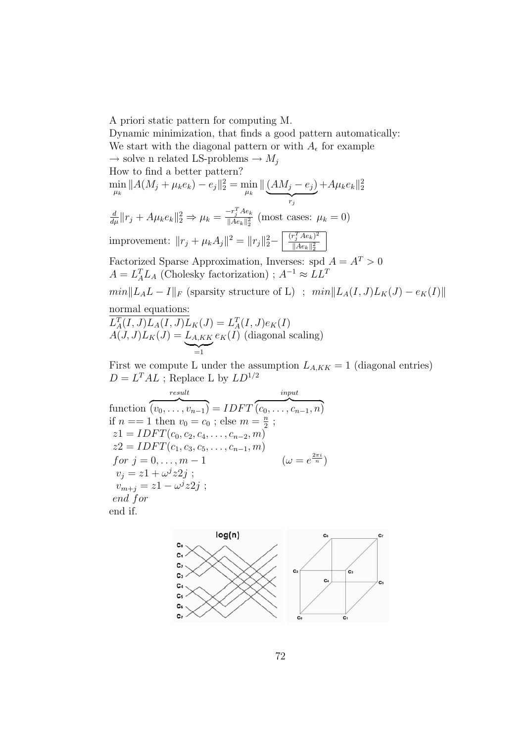A priori static pattern for computing M. Dynamic minimization, that finds a good pattern automatically: We start with the diagonal pattern or with  $A_{\epsilon}$  for example  $\rightarrow$  solve n related LS-problems  $\rightarrow$   $M_i$ How to find a better pattern?  $\min_{\mu_k} \|A(M_j + \mu_k e_k) - e_j\|_2^2 = \min_{\mu_k} \| \underbrace{(AM_j - e_j)}$  $\overrightarrow{r_j}$  $+A\mu_{k}e_{k}\|_{2}^{2}$  $\frac{d}{d\mu}$ || $r_j + A\mu_k e_k$ || $_2^2 \Rightarrow \mu_k = \frac{-r_j^T A e_k}{\|A e_k\|_2^2}$  $\frac{\sum_{j} A e_k}{\|A e_k\|_2^2}$  (most cases:  $\mu_k = 0$ ) improvement:  $||r_j + \mu_k A_j||^2 = ||r_j||_2^2 - \sqrt{\frac{(r_j^T A e_k)^2}{||A e_k||_2^2}}$  $||Ae_k||_2^2$ Factorized Sparse Approximation, Inverses: spd  $A = A<sup>T</sup> > 0$  $A = L_A^T L_A$  (Cholesky factorization);  $A^{-1} \approx L L^T$  $min\|L_A L - I\|_F$  (sparsity structure of L) ;  $min\|L_A(I, J)L_K(J) - e_K(I)\|$ normal equations:  $L_A^T(I, J)L_A(I, J)L_K(J) = L_A^T(I, J)e_K(I)$  $A(J, J)L_K(J) = L_{A,KK}$  $\sum_{i=1}^{n}$  $e_K(I)$  (diagonal scaling) First we compute L under the assumption  $L_{A,KK} = 1$  (diagonal entries)

 $D = L^T A L$ ; Replace L by  $LD^{1/2}$ 

function result  $\overline{(v_0, \ldots, v_{n-1})} = IDFT$ input  $\overline{ (c_0, \ldots, c_{n-1}, n)}$ if  $n == 1$  then  $v_0 = c_0$ ; else  $m = \frac{n}{2}$  $\frac{n}{2}$ ;  $z1 = IDFT(c_0, c_2, c_4, \ldots, c_{n-2}, m)$  $z2 = IDFT(c_1, c_3, c_5, \ldots, c_{n-1}, m)$ for  $j = 0, ..., m - 1$  $\frac{2\pi i}{n}$  $v_j = z_1 + \omega^j z_2_j;$  $v_{m+j} = z_1 - \omega^j z_2_j;$ end for end if.